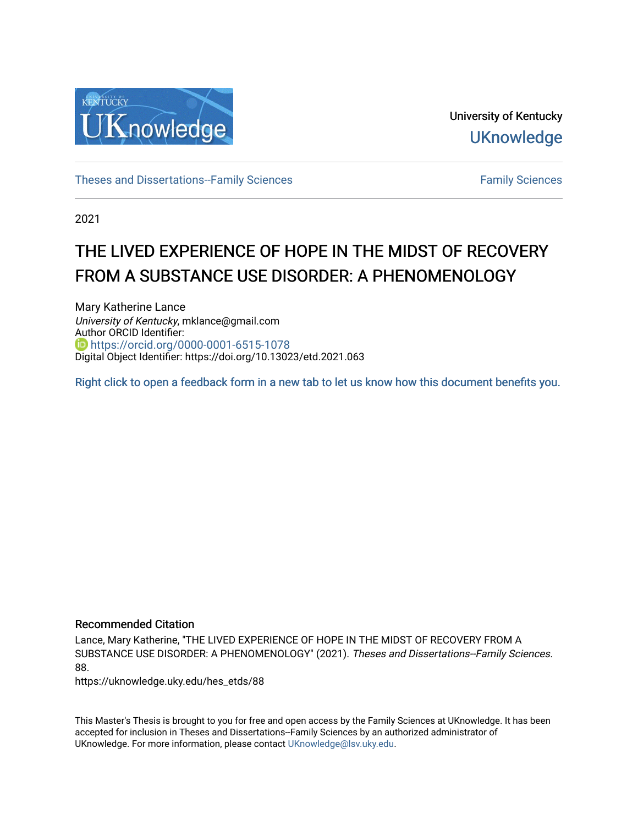

University of Kentucky **UKnowledge** 

[Theses and Dissertations--Family Sciences](https://uknowledge.uky.edu/hes_etds) [Family Sciences](https://uknowledge.uky.edu/hes) Family Sciences

2021

# THE LIVED EXPERIENCE OF HOPE IN THE MIDST OF RECOVERY FROM A SUBSTANCE USE DISORDER: A PHENOMENOLOGY

Mary Katherine Lance University of Kentucky, mklance@gmail.com Author ORCID Identifier: <https://orcid.org/0000-0001-6515-1078> Digital Object Identifier: https://doi.org/10.13023/etd.2021.063

[Right click to open a feedback form in a new tab to let us know how this document benefits you.](https://uky.az1.qualtrics.com/jfe/form/SV_9mq8fx2GnONRfz7)

## Recommended Citation

Lance, Mary Katherine, "THE LIVED EXPERIENCE OF HOPE IN THE MIDST OF RECOVERY FROM A SUBSTANCE USE DISORDER: A PHENOMENOLOGY" (2021). Theses and Dissertations--Family Sciences. 88.

https://uknowledge.uky.edu/hes\_etds/88

This Master's Thesis is brought to you for free and open access by the Family Sciences at UKnowledge. It has been accepted for inclusion in Theses and Dissertations--Family Sciences by an authorized administrator of UKnowledge. For more information, please contact [UKnowledge@lsv.uky.edu](mailto:UKnowledge@lsv.uky.edu).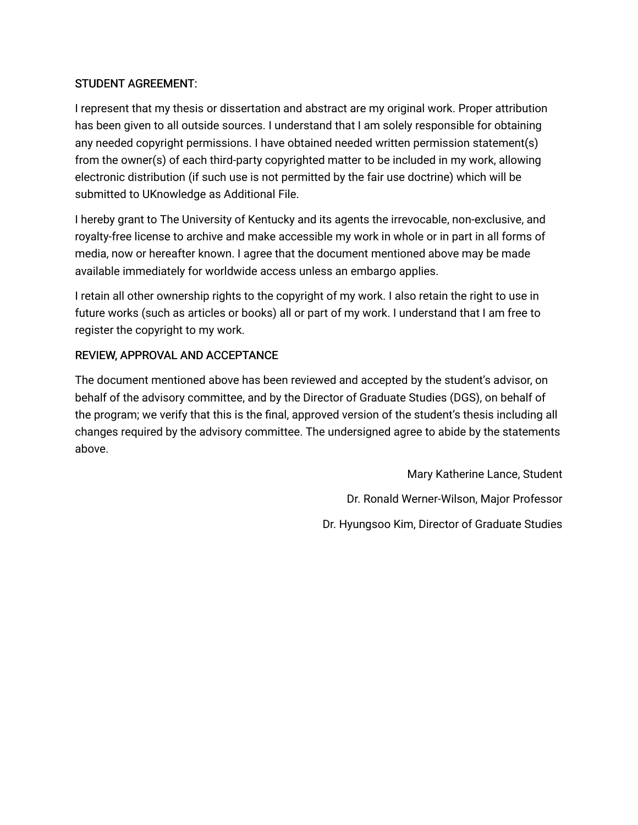# STUDENT AGREEMENT:

I represent that my thesis or dissertation and abstract are my original work. Proper attribution has been given to all outside sources. I understand that I am solely responsible for obtaining any needed copyright permissions. I have obtained needed written permission statement(s) from the owner(s) of each third-party copyrighted matter to be included in my work, allowing electronic distribution (if such use is not permitted by the fair use doctrine) which will be submitted to UKnowledge as Additional File.

I hereby grant to The University of Kentucky and its agents the irrevocable, non-exclusive, and royalty-free license to archive and make accessible my work in whole or in part in all forms of media, now or hereafter known. I agree that the document mentioned above may be made available immediately for worldwide access unless an embargo applies.

I retain all other ownership rights to the copyright of my work. I also retain the right to use in future works (such as articles or books) all or part of my work. I understand that I am free to register the copyright to my work.

# REVIEW, APPROVAL AND ACCEPTANCE

The document mentioned above has been reviewed and accepted by the student's advisor, on behalf of the advisory committee, and by the Director of Graduate Studies (DGS), on behalf of the program; we verify that this is the final, approved version of the student's thesis including all changes required by the advisory committee. The undersigned agree to abide by the statements above.

> Mary Katherine Lance, Student Dr. Ronald Werner-Wilson, Major Professor Dr. Hyungsoo Kim, Director of Graduate Studies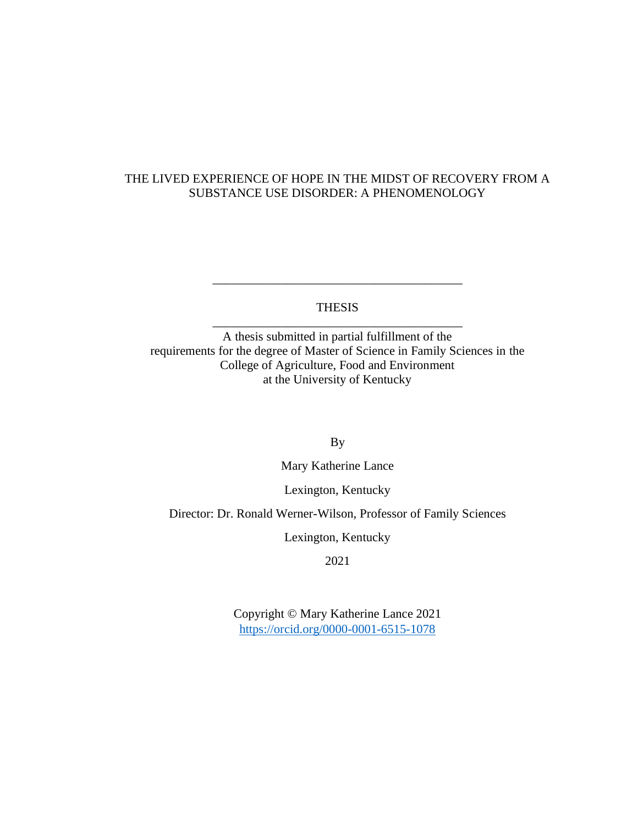# THE LIVED EXPERIENCE OF HOPE IN THE MIDST OF RECOVERY FROM A SUBSTANCE USE DISORDER: A PHENOMENOLOGY

THESIS \_\_\_\_\_\_\_\_\_\_\_\_\_\_\_\_\_\_\_\_\_\_\_\_\_\_\_\_\_\_\_\_\_\_\_\_\_\_\_\_

\_\_\_\_\_\_\_\_\_\_\_\_\_\_\_\_\_\_\_\_\_\_\_\_\_\_\_\_\_\_\_\_\_\_\_\_\_\_\_\_

A thesis submitted in partial fulfillment of the requirements for the degree of Master of Science in Family Sciences in the College of Agriculture, Food and Environment at the University of Kentucky

By

Mary Katherine Lance

Lexington, Kentucky

Director: Dr. Ronald Werner-Wilson, Professor of Family Sciences

Lexington, Kentucky

2021

Copyright © Mary Katherine Lance 2021 <https://orcid.org/0000-0001-6515-1078>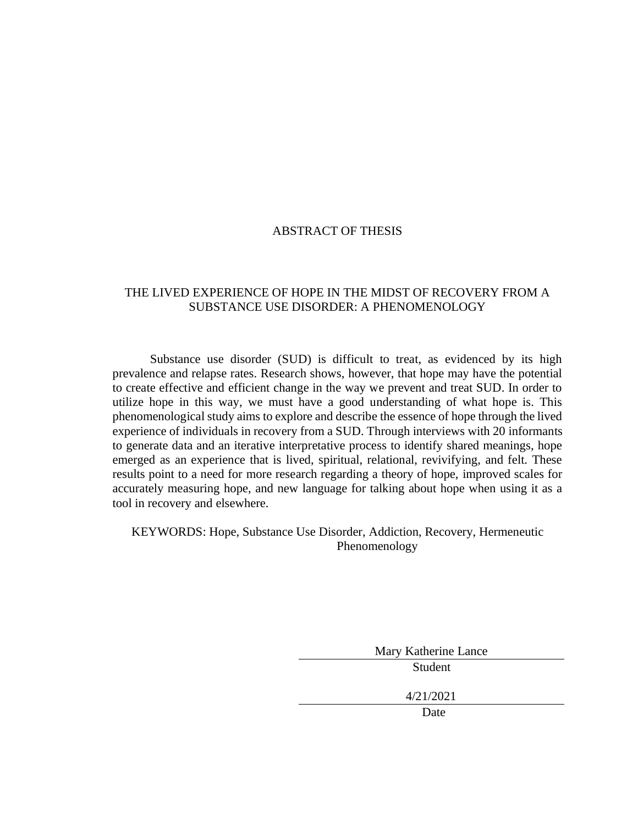# ABSTRACT OF THESIS

# THE LIVED EXPERIENCE OF HOPE IN THE MIDST OF RECOVERY FROM A SUBSTANCE USE DISORDER: A PHENOMENOLOGY

Substance use disorder (SUD) is difficult to treat, as evidenced by its high prevalence and relapse rates. Research shows, however, that hope may have the potential to create effective and efficient change in the way we prevent and treat SUD. In order to utilize hope in this way, we must have a good understanding of what hope is. This phenomenological study aims to explore and describe the essence of hope through the lived experience of individuals in recovery from a SUD. Through interviews with 20 informants to generate data and an iterative interpretative process to identify shared meanings, hope emerged as an experience that is lived, spiritual, relational, revivifying, and felt. These results point to a need for more research regarding a theory of hope, improved scales for accurately measuring hope, and new language for talking about hope when using it as a tool in recovery and elsewhere.

KEYWORDS: Hope, Substance Use Disorder, Addiction, Recovery, Hermeneutic Phenomenology

Mary Katherine Lance

Student

4/21/2021

Date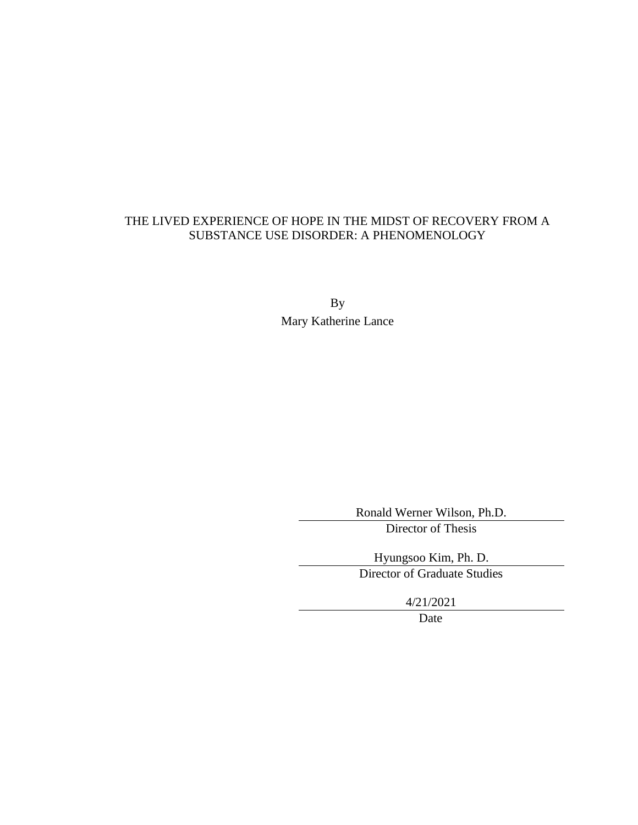# THE LIVED EXPERIENCE OF HOPE IN THE MIDST OF RECOVERY FROM A SUBSTANCE USE DISORDER: A PHENOMENOLOGY

By Mary Katherine Lance

Ronald Werner Wilson, Ph.D.

Director of Thesis

Hyungsoo Kim, Ph. D. Director of Graduate Studies

4/21/2021

Date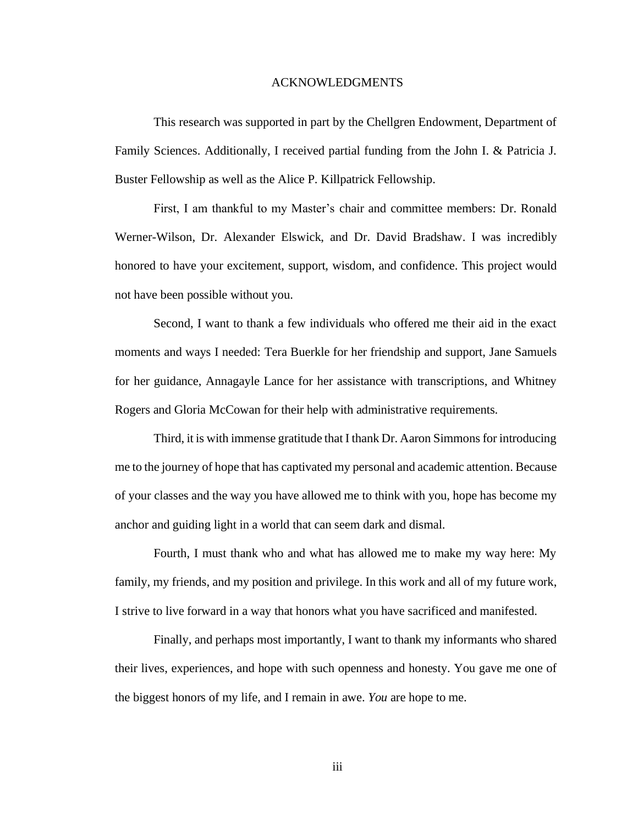#### ACKNOWLEDGMENTS

<span id="page-5-0"></span>This research was supported in part by the Chellgren Endowment, Department of Family Sciences. Additionally, I received partial funding from the John I. & Patricia J. Buster Fellowship as well as the Alice P. Killpatrick Fellowship.

First, I am thankful to my Master's chair and committee members: Dr. Ronald Werner-Wilson, Dr. Alexander Elswick, and Dr. David Bradshaw. I was incredibly honored to have your excitement, support, wisdom, and confidence. This project would not have been possible without you.

Second, I want to thank a few individuals who offered me their aid in the exact moments and ways I needed: Tera Buerkle for her friendship and support, Jane Samuels for her guidance, Annagayle Lance for her assistance with transcriptions, and Whitney Rogers and Gloria McCowan for their help with administrative requirements.

Third, it is with immense gratitude that I thank Dr. Aaron Simmons for introducing me to the journey of hope that has captivated my personal and academic attention. Because of your classes and the way you have allowed me to think with you, hope has become my anchor and guiding light in a world that can seem dark and dismal.

Fourth, I must thank who and what has allowed me to make my way here: My family, my friends, and my position and privilege. In this work and all of my future work, I strive to live forward in a way that honors what you have sacrificed and manifested.

Finally, and perhaps most importantly, I want to thank my informants who shared their lives, experiences, and hope with such openness and honesty. You gave me one of the biggest honors of my life, and I remain in awe. *You* are hope to me.

iii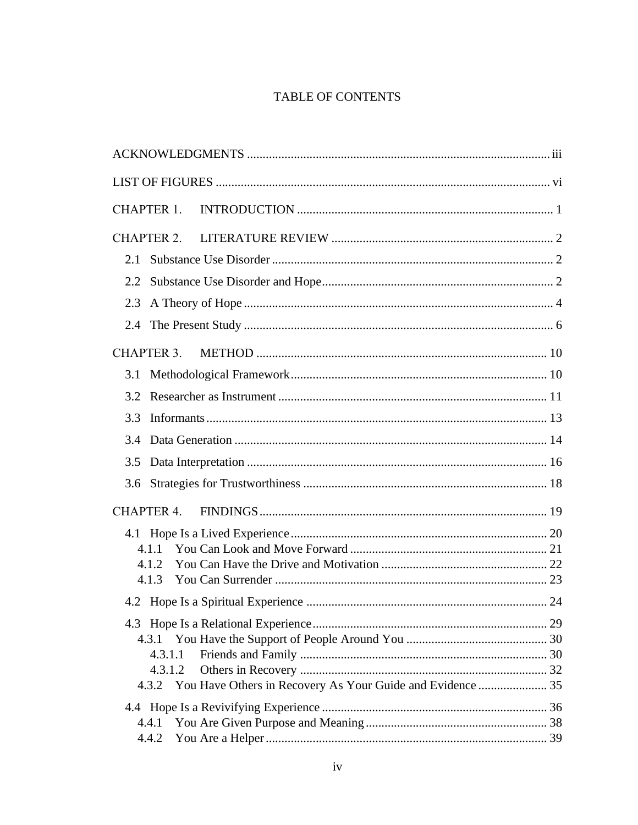# TABLE OF CONTENTS

| <b>CHAPTER 1.</b> |  |
|-------------------|--|
|                   |  |
| 2.1               |  |
| 2.2               |  |
| 2.3               |  |
| 2.4               |  |
| CHAPTER 3.        |  |
| 3.1               |  |
| 3.2               |  |
| 3.3               |  |
| 3.4               |  |
| 3.5               |  |
| 3.6               |  |
| CHAPTER 4.        |  |
|                   |  |
| 4.1.1             |  |
| 4.1.2             |  |
| 4.1.3             |  |
|                   |  |
|                   |  |
|                   |  |
| 4.3.1.1           |  |
| 4.3.1.2           |  |
|                   |  |
|                   |  |
| 4.4.1             |  |
| 4.4.2             |  |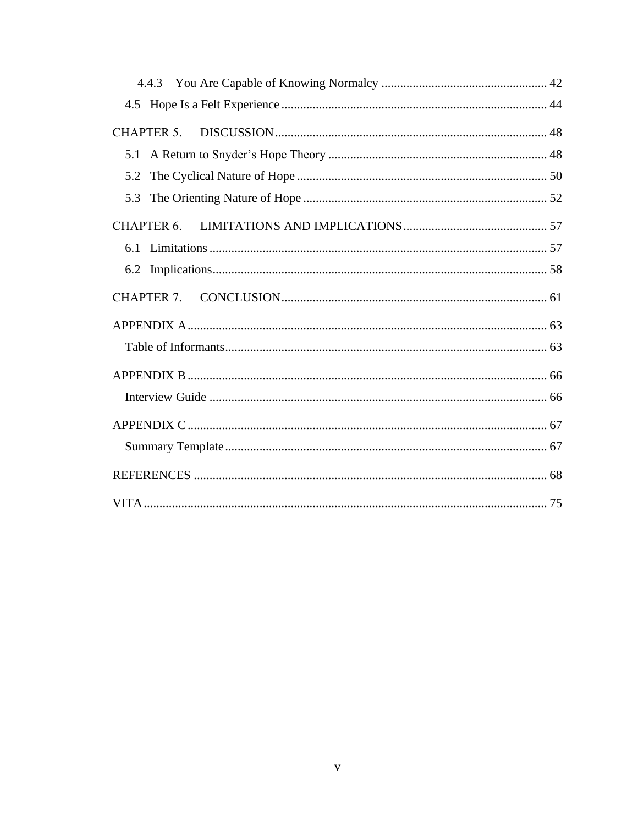| <b>CHAPTER 5.</b> |  |
|-------------------|--|
| 5.1               |  |
| 5.2               |  |
| 5.3               |  |
|                   |  |
|                   |  |
| 6.2               |  |
| <b>CHAPTER 7.</b> |  |
|                   |  |
|                   |  |
|                   |  |
|                   |  |
|                   |  |
|                   |  |
|                   |  |
|                   |  |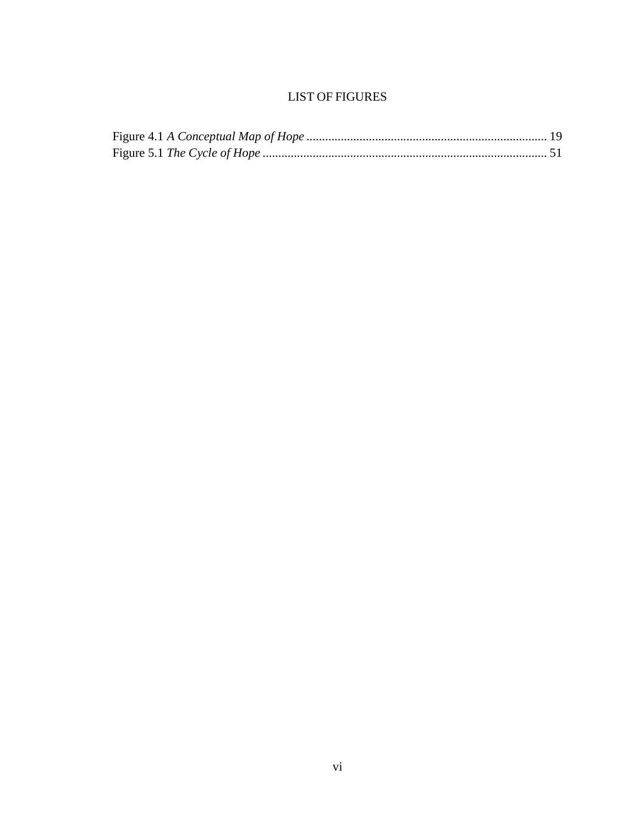# **LIST OF FIGURES**

<span id="page-8-0"></span>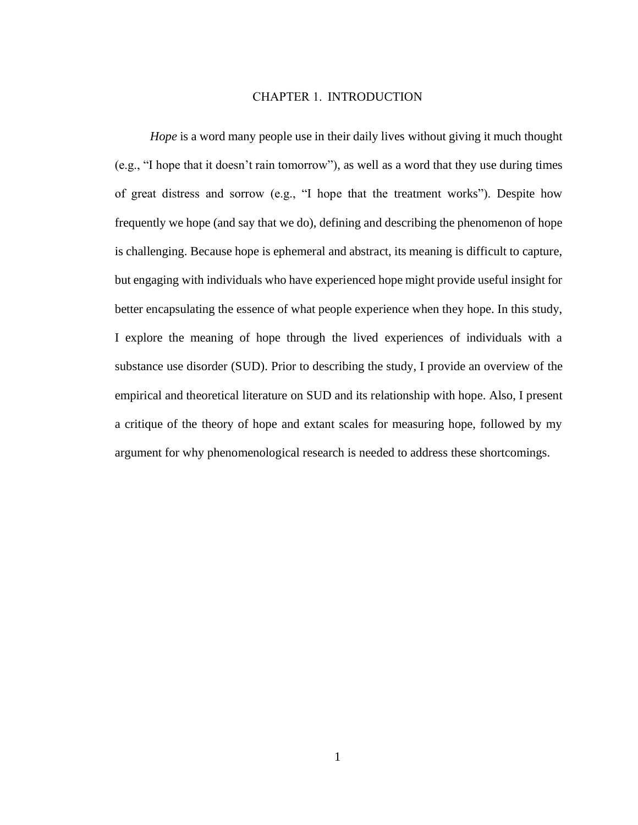# CHAPTER 1. INTRODUCTION

<span id="page-9-0"></span>*Hope* is a word many people use in their daily lives without giving it much thought (e.g., "I hope that it doesn't rain tomorrow"), as well as a word that they use during times of great distress and sorrow (e.g., "I hope that the treatment works"). Despite how frequently we hope (and say that we do), defining and describing the phenomenon of hope is challenging. Because hope is ephemeral and abstract, its meaning is difficult to capture, but engaging with individuals who have experienced hope might provide useful insight for better encapsulating the essence of what people experience when they hope. In this study, I explore the meaning of hope through the lived experiences of individuals with a substance use disorder (SUD). Prior to describing the study, I provide an overview of the empirical and theoretical literature on SUD and its relationship with hope. Also, I present a critique of the theory of hope and extant scales for measuring hope, followed by my argument for why phenomenological research is needed to address these shortcomings.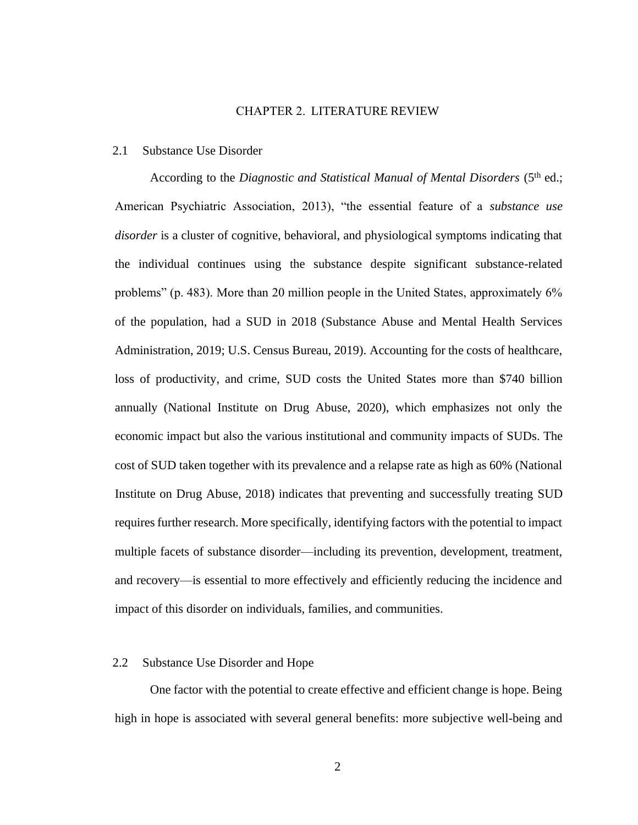#### CHAPTER 2. LITERATURE REVIEW

## <span id="page-10-1"></span><span id="page-10-0"></span>2.1 Substance Use Disorder

According to the *Diagnostic and Statistical Manual of Mental Disorders* (5<sup>th</sup> ed.; American Psychiatric Association, 2013), "the essential feature of a *substance use disorder* is a cluster of cognitive, behavioral, and physiological symptoms indicating that the individual continues using the substance despite significant substance-related problems" (p. 483). More than 20 million people in the United States, approximately 6% of the population, had a SUD in 2018 (Substance Abuse and Mental Health Services Administration, 2019; U.S. Census Bureau, 2019). Accounting for the costs of healthcare, loss of productivity, and crime, SUD costs the United States more than \$740 billion annually (National Institute on Drug Abuse, 2020), which emphasizes not only the economic impact but also the various institutional and community impacts of SUDs. The cost of SUD taken together with its prevalence and a relapse rate as high as 60% (National Institute on Drug Abuse, 2018) indicates that preventing and successfully treating SUD requires further research. More specifically, identifying factors with the potential to impact multiple facets of substance disorder—including its prevention, development, treatment, and recovery—is essential to more effectively and efficiently reducing the incidence and impact of this disorder on individuals, families, and communities.

#### <span id="page-10-2"></span>2.2 Substance Use Disorder and Hope

One factor with the potential to create effective and efficient change is hope. Being high in hope is associated with several general benefits: more subjective well-being and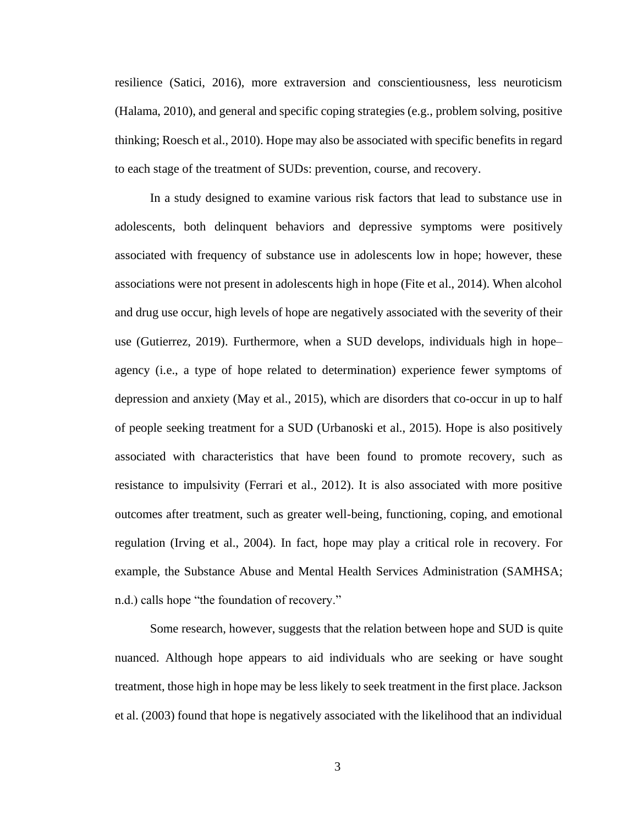resilience (Satici, 2016), more extraversion and conscientiousness, less neuroticism (Halama, 2010), and general and specific coping strategies (e.g., problem solving, positive thinking; Roesch et al., 2010). Hope may also be associated with specific benefits in regard to each stage of the treatment of SUDs: prevention, course, and recovery.

In a study designed to examine various risk factors that lead to substance use in adolescents, both delinquent behaviors and depressive symptoms were positively associated with frequency of substance use in adolescents low in hope; however, these associations were not present in adolescents high in hope (Fite et al., 2014). When alcohol and drug use occur, high levels of hope are negatively associated with the severity of their use (Gutierrez, 2019). Furthermore, when a SUD develops, individuals high in hope– agency (i.e., a type of hope related to determination) experience fewer symptoms of depression and anxiety (May et al., 2015), which are disorders that co-occur in up to half of people seeking treatment for a SUD (Urbanoski et al., 2015). Hope is also positively associated with characteristics that have been found to promote recovery, such as resistance to impulsivity (Ferrari et al., 2012). It is also associated with more positive outcomes after treatment, such as greater well-being, functioning, coping, and emotional regulation (Irving et al., 2004). In fact, hope may play a critical role in recovery. For example, the Substance Abuse and Mental Health Services Administration (SAMHSA; n.d.) calls hope "the foundation of recovery."

Some research, however, suggests that the relation between hope and SUD is quite nuanced. Although hope appears to aid individuals who are seeking or have sought treatment, those high in hope may be less likely to seek treatment in the first place. Jackson et al. (2003) found that hope is negatively associated with the likelihood that an individual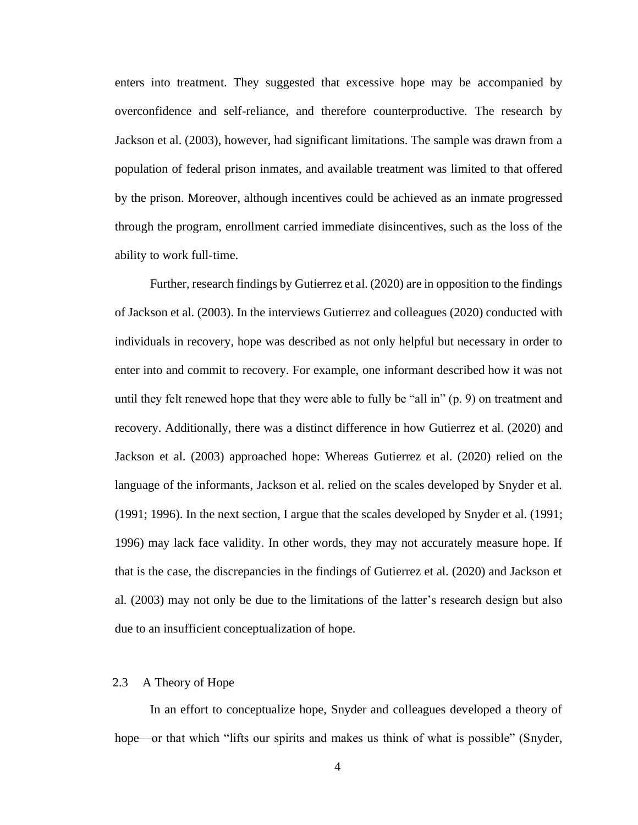enters into treatment. They suggested that excessive hope may be accompanied by overconfidence and self-reliance, and therefore counterproductive. The research by Jackson et al. (2003), however, had significant limitations. The sample was drawn from a population of federal prison inmates, and available treatment was limited to that offered by the prison. Moreover, although incentives could be achieved as an inmate progressed through the program, enrollment carried immediate disincentives, such as the loss of the ability to work full-time.

Further, research findings by Gutierrez et al. (2020) are in opposition to the findings of Jackson et al. (2003). In the interviews Gutierrez and colleagues (2020) conducted with individuals in recovery, hope was described as not only helpful but necessary in order to enter into and commit to recovery. For example, one informant described how it was not until they felt renewed hope that they were able to fully be "all in" (p. 9) on treatment and recovery. Additionally, there was a distinct difference in how Gutierrez et al. (2020) and Jackson et al. (2003) approached hope: Whereas Gutierrez et al. (2020) relied on the language of the informants, Jackson et al. relied on the scales developed by Snyder et al. (1991; 1996). In the next section, I argue that the scales developed by Snyder et al. (1991; 1996) may lack face validity. In other words, they may not accurately measure hope. If that is the case, the discrepancies in the findings of Gutierrez et al. (2020) and Jackson et al. (2003) may not only be due to the limitations of the latter's research design but also due to an insufficient conceptualization of hope.

#### <span id="page-12-0"></span>2.3 A Theory of Hope

In an effort to conceptualize hope, Snyder and colleagues developed a theory of hope—or that which "lifts our spirits and makes us think of what is possible" (Snyder,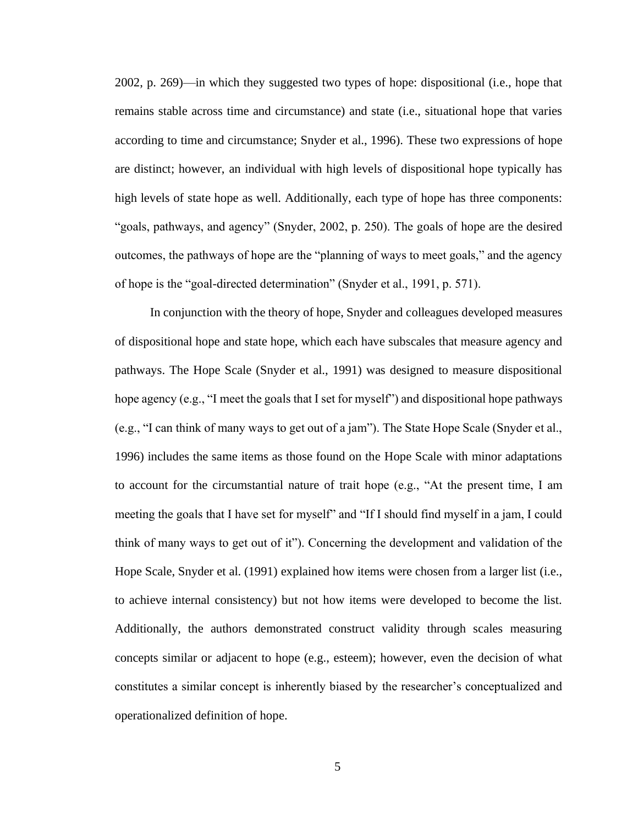2002, p. 269)—in which they suggested two types of hope: dispositional (i.e., hope that remains stable across time and circumstance) and state (i.e., situational hope that varies according to time and circumstance; Snyder et al., 1996). These two expressions of hope are distinct; however, an individual with high levels of dispositional hope typically has high levels of state hope as well. Additionally, each type of hope has three components: "goals, pathways, and agency" (Snyder, 2002, p. 250). The goals of hope are the desired outcomes, the pathways of hope are the "planning of ways to meet goals," and the agency of hope is the "goal-directed determination" (Snyder et al., 1991, p. 571).

In conjunction with the theory of hope, Snyder and colleagues developed measures of dispositional hope and state hope, which each have subscales that measure agency and pathways. The Hope Scale (Snyder et al., 1991) was designed to measure dispositional hope agency (e.g., "I meet the goals that I set for myself") and dispositional hope pathways (e.g., "I can think of many ways to get out of a jam"). The State Hope Scale (Snyder et al., 1996) includes the same items as those found on the Hope Scale with minor adaptations to account for the circumstantial nature of trait hope (e.g., "At the present time, I am meeting the goals that I have set for myself" and "If I should find myself in a jam, I could think of many ways to get out of it"). Concerning the development and validation of the Hope Scale, Snyder et al. (1991) explained how items were chosen from a larger list (i.e., to achieve internal consistency) but not how items were developed to become the list. Additionally, the authors demonstrated construct validity through scales measuring concepts similar or adjacent to hope (e.g., esteem); however, even the decision of what constitutes a similar concept is inherently biased by the researcher's conceptualized and operationalized definition of hope.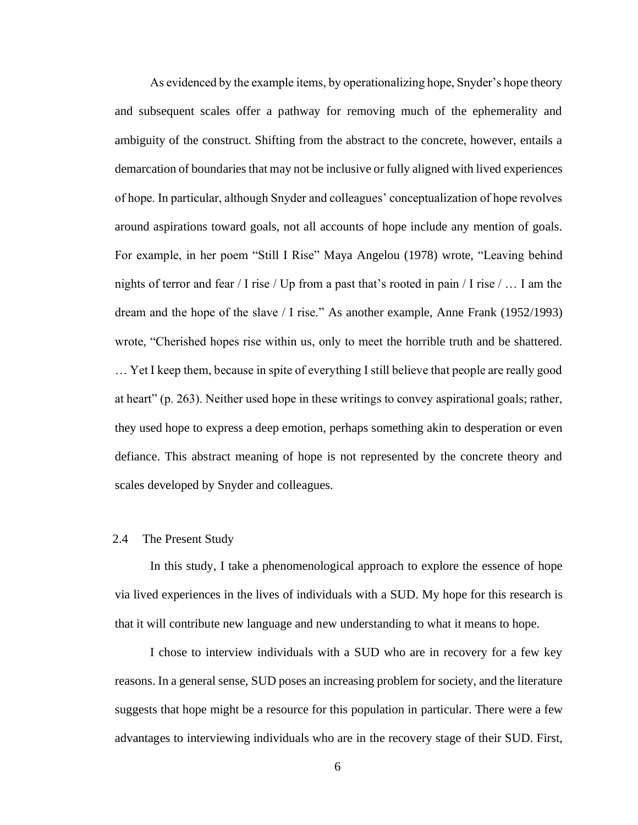As evidenced by the example items, by operationalizing hope, Snyder's hope theory and subsequent scales offer a pathway for removing much of the ephemerality and ambiguity of the construct. Shifting from the abstract to the concrete, however, entails a demarcation of boundaries that may not be inclusive or fully aligned with lived experiences of hope. In particular, although Snyder and colleagues' conceptualization of hope revolves around aspirations toward goals, not all accounts of hope include any mention of goals. For example, in her poem "Still I Rise" Maya Angelou (1978) wrote, "Leaving behind nights of terror and fear / I rise / Up from a past that's rooted in pain / I rise  $/ \dots$  I am the dream and the hope of the slave / I rise." As another example, Anne Frank (1952/1993) wrote, "Cherished hopes rise within us, only to meet the horrible truth and be shattered. … Yet I keep them, because in spite of everything I still believe that people are really good at heart" (p. 263). Neither used hope in these writings to convey aspirational goals; rather, they used hope to express a deep emotion, perhaps something akin to desperation or even defiance. This abstract meaning of hope is not represented by the concrete theory and scales developed by Snyder and colleagues.

## <span id="page-14-0"></span>2.4 The Present Study

In this study, I take a phenomenological approach to explore the essence of hope via lived experiences in the lives of individuals with a SUD. My hope for this research is that it will contribute new language and new understanding to what it means to hope.

I chose to interview individuals with a SUD who are in recovery for a few key reasons. In a general sense, SUD poses an increasing problem for society, and the literature suggests that hope might be a resource for this population in particular. There were a few advantages to interviewing individuals who are in the recovery stage of their SUD. First,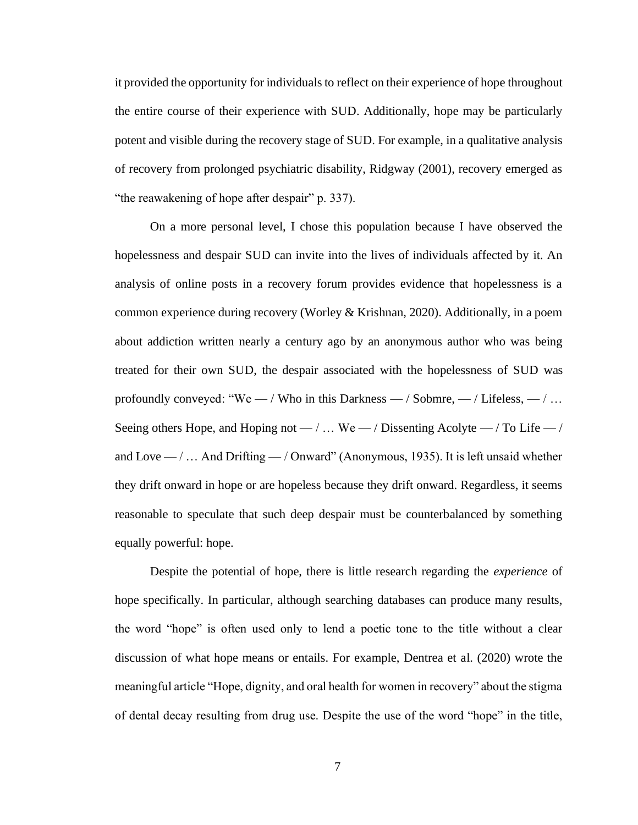it provided the opportunity for individuals to reflect on their experience of hope throughout the entire course of their experience with SUD. Additionally, hope may be particularly potent and visible during the recovery stage of SUD. For example, in a qualitative analysis of recovery from prolonged psychiatric disability, Ridgway (2001), recovery emerged as "the reawakening of hope after despair" p. 337).

On a more personal level, I chose this population because I have observed the hopelessness and despair SUD can invite into the lives of individuals affected by it. An analysis of online posts in a recovery forum provides evidence that hopelessness is a common experience during recovery (Worley & Krishnan, 2020). Additionally, in a poem about addiction written nearly a century ago by an anonymous author who was being treated for their own SUD, the despair associated with the hopelessness of SUD was profoundly conveyed: "We  $-$  / Who in this Darkness  $-$  / Sobmre,  $-$  / Lifeless,  $-$  / ... Seeing others Hope, and Hoping not — /  $\dots$  We — / Dissenting Acolyte — / To Life — / and Love — /  $\ldots$  And Drifting — / Onward" (Anonymous, 1935). It is left unsaid whether they drift onward in hope or are hopeless because they drift onward. Regardless, it seems reasonable to speculate that such deep despair must be counterbalanced by something equally powerful: hope.

Despite the potential of hope, there is little research regarding the *experience* of hope specifically. In particular, although searching databases can produce many results, the word "hope" is often used only to lend a poetic tone to the title without a clear discussion of what hope means or entails. For example, Dentrea et al. (2020) wrote the meaningful article "Hope, dignity, and oral health for women in recovery" about the stigma of dental decay resulting from drug use. Despite the use of the word "hope" in the title,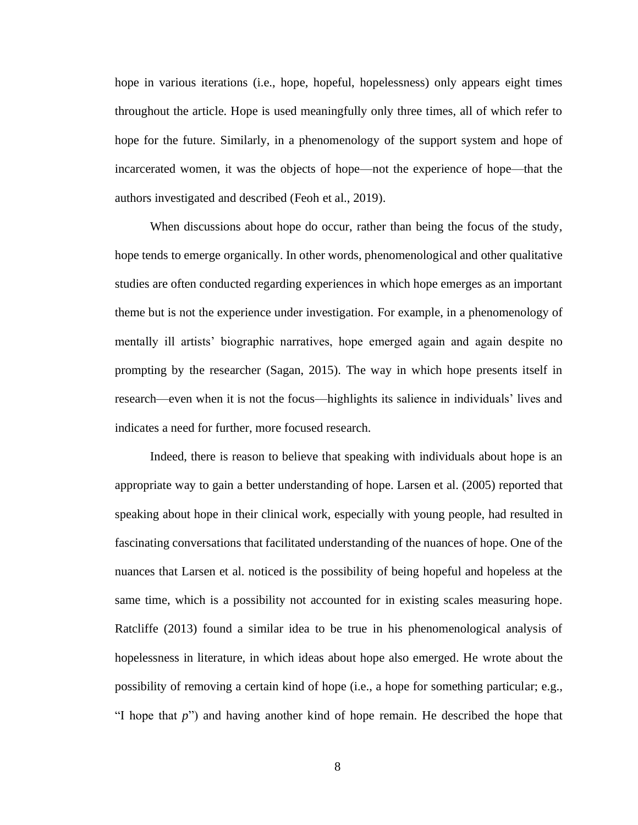hope in various iterations (i.e., hope, hopeful, hopelessness) only appears eight times throughout the article. Hope is used meaningfully only three times, all of which refer to hope for the future. Similarly, in a phenomenology of the support system and hope of incarcerated women, it was the objects of hope—not the experience of hope—that the authors investigated and described (Feoh et al., 2019).

When discussions about hope do occur, rather than being the focus of the study, hope tends to emerge organically. In other words, phenomenological and other qualitative studies are often conducted regarding experiences in which hope emerges as an important theme but is not the experience under investigation. For example, in a phenomenology of mentally ill artists' biographic narratives, hope emerged again and again despite no prompting by the researcher (Sagan, 2015). The way in which hope presents itself in research—even when it is not the focus—highlights its salience in individuals' lives and indicates a need for further, more focused research.

Indeed, there is reason to believe that speaking with individuals about hope is an appropriate way to gain a better understanding of hope. Larsen et al. (2005) reported that speaking about hope in their clinical work, especially with young people, had resulted in fascinating conversations that facilitated understanding of the nuances of hope. One of the nuances that Larsen et al. noticed is the possibility of being hopeful and hopeless at the same time, which is a possibility not accounted for in existing scales measuring hope. Ratcliffe (2013) found a similar idea to be true in his phenomenological analysis of hopelessness in literature, in which ideas about hope also emerged. He wrote about the possibility of removing a certain kind of hope (i.e., a hope for something particular; e.g., "I hope that *p*") and having another kind of hope remain. He described the hope that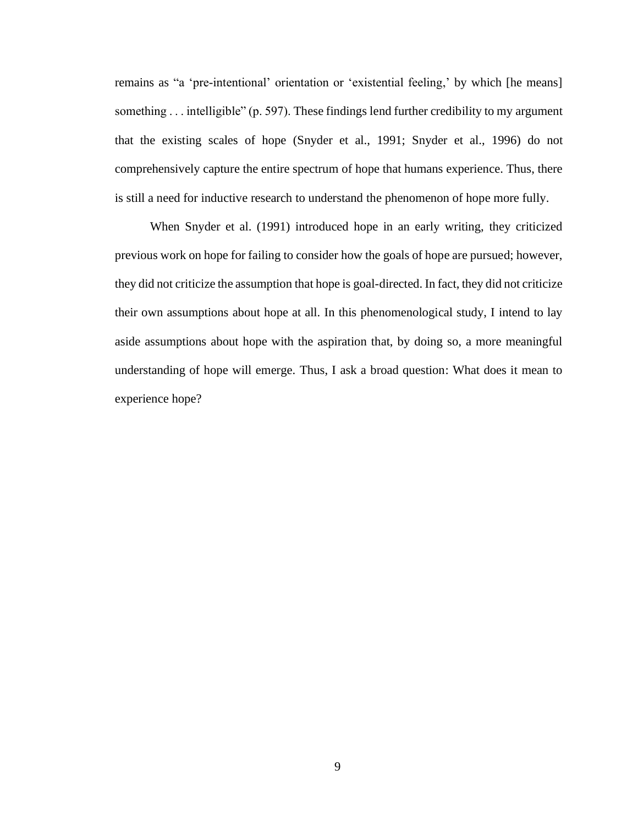remains as "a 'pre-intentional' orientation or 'existential feeling,' by which [he means] something . . . intelligible" (p. 597). These findings lend further credibility to my argument that the existing scales of hope (Snyder et al., 1991; Snyder et al., 1996) do not comprehensively capture the entire spectrum of hope that humans experience. Thus, there is still a need for inductive research to understand the phenomenon of hope more fully.

When Snyder et al. (1991) introduced hope in an early writing, they criticized previous work on hope for failing to consider how the goals of hope are pursued; however, they did not criticize the assumption that hope is goal-directed. In fact, they did not criticize their own assumptions about hope at all. In this phenomenological study, I intend to lay aside assumptions about hope with the aspiration that, by doing so, a more meaningful understanding of hope will emerge. Thus, I ask a broad question: What does it mean to experience hope?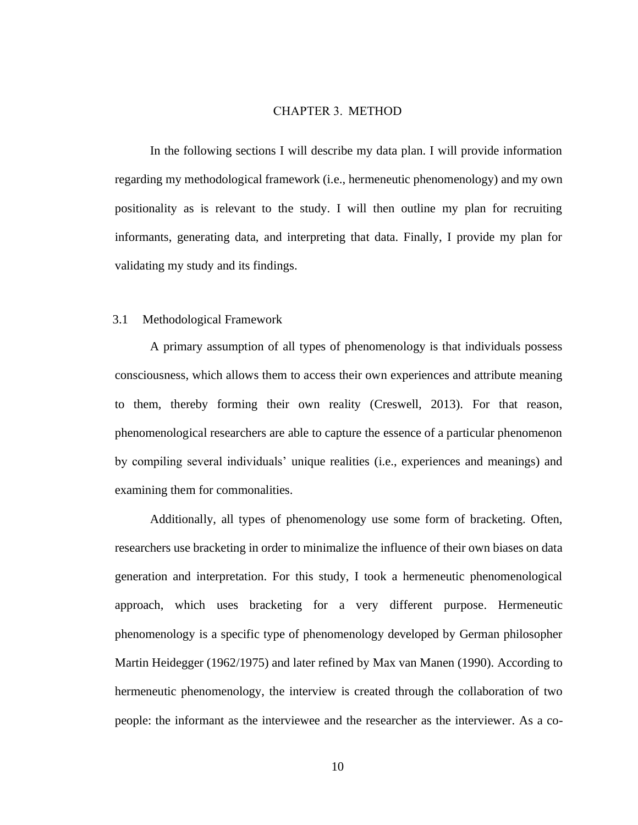#### CHAPTER 3. METHOD

<span id="page-18-0"></span>In the following sections I will describe my data plan. I will provide information regarding my methodological framework (i.e., hermeneutic phenomenology) and my own positionality as is relevant to the study. I will then outline my plan for recruiting informants, generating data, and interpreting that data. Finally, I provide my plan for validating my study and its findings.

## <span id="page-18-1"></span>3.1 Methodological Framework

A primary assumption of all types of phenomenology is that individuals possess consciousness, which allows them to access their own experiences and attribute meaning to them, thereby forming their own reality (Creswell, 2013). For that reason, phenomenological researchers are able to capture the essence of a particular phenomenon by compiling several individuals' unique realities (i.e., experiences and meanings) and examining them for commonalities.

Additionally, all types of phenomenology use some form of bracketing. Often, researchers use bracketing in order to minimalize the influence of their own biases on data generation and interpretation. For this study, I took a hermeneutic phenomenological approach, which uses bracketing for a very different purpose. Hermeneutic phenomenology is a specific type of phenomenology developed by German philosopher Martin Heidegger (1962/1975) and later refined by Max van Manen (1990). According to hermeneutic phenomenology, the interview is created through the collaboration of two people: the informant as the interviewee and the researcher as the interviewer. As a co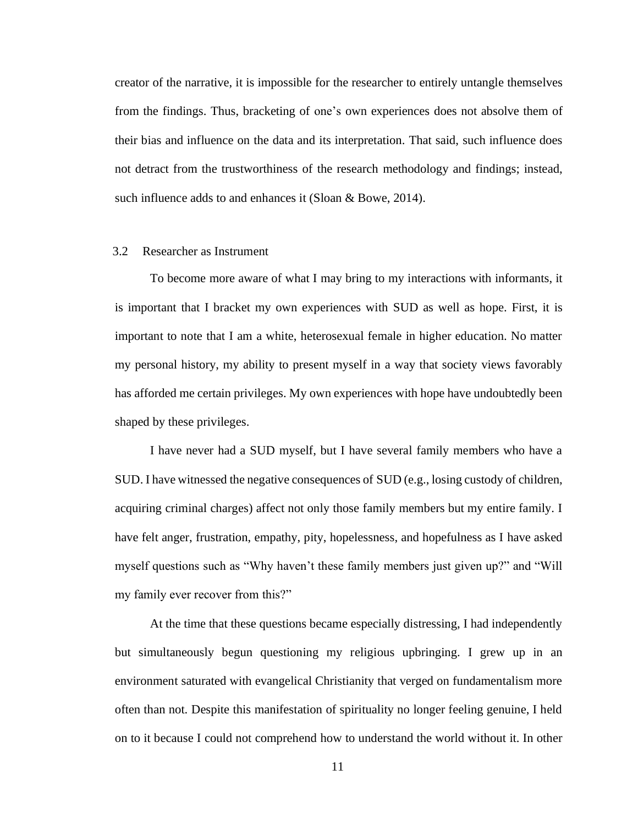creator of the narrative, it is impossible for the researcher to entirely untangle themselves from the findings. Thus, bracketing of one's own experiences does not absolve them of their bias and influence on the data and its interpretation. That said, such influence does not detract from the trustworthiness of the research methodology and findings; instead, such influence adds to and enhances it (Sloan & Bowe, 2014).

## <span id="page-19-0"></span>3.2 Researcher as Instrument

To become more aware of what I may bring to my interactions with informants, it is important that I bracket my own experiences with SUD as well as hope. First, it is important to note that I am a white, heterosexual female in higher education. No matter my personal history, my ability to present myself in a way that society views favorably has afforded me certain privileges. My own experiences with hope have undoubtedly been shaped by these privileges.

I have never had a SUD myself, but I have several family members who have a SUD. I have witnessed the negative consequences of SUD (e.g., losing custody of children, acquiring criminal charges) affect not only those family members but my entire family. I have felt anger, frustration, empathy, pity, hopelessness, and hopefulness as I have asked myself questions such as "Why haven't these family members just given up?" and "Will my family ever recover from this?"

At the time that these questions became especially distressing, I had independently but simultaneously begun questioning my religious upbringing. I grew up in an environment saturated with evangelical Christianity that verged on fundamentalism more often than not. Despite this manifestation of spirituality no longer feeling genuine, I held on to it because I could not comprehend how to understand the world without it. In other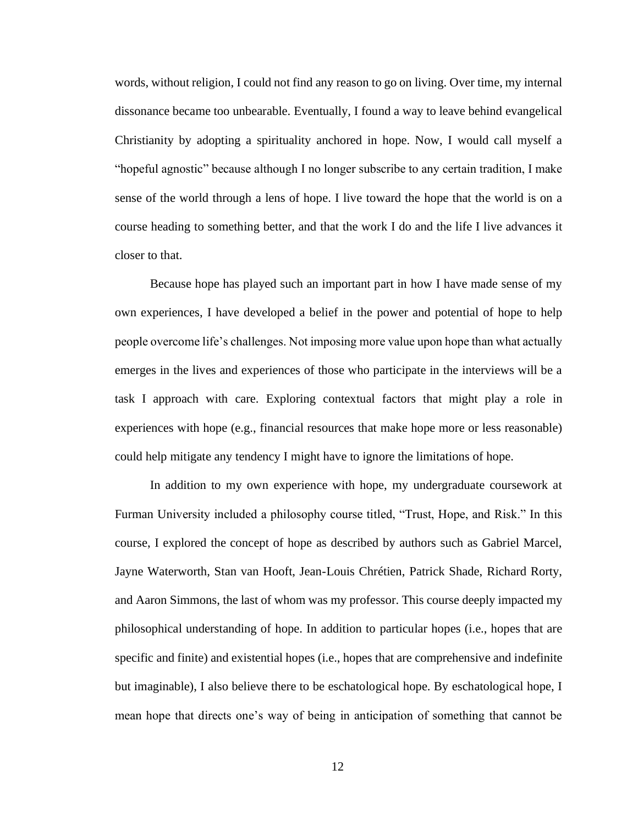words, without religion, I could not find any reason to go on living. Over time, my internal dissonance became too unbearable. Eventually, I found a way to leave behind evangelical Christianity by adopting a spirituality anchored in hope. Now, I would call myself a "hopeful agnostic" because although I no longer subscribe to any certain tradition, I make sense of the world through a lens of hope. I live toward the hope that the world is on a course heading to something better, and that the work I do and the life I live advances it closer to that.

Because hope has played such an important part in how I have made sense of my own experiences, I have developed a belief in the power and potential of hope to help people overcome life's challenges. Not imposing more value upon hope than what actually emerges in the lives and experiences of those who participate in the interviews will be a task I approach with care. Exploring contextual factors that might play a role in experiences with hope (e.g., financial resources that make hope more or less reasonable) could help mitigate any tendency I might have to ignore the limitations of hope.

In addition to my own experience with hope, my undergraduate coursework at Furman University included a philosophy course titled, "Trust, Hope, and Risk." In this course, I explored the concept of hope as described by authors such as Gabriel Marcel, Jayne Waterworth, Stan van Hooft, Jean-Louis Chrétien, Patrick Shade, Richard Rorty, and Aaron Simmons, the last of whom was my professor. This course deeply impacted my philosophical understanding of hope. In addition to particular hopes (i.e., hopes that are specific and finite) and existential hopes (i.e., hopes that are comprehensive and indefinite but imaginable), I also believe there to be eschatological hope. By eschatological hope, I mean hope that directs one's way of being in anticipation of something that cannot be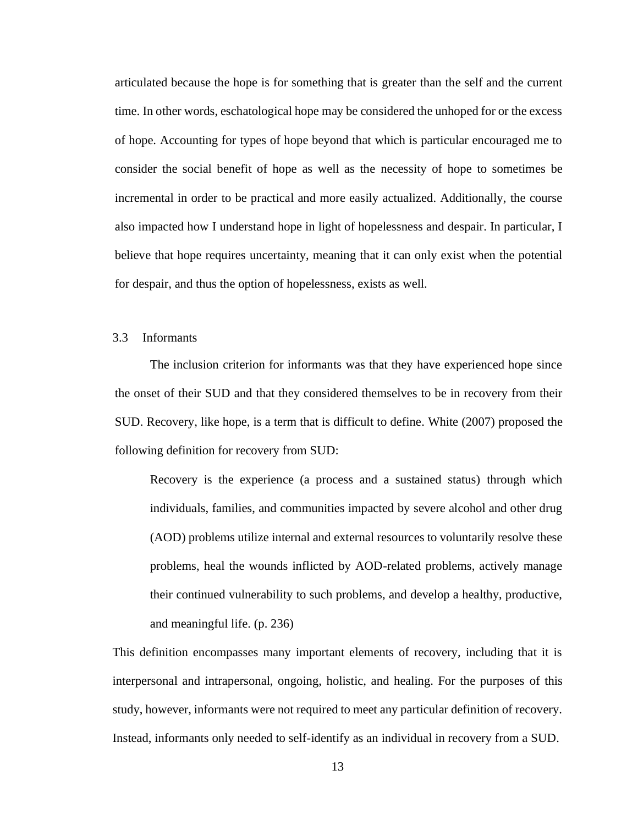articulated because the hope is for something that is greater than the self and the current time. In other words, eschatological hope may be considered the unhoped for or the excess of hope. Accounting for types of hope beyond that which is particular encouraged me to consider the social benefit of hope as well as the necessity of hope to sometimes be incremental in order to be practical and more easily actualized. Additionally, the course also impacted how I understand hope in light of hopelessness and despair. In particular, I believe that hope requires uncertainty, meaning that it can only exist when the potential for despair, and thus the option of hopelessness, exists as well.

## <span id="page-21-0"></span>3.3 Informants

The inclusion criterion for informants was that they have experienced hope since the onset of their SUD and that they considered themselves to be in recovery from their SUD. Recovery, like hope, is a term that is difficult to define. White (2007) proposed the following definition for recovery from SUD:

Recovery is the experience (a process and a sustained status) through which individuals, families, and communities impacted by severe alcohol and other drug (AOD) problems utilize internal and external resources to voluntarily resolve these problems, heal the wounds inflicted by AOD-related problems, actively manage their continued vulnerability to such problems, and develop a healthy, productive, and meaningful life. (p. 236)

This definition encompasses many important elements of recovery, including that it is interpersonal and intrapersonal, ongoing, holistic, and healing. For the purposes of this study, however, informants were not required to meet any particular definition of recovery. Instead, informants only needed to self-identify as an individual in recovery from a SUD.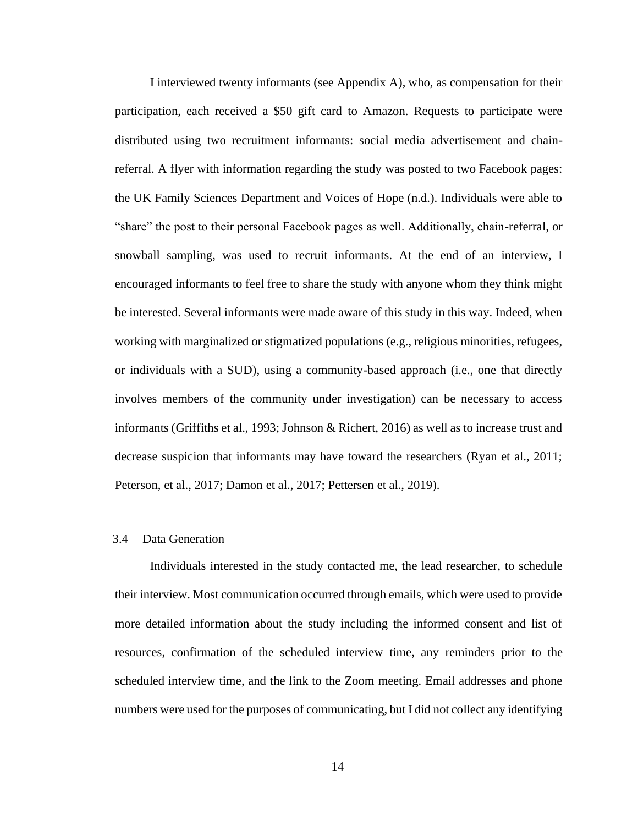I interviewed twenty informants (see Appendix A), who, as compensation for their participation, each received a \$50 gift card to Amazon. Requests to participate were distributed using two recruitment informants: social media advertisement and chainreferral. A flyer with information regarding the study was posted to two Facebook pages: the UK Family Sciences Department and Voices of Hope (n.d.). Individuals were able to "share" the post to their personal Facebook pages as well. Additionally, chain-referral, or snowball sampling, was used to recruit informants. At the end of an interview, I encouraged informants to feel free to share the study with anyone whom they think might be interested. Several informants were made aware of this study in this way. Indeed, when working with marginalized or stigmatized populations (e.g., religious minorities, refugees, or individuals with a SUD), using a community-based approach (i.e., one that directly involves members of the community under investigation) can be necessary to access informants (Griffiths et al., 1993; Johnson & Richert, 2016) as well as to increase trust and decrease suspicion that informants may have toward the researchers (Ryan et al., 2011; Peterson, et al., 2017; Damon et al., 2017; Pettersen et al., 2019).

## <span id="page-22-0"></span>3.4 Data Generation

Individuals interested in the study contacted me, the lead researcher, to schedule their interview. Most communication occurred through emails, which were used to provide more detailed information about the study including the informed consent and list of resources, confirmation of the scheduled interview time, any reminders prior to the scheduled interview time, and the link to the Zoom meeting. Email addresses and phone numbers were used for the purposes of communicating, but I did not collect any identifying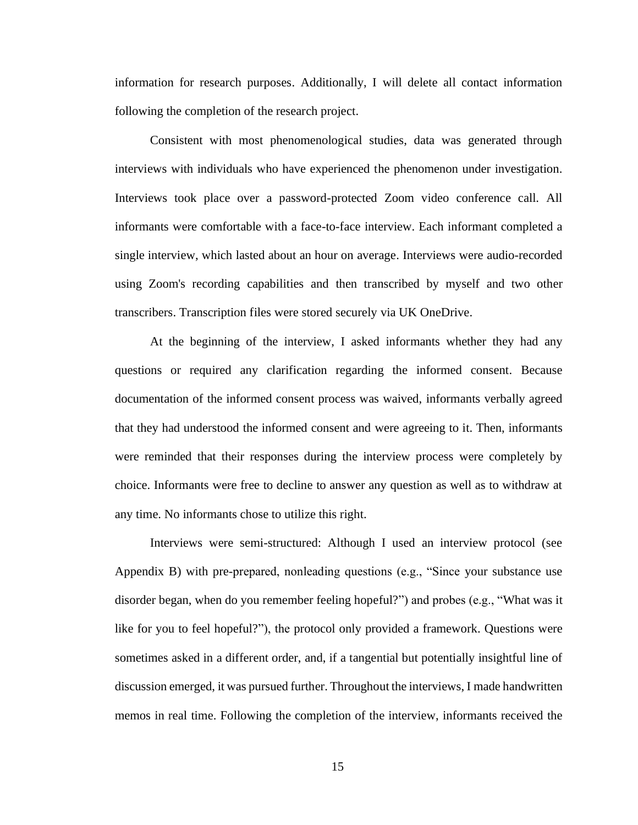information for research purposes. Additionally, I will delete all contact information following the completion of the research project.

Consistent with most phenomenological studies, data was generated through interviews with individuals who have experienced the phenomenon under investigation. Interviews took place over a password-protected Zoom video conference call. All informants were comfortable with a face-to-face interview. Each informant completed a single interview, which lasted about an hour on average. Interviews were audio-recorded using Zoom's recording capabilities and then transcribed by myself and two other transcribers. Transcription files were stored securely via UK OneDrive.

At the beginning of the interview, I asked informants whether they had any questions or required any clarification regarding the informed consent. Because documentation of the informed consent process was waived, informants verbally agreed that they had understood the informed consent and were agreeing to it. Then, informants were reminded that their responses during the interview process were completely by choice. Informants were free to decline to answer any question as well as to withdraw at any time. No informants chose to utilize this right.

Interviews were semi-structured: Although I used an interview protocol (see Appendix B) with pre-prepared, nonleading questions (e.g., "Since your substance use disorder began, when do you remember feeling hopeful?") and probes (e.g., "What was it like for you to feel hopeful?"), the protocol only provided a framework. Questions were sometimes asked in a different order, and, if a tangential but potentially insightful line of discussion emerged, it was pursued further. Throughout the interviews, I made handwritten memos in real time. Following the completion of the interview, informants received the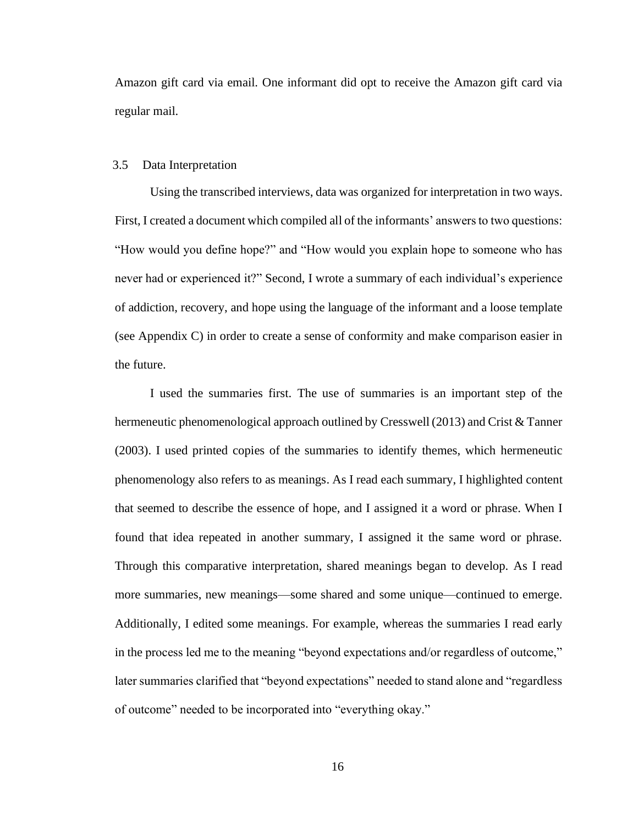Amazon gift card via email. One informant did opt to receive the Amazon gift card via regular mail.

#### <span id="page-24-0"></span>3.5 Data Interpretation

Using the transcribed interviews, data was organized for interpretation in two ways. First, I created a document which compiled all of the informants' answers to two questions: "How would you define hope?" and "How would you explain hope to someone who has never had or experienced it?" Second, I wrote a summary of each individual's experience of addiction, recovery, and hope using the language of the informant and a loose template (see Appendix C) in order to create a sense of conformity and make comparison easier in the future.

I used the summaries first. The use of summaries is an important step of the hermeneutic phenomenological approach outlined by Cresswell (2013) and Crist & Tanner (2003). I used printed copies of the summaries to identify themes, which hermeneutic phenomenology also refers to as meanings. As I read each summary, I highlighted content that seemed to describe the essence of hope, and I assigned it a word or phrase. When I found that idea repeated in another summary, I assigned it the same word or phrase. Through this comparative interpretation, shared meanings began to develop. As I read more summaries, new meanings—some shared and some unique—continued to emerge. Additionally, I edited some meanings. For example, whereas the summaries I read early in the process led me to the meaning "beyond expectations and/or regardless of outcome," later summaries clarified that "beyond expectations" needed to stand alone and "regardless of outcome" needed to be incorporated into "everything okay."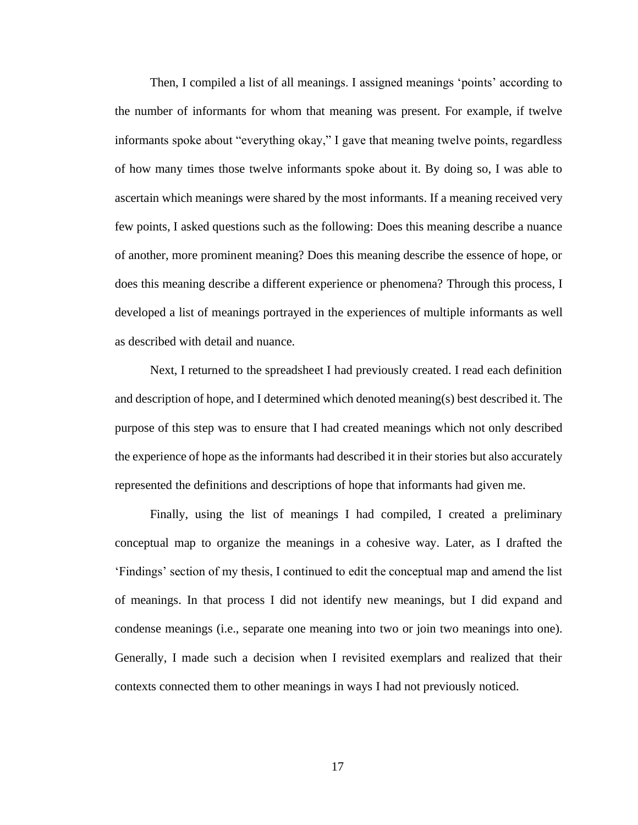Then, I compiled a list of all meanings. I assigned meanings 'points' according to the number of informants for whom that meaning was present. For example, if twelve informants spoke about "everything okay," I gave that meaning twelve points, regardless of how many times those twelve informants spoke about it. By doing so, I was able to ascertain which meanings were shared by the most informants. If a meaning received very few points, I asked questions such as the following: Does this meaning describe a nuance of another, more prominent meaning? Does this meaning describe the essence of hope, or does this meaning describe a different experience or phenomena? Through this process, I developed a list of meanings portrayed in the experiences of multiple informants as well as described with detail and nuance.

Next, I returned to the spreadsheet I had previously created. I read each definition and description of hope, and I determined which denoted meaning(s) best described it. The purpose of this step was to ensure that I had created meanings which not only described the experience of hope as the informants had described it in their stories but also accurately represented the definitions and descriptions of hope that informants had given me.

Finally, using the list of meanings I had compiled, I created a preliminary conceptual map to organize the meanings in a cohesive way. Later, as I drafted the 'Findings' section of my thesis, I continued to edit the conceptual map and amend the list of meanings. In that process I did not identify new meanings, but I did expand and condense meanings (i.e., separate one meaning into two or join two meanings into one). Generally, I made such a decision when I revisited exemplars and realized that their contexts connected them to other meanings in ways I had not previously noticed.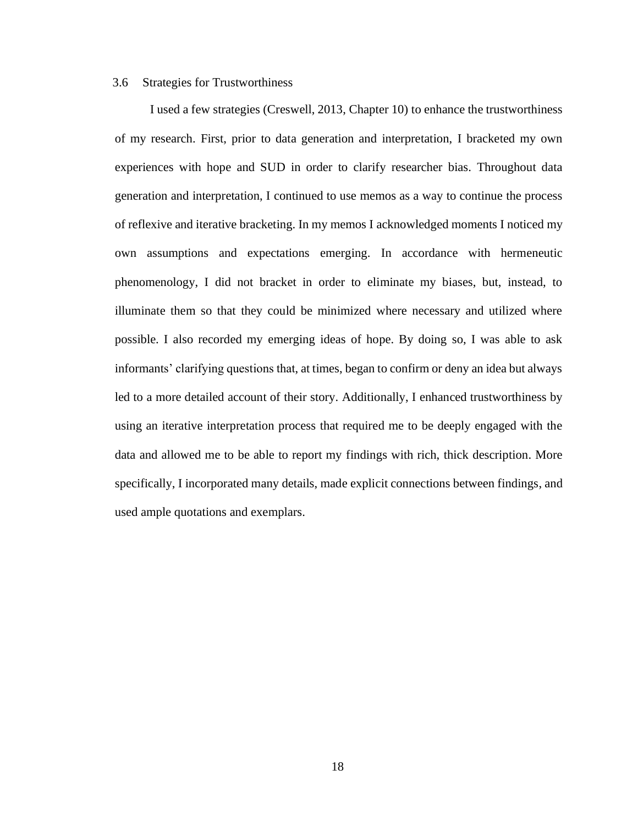### <span id="page-26-0"></span>3.6 Strategies for Trustworthiness

I used a few strategies (Creswell, 2013, Chapter 10) to enhance the trustworthiness of my research. First, prior to data generation and interpretation, I bracketed my own experiences with hope and SUD in order to clarify researcher bias. Throughout data generation and interpretation, I continued to use memos as a way to continue the process of reflexive and iterative bracketing. In my memos I acknowledged moments I noticed my own assumptions and expectations emerging. In accordance with hermeneutic phenomenology, I did not bracket in order to eliminate my biases, but, instead, to illuminate them so that they could be minimized where necessary and utilized where possible. I also recorded my emerging ideas of hope. By doing so, I was able to ask informants' clarifying questions that, at times, began to confirm or deny an idea but always led to a more detailed account of their story. Additionally, I enhanced trustworthiness by using an iterative interpretation process that required me to be deeply engaged with the data and allowed me to be able to report my findings with rich, thick description. More specifically, I incorporated many details, made explicit connections between findings, and used ample quotations and exemplars.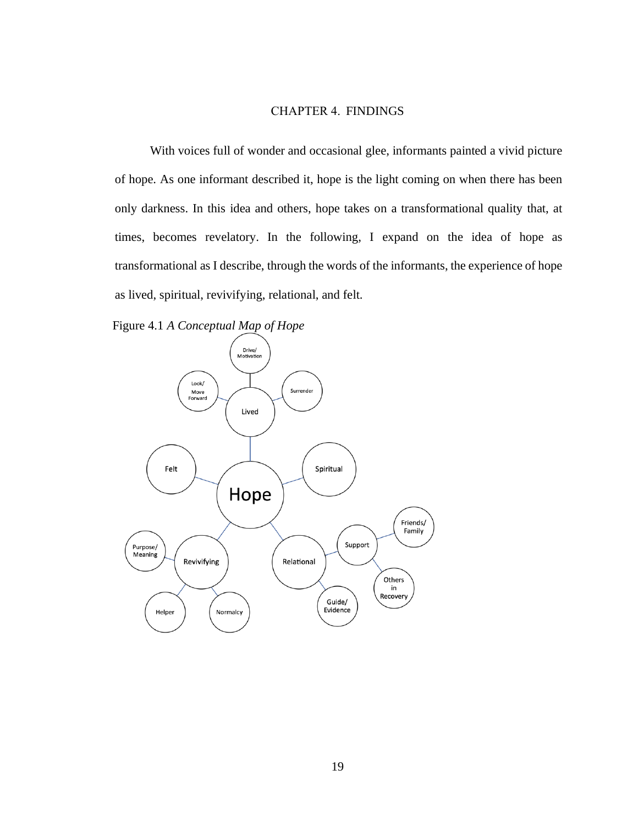## CHAPTER 4. FINDINGS

<span id="page-27-0"></span>With voices full of wonder and occasional glee, informants painted a vivid picture of hope. As one informant described it, hope is the light coming on when there has been only darkness. In this idea and others, hope takes on a transformational quality that, at times, becomes revelatory. In the following, I expand on the idea of hope as transformational as I describe, through the words of the informants, the experience of hope as lived, spiritual, revivifying, relational, and felt.

<span id="page-27-1"></span>Figure 4.1 *A Conceptual Map of Hope*

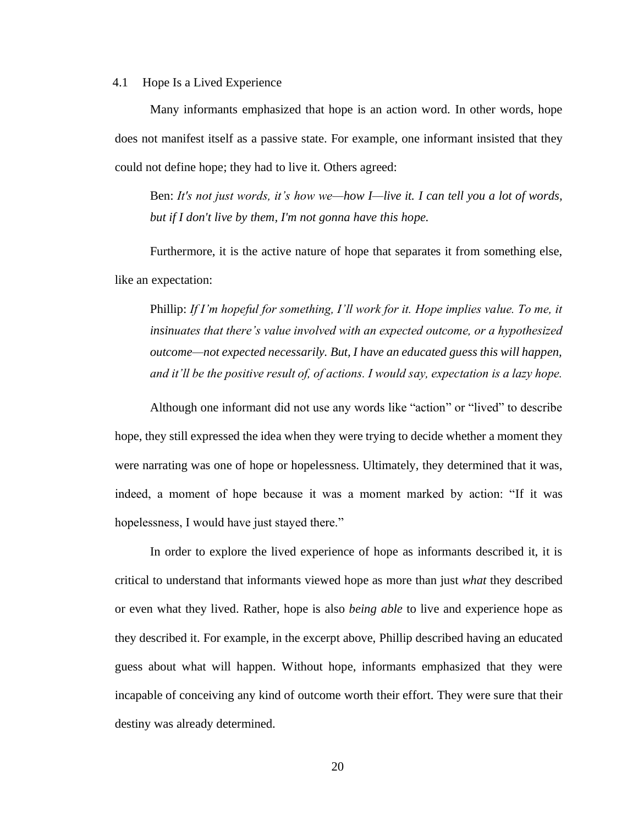#### <span id="page-28-0"></span>4.1 Hope Is a Lived Experience

Many informants emphasized that hope is an action word. In other words, hope does not manifest itself as a passive state. For example, one informant insisted that they could not define hope; they had to live it. Others agreed:

Ben: *It's not just words, it's how we—how I—live it. I can tell you a lot of words, but if I don't live by them, I'm not gonna have this hope.*

Furthermore, it is the active nature of hope that separates it from something else, like an expectation:

Phillip: *If I'm hopeful for something, I'll work for it. Hope implies value. To me, it insinuates that there's value involved with an expected outcome, or a hypothesized outcome—not expected necessarily. But, I have an educated guess this will happen, and it'll be the positive result of, of actions. I would say, expectation is a lazy hope.*

Although one informant did not use any words like "action" or "lived" to describe hope, they still expressed the idea when they were trying to decide whether a moment they were narrating was one of hope or hopelessness. Ultimately, they determined that it was, indeed, a moment of hope because it was a moment marked by action: "If it was hopelessness, I would have just stayed there."

In order to explore the lived experience of hope as informants described it, it is critical to understand that informants viewed hope as more than just *what* they described or even what they lived. Rather, hope is also *being able* to live and experience hope as they described it. For example, in the excerpt above, Phillip described having an educated guess about what will happen. Without hope, informants emphasized that they were incapable of conceiving any kind of outcome worth their effort. They were sure that their destiny was already determined.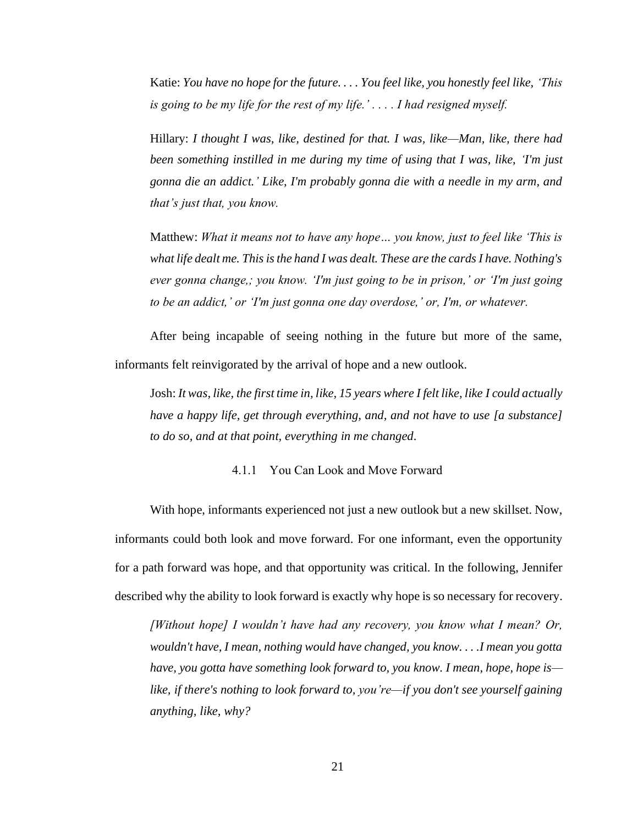Katie: *You have no hope for the future. . . . You feel like, you honestly feel like, 'This is going to be my life for the rest of my life.' . . . . I had resigned myself.*

Hillary: *I thought I was, like, destined for that. I was, like—Man, like, there had been something instilled in me during my time of using that I was, like, 'I'm just gonna die an addict.' Like, I'm probably gonna die with a needle in my arm, and that's just that, you know.*

Matthew: *What it means not to have any hope… you know, just to feel like 'This is what life dealt me. This is the hand I was dealt. These are the cards I have. Nothing's ever gonna change,; you know. 'I'm just going to be in prison,' or 'I'm just going to be an addict,' or 'I'm just gonna one day overdose,' or, I'm, or whatever.*

After being incapable of seeing nothing in the future but more of the same, informants felt reinvigorated by the arrival of hope and a new outlook.

Josh: *It was, like, the first time in, like, 15 years where I felt like, like I could actually have a happy life, get through everything, and, and not have to use [a substance] to do so, and at that point, everything in me changed.*

## 4.1.1 You Can Look and Move Forward

<span id="page-29-0"></span>With hope, informants experienced not just a new outlook but a new skillset. Now, informants could both look and move forward. For one informant, even the opportunity for a path forward was hope, and that opportunity was critical. In the following, Jennifer described why the ability to look forward is exactly why hope is so necessary for recovery.

*[Without hope] I wouldn't have had any recovery, you know what I mean? Or, wouldn't have, I mean, nothing would have changed, you know. . . .I mean you gotta have, you gotta have something look forward to, you know. I mean, hope, hope is like, if there's nothing to look forward to, you're—if you don't see yourself gaining anything, like, why?*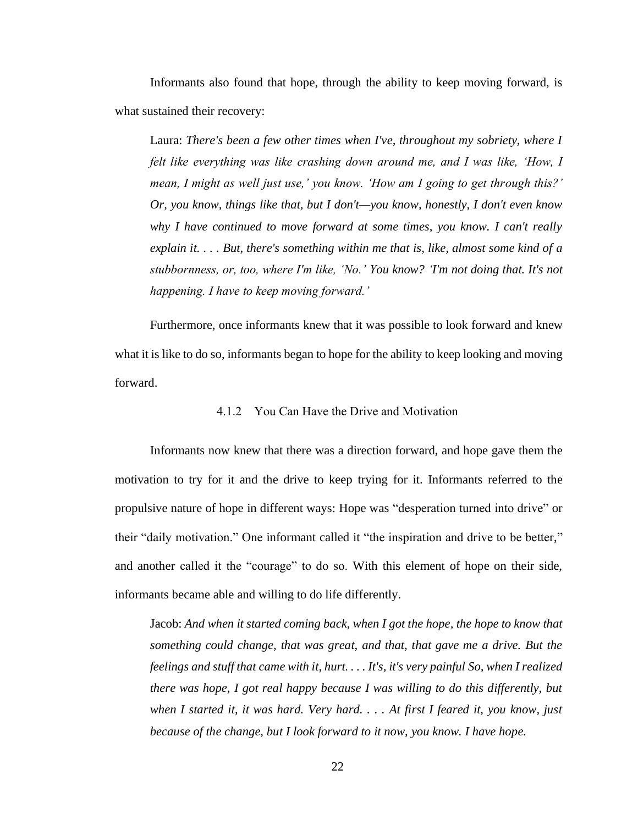Informants also found that hope, through the ability to keep moving forward, is what sustained their recovery:

Laura: *There's been a few other times when I've, throughout my sobriety, where I felt like everything was like crashing down around me, and I was like, 'How, I mean, I might as well just use,' you know. 'How am I going to get through this?' Or, you know, things like that, but I don't—you know, honestly, I don't even know why I have continued to move forward at some times, you know. I can't really explain it. . . . But, there's something within me that is, like, almost some kind of a stubbornness, or, too, where I'm like, 'No.' You know? 'I'm not doing that. It's not happening. I have to keep moving forward.'*

Furthermore, once informants knew that it was possible to look forward and knew what it is like to do so, informants began to hope for the ability to keep looking and moving forward.

## 4.1.2 You Can Have the Drive and Motivation

<span id="page-30-0"></span>Informants now knew that there was a direction forward, and hope gave them the motivation to try for it and the drive to keep trying for it. Informants referred to the propulsive nature of hope in different ways: Hope was "desperation turned into drive" or their "daily motivation." One informant called it "the inspiration and drive to be better," and another called it the "courage" to do so. With this element of hope on their side, informants became able and willing to do life differently.

Jacob: *And when it started coming back, when I got the hope, the hope to know that something could change, that was great, and that, that gave me a drive. But the feelings and stuff that came with it, hurt. . . . It's, it's very painful So, when I realized there was hope, I got real happy because I was willing to do this differently, but when I started it, it was hard. Very hard. . . . At first I feared it, you know, just because of the change, but I look forward to it now, you know. I have hope.*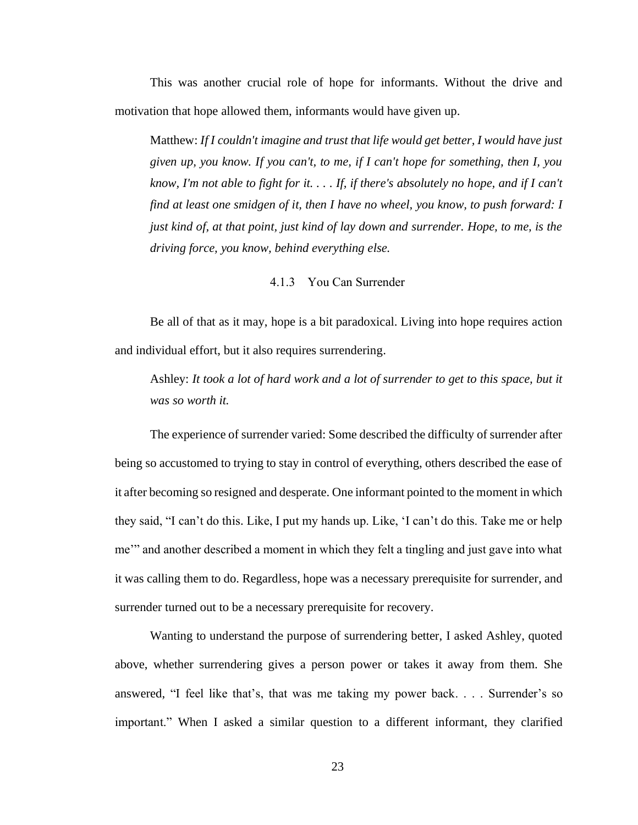This was another crucial role of hope for informants. Without the drive and motivation that hope allowed them, informants would have given up.

Matthew: *If I couldn't imagine and trust that life would get better, I would have just given up, you know. If you can't, to me, if I can't hope for something, then I, you know, I'm not able to fight for it. . . . If, if there's absolutely no hope, and if I can't find at least one smidgen of it, then I have no wheel, you know, to push forward: I just kind of, at that point, just kind of lay down and surrender. Hope, to me, is the driving force, you know, behind everything else.*

4.1.3 You Can Surrender

<span id="page-31-0"></span>Be all of that as it may, hope is a bit paradoxical. Living into hope requires action and individual effort, but it also requires surrendering.

Ashley: *It took a lot of hard work and a lot of surrender to get to this space, but it was so worth it.*

The experience of surrender varied: Some described the difficulty of surrender after being so accustomed to trying to stay in control of everything, others described the ease of it after becoming so resigned and desperate. One informant pointed to the moment in which they said, "I can't do this. Like, I put my hands up. Like, 'I can't do this. Take me or help me'" and another described a moment in which they felt a tingling and just gave into what it was calling them to do. Regardless, hope was a necessary prerequisite for surrender, and surrender turned out to be a necessary prerequisite for recovery.

Wanting to understand the purpose of surrendering better, I asked Ashley, quoted above, whether surrendering gives a person power or takes it away from them. She answered, "I feel like that's, that was me taking my power back. . . . Surrender's so important." When I asked a similar question to a different informant, they clarified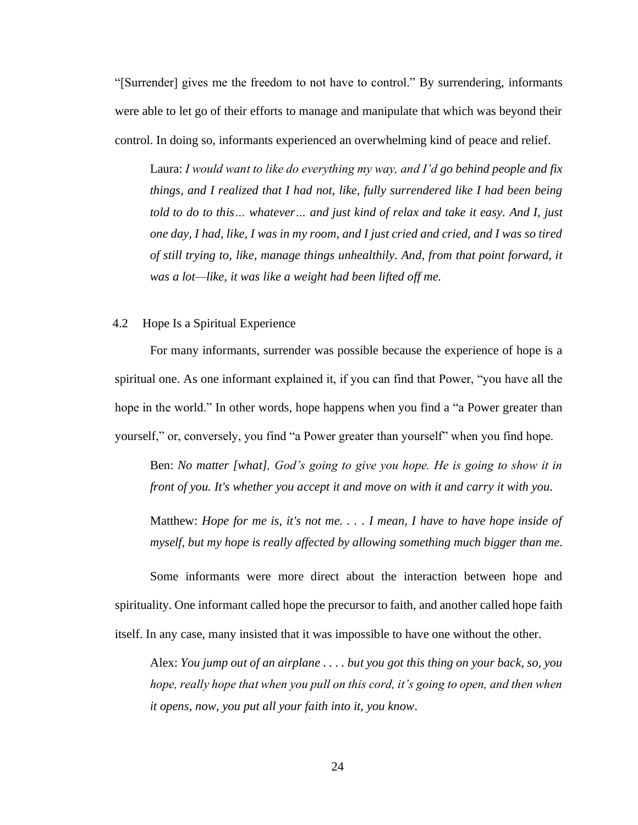"[Surrender] gives me the freedom to not have to control." By surrendering, informants were able to let go of their efforts to manage and manipulate that which was beyond their control. In doing so, informants experienced an overwhelming kind of peace and relief.

Laura: *I would want to like do everything my way, and I'd go behind people and fix things, and I realized that I had not, like, fully surrendered like I had been being told to do to this… whatever… and just kind of relax and take it easy. And I, just one day, I had, like, I was in my room, and I just cried and cried, and I was so tired of still trying to, like, manage things unhealthily. And, from that point forward, it was a lot—like, it was like a weight had been lifted off me.*

## <span id="page-32-0"></span>4.2 Hope Is a Spiritual Experience

For many informants, surrender was possible because the experience of hope is a spiritual one. As one informant explained it, if you can find that Power, "you have all the hope in the world." In other words, hope happens when you find a "a Power greater than yourself," or, conversely, you find "a Power greater than yourself" when you find hope.

Ben: *No matter [what], God's going to give you hope. He is going to show it in front of you. It's whether you accept it and move on with it and carry it with you*.

Matthew: *Hope for me is, it's not me. . . . I mean, I have to have hope inside of myself, but my hope is really affected by allowing something much bigger than me.*

Some informants were more direct about the interaction between hope and spirituality. One informant called hope the precursor to faith, and another called hope faith itself. In any case, many insisted that it was impossible to have one without the other.

Alex: *You jump out of an airplane . . . . but you got this thing on your back, so, you hope, really hope that when you pull on this cord, it's going to open, and then when it opens, now, you put all your faith into it, you know.*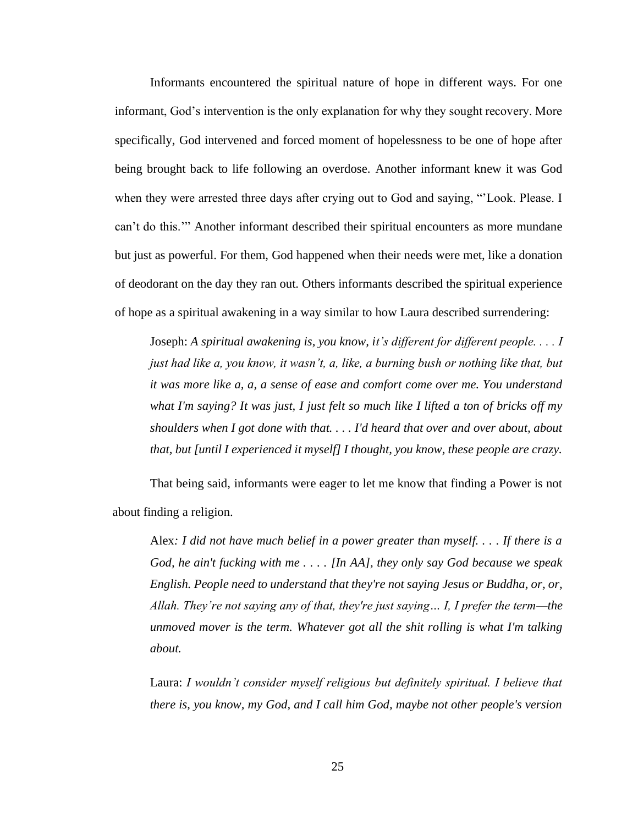Informants encountered the spiritual nature of hope in different ways. For one informant, God's intervention is the only explanation for why they sought recovery. More specifically, God intervened and forced moment of hopelessness to be one of hope after being brought back to life following an overdose. Another informant knew it was God when they were arrested three days after crying out to God and saying, "'Look. Please. I can't do this.'" Another informant described their spiritual encounters as more mundane but just as powerful. For them, God happened when their needs were met, like a donation of deodorant on the day they ran out. Others informants described the spiritual experience of hope as a spiritual awakening in a way similar to how Laura described surrendering:

Joseph: *A spiritual awakening is, you know, it's different for different people. . . . I just had like a, you know, it wasn't, a, like, a burning bush or nothing like that, but it was more like a, a, a sense of ease and comfort come over me. You understand what I'm saying? It was just, I just felt so much like I lifted a ton of bricks off my shoulders when I got done with that. . . . I'd heard that over and over about, about that, but [until I experienced it myself] I thought, you know, these people are crazy.*

That being said, informants were eager to let me know that finding a Power is not about finding a religion.

Alex*: I did not have much belief in a power greater than myself. . . . If there is a God, he ain't fucking with me . . . . [In AA], they only say God because we speak English. People need to understand that they're not saying Jesus or Buddha, or, or, Allah. They're not saying any of that, they're just saying… I, I prefer the term—the unmoved mover is the term. Whatever got all the shit rolling is what I'm talking about.*

Laura: *I wouldn't consider myself religious but definitely spiritual. I believe that there is, you know, my God, and I call him God, maybe not other people's version*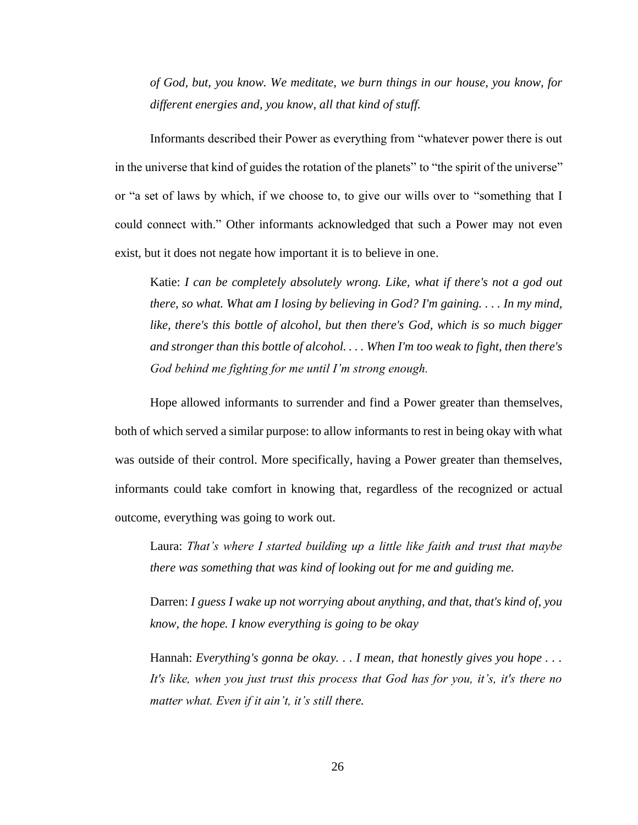*of God, but, you know. We meditate, we burn things in our house, you know, for different energies and, you know, all that kind of stuff.*

Informants described their Power as everything from "whatever power there is out in the universe that kind of guides the rotation of the planets" to "the spirit of the universe" or "a set of laws by which, if we choose to, to give our wills over to "something that I could connect with." Other informants acknowledged that such a Power may not even exist, but it does not negate how important it is to believe in one.

Katie: *I can be completely absolutely wrong. Like, what if there's not a god out there, so what. What am I losing by believing in God? I'm gaining. . . . In my mind, like, there's this bottle of alcohol, but then there's God, which is so much bigger and stronger than this bottle of alcohol. . . . When I'm too weak to fight, then there's God behind me fighting for me until I'm strong enough.*

Hope allowed informants to surrender and find a Power greater than themselves, both of which served a similar purpose: to allow informants to rest in being okay with what was outside of their control. More specifically, having a Power greater than themselves, informants could take comfort in knowing that, regardless of the recognized or actual outcome, everything was going to work out.

Laura: *That's where I started building up a little like faith and trust that maybe there was something that was kind of looking out for me and guiding me.*

Darren: *I guess I wake up not worrying about anything, and that, that's kind of, you know, the hope. I know everything is going to be okay*

Hannah: *Everything's gonna be okay. . . I mean, that honestly gives you hope . . . It's like, when you just trust this process that God has for you, it's, it's there no matter what. Even if it ain't, it's still there.*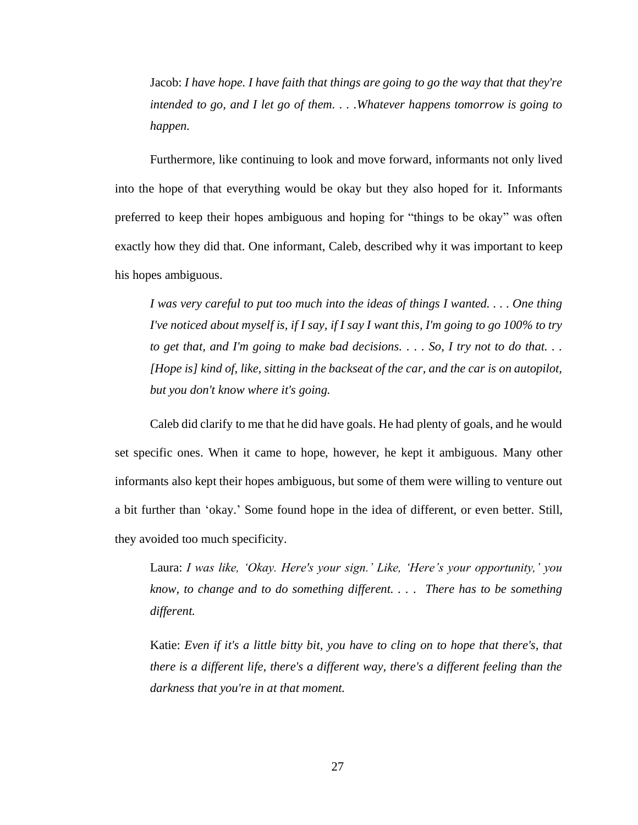Jacob: *I have hope. I have faith that things are going to go the way that that they're intended to go, and I let go of them. . . .Whatever happens tomorrow is going to happen.*

Furthermore, like continuing to look and move forward, informants not only lived into the hope of that everything would be okay but they also hoped for it. Informants preferred to keep their hopes ambiguous and hoping for "things to be okay" was often exactly how they did that. One informant, Caleb, described why it was important to keep his hopes ambiguous.

*I was very careful to put too much into the ideas of things I wanted. . . . One thing I've noticed about myself is, if I say, if I say I want this, I'm going to go 100% to try to get that, and I'm going to make bad decisions. . . . So, I try not to do that. . . [Hope is] kind of, like, sitting in the backseat of the car, and the car is on autopilot, but you don't know where it's going.*

Caleb did clarify to me that he did have goals. He had plenty of goals, and he would set specific ones. When it came to hope, however, he kept it ambiguous. Many other informants also kept their hopes ambiguous, but some of them were willing to venture out a bit further than 'okay.' Some found hope in the idea of different, or even better. Still, they avoided too much specificity.

Laura: *I was like, 'Okay. Here's your sign.' Like, 'Here's your opportunity,' you know, to change and to do something different. . . . There has to be something different.*

Katie: *Even if it's a little bitty bit, you have to cling on to hope that there's, that there is a different life, there's a different way, there's a different feeling than the darkness that you're in at that moment.*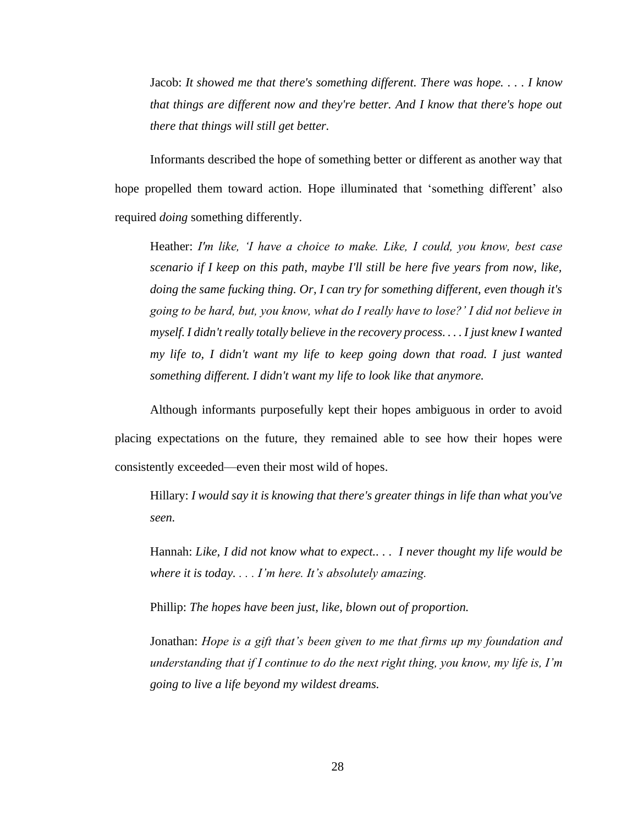Jacob: *It showed me that there's something different. There was hope. . . . I know that things are different now and they're better. And I know that there's hope out there that things will still get better.* 

Informants described the hope of something better or different as another way that hope propelled them toward action. Hope illuminated that 'something different' also required *doing* something differently.

Heather: *I'm like, 'I have a choice to make. Like, I could, you know, best case scenario if I keep on this path, maybe I'll still be here five years from now, like, doing the same fucking thing. Or, I can try for something different, even though it's going to be hard, but, you know, what do I really have to lose?' I did not believe in myself. I didn't really totally believe in the recovery process. . . . I just knew I wanted my life to, I didn't want my life to keep going down that road. I just wanted something different. I didn't want my life to look like that anymore.*

Although informants purposefully kept their hopes ambiguous in order to avoid placing expectations on the future, they remained able to see how their hopes were consistently exceeded—even their most wild of hopes.

Hillary: *I would say it is knowing that there's greater things in life than what you've seen.*

Hannah: *Like, I did not know what to expect.. . . I never thought my life would be where it is today. . . . I'm here. It's absolutely amazing.*

Phillip: *The hopes have been just, like, blown out of proportion.*

Jonathan: *Hope is a gift that's been given to me that firms up my foundation and understanding that if I continue to do the next right thing, you know, my life is, I'm going to live a life beyond my wildest dreams.*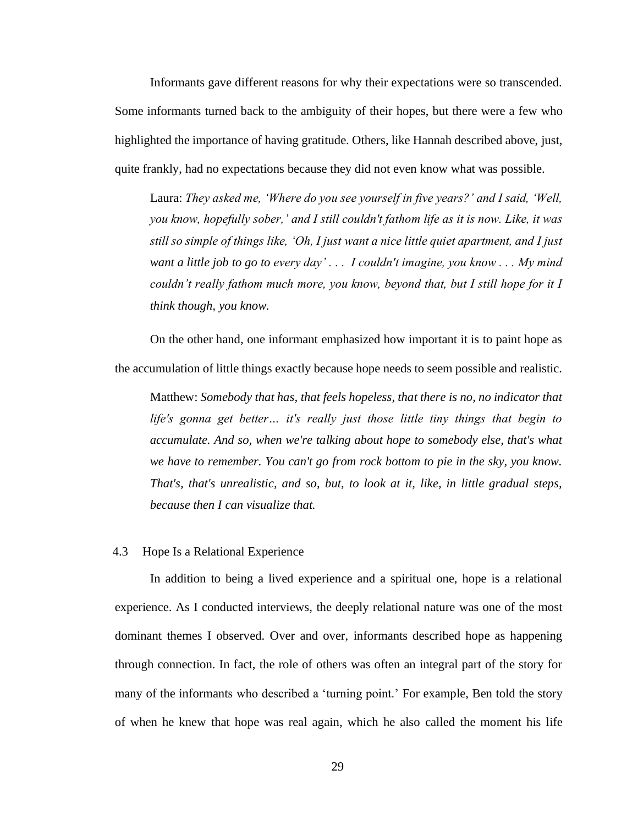Informants gave different reasons for why their expectations were so transcended. Some informants turned back to the ambiguity of their hopes, but there were a few who highlighted the importance of having gratitude. Others, like Hannah described above, just, quite frankly, had no expectations because they did not even know what was possible.

Laura: *They asked me, 'Where do you see yourself in five years?' and I said, 'Well, you know, hopefully sober,' and I still couldn't fathom life as it is now. Like, it was still so simple of things like, 'Oh, I just want a nice little quiet apartment, and I just want a little job to go to every day' . . . I couldn't imagine, you know . . . My mind couldn't really fathom much more, you know, beyond that, but I still hope for it I think though, you know.*

On the other hand, one informant emphasized how important it is to paint hope as the accumulation of little things exactly because hope needs to seem possible and realistic.

Matthew: *Somebody that has, that feels hopeless, that there is no, no indicator that life's gonna get better… it's really just those little tiny things that begin to accumulate. And so, when we're talking about hope to somebody else, that's what we have to remember. You can't go from rock bottom to pie in the sky, you know. That's, that's unrealistic, and so, but, to look at it, like, in little gradual steps, because then I can visualize that.*

### 4.3 Hope Is a Relational Experience

In addition to being a lived experience and a spiritual one, hope is a relational experience. As I conducted interviews, the deeply relational nature was one of the most dominant themes I observed. Over and over, informants described hope as happening through connection. In fact, the role of others was often an integral part of the story for many of the informants who described a 'turning point.' For example, Ben told the story of when he knew that hope was real again, which he also called the moment his life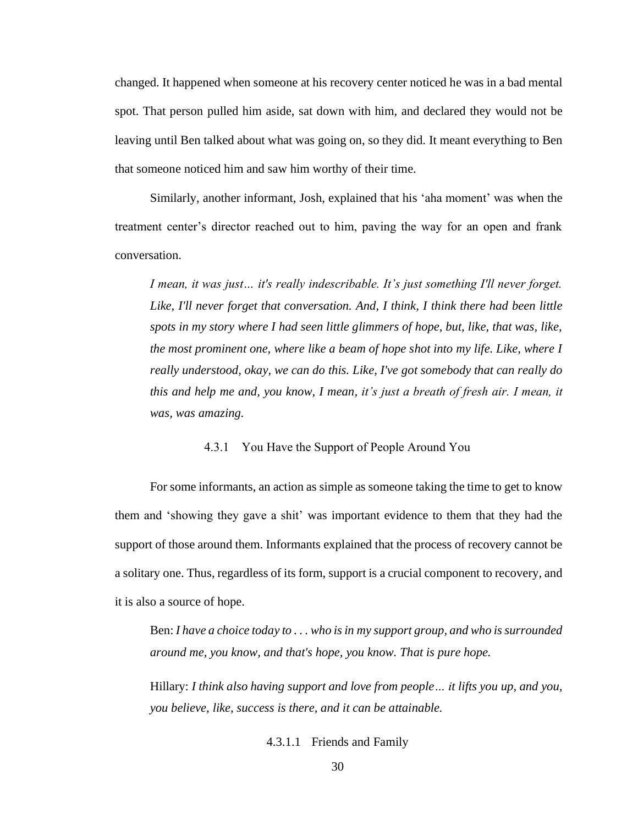changed. It happened when someone at his recovery center noticed he was in a bad mental spot. That person pulled him aside, sat down with him, and declared they would not be leaving until Ben talked about what was going on, so they did. It meant everything to Ben that someone noticed him and saw him worthy of their time.

Similarly, another informant, Josh, explained that his 'aha moment' was when the treatment center's director reached out to him, paving the way for an open and frank conversation.

*I mean, it was just… it's really indescribable. It's just something I'll never forget. Like, I'll never forget that conversation. And, I think, I think there had been little spots in my story where I had seen little glimmers of hope, but, like, that was, like, the most prominent one, where like a beam of hope shot into my life. Like, where I really understood, okay, we can do this. Like, I've got somebody that can really do this and help me and, you know, I mean, it's just a breath of fresh air. I mean, it was, was amazing.*

4.3.1 You Have the Support of People Around You

For some informants, an action as simple as someone taking the time to get to know them and 'showing they gave a shit' was important evidence to them that they had the support of those around them. Informants explained that the process of recovery cannot be a solitary one. Thus, regardless of its form, support is a crucial component to recovery, and it is also a source of hope.

Ben: *I have a choice today to . . . who is in my support group, and who is surrounded around me, you know, and that's hope, you know. That is pure hope.*

Hillary: *I think also having support and love from people… it lifts you up, and you, you believe, like, success is there, and it can be attainable.*

4.3.1.1 Friends and Family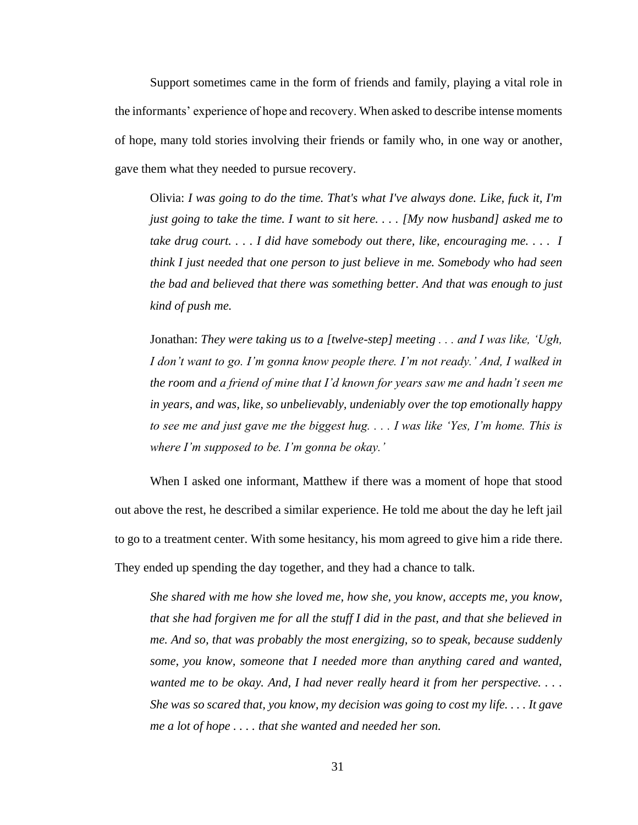Support sometimes came in the form of friends and family, playing a vital role in the informants' experience of hope and recovery. When asked to describe intense moments of hope, many told stories involving their friends or family who, in one way or another, gave them what they needed to pursue recovery.

Olivia: *I was going to do the time. That's what I've always done. Like, fuck it, I'm just going to take the time. I want to sit here. . . . [My now husband] asked me to take drug court. . . . I did have somebody out there, like, encouraging me. . . . I think I just needed that one person to just believe in me. Somebody who had seen the bad and believed that there was something better. And that was enough to just kind of push me.*

Jonathan: *They were taking us to a [twelve-step] meeting . . . and I was like, 'Ugh, I don't want to go. I'm gonna know people there. I'm not ready.' And, I walked in the room and a friend of mine that I'd known for years saw me and hadn't seen me in years, and was, like, so unbelievably, undeniably over the top emotionally happy to see me and just gave me the biggest hug. . . . I was like 'Yes, I'm home. This is where I'm supposed to be. I'm gonna be okay.'*

When I asked one informant, Matthew if there was a moment of hope that stood out above the rest, he described a similar experience. He told me about the day he left jail to go to a treatment center. With some hesitancy, his mom agreed to give him a ride there. They ended up spending the day together, and they had a chance to talk.

*She shared with me how she loved me, how she, you know, accepts me, you know, that she had forgiven me for all the stuff I did in the past, and that she believed in me. And so, that was probably the most energizing, so to speak, because suddenly some, you know, someone that I needed more than anything cared and wanted, wanted me to be okay. And, I had never really heard it from her perspective. . . . She was so scared that, you know, my decision was going to cost my life. . . . It gave me a lot of hope . . . . that she wanted and needed her son.*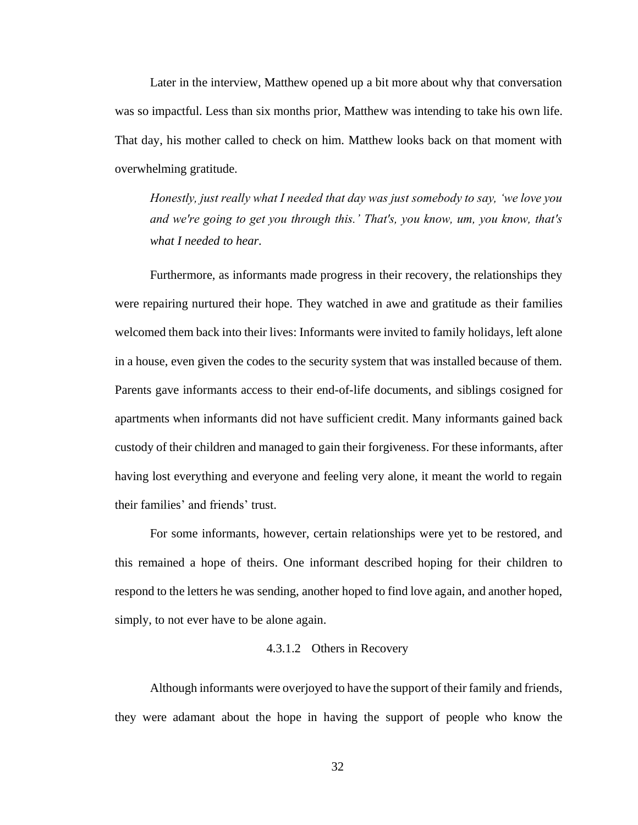Later in the interview, Matthew opened up a bit more about why that conversation was so impactful. Less than six months prior, Matthew was intending to take his own life. That day, his mother called to check on him. Matthew looks back on that moment with overwhelming gratitude.

*Honestly, just really what I needed that day was just somebody to say, 'we love you and we're going to get you through this.' That's, you know, um, you know, that's what I needed to hear.*

Furthermore, as informants made progress in their recovery, the relationships they were repairing nurtured their hope. They watched in awe and gratitude as their families welcomed them back into their lives: Informants were invited to family holidays, left alone in a house, even given the codes to the security system that was installed because of them. Parents gave informants access to their end-of-life documents, and siblings cosigned for apartments when informants did not have sufficient credit. Many informants gained back custody of their children and managed to gain their forgiveness. For these informants, after having lost everything and everyone and feeling very alone, it meant the world to regain their families' and friends' trust.

For some informants, however, certain relationships were yet to be restored, and this remained a hope of theirs. One informant described hoping for their children to respond to the letters he was sending, another hoped to find love again, and another hoped, simply, to not ever have to be alone again.

### 4.3.1.2 Others in Recovery

Although informants were overjoyed to have the support of their family and friends, they were adamant about the hope in having the support of people who know the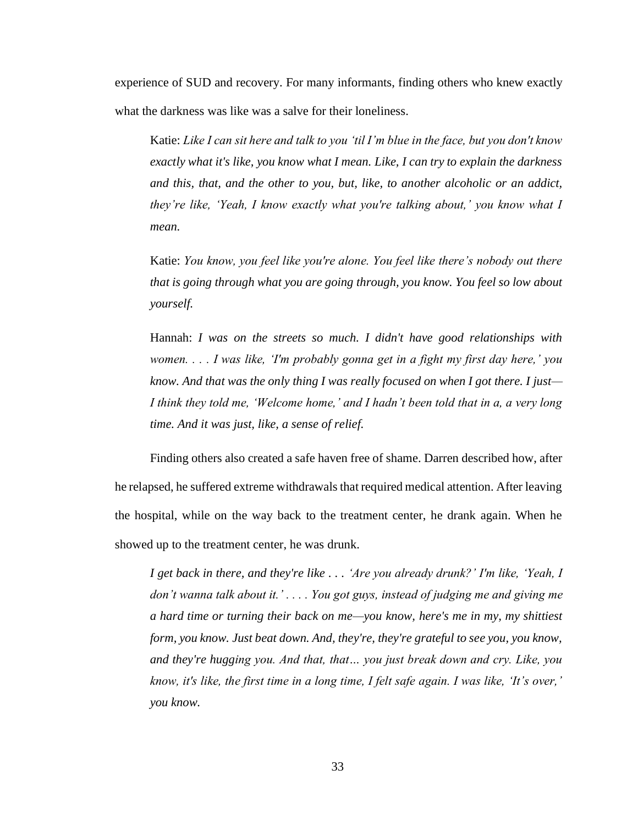experience of SUD and recovery. For many informants, finding others who knew exactly what the darkness was like was a salve for their loneliness.

Katie: *Like I can sit here and talk to you 'til I'm blue in the face, but you don't know exactly what it's like, you know what I mean. Like, I can try to explain the darkness and this, that, and the other to you, but, like, to another alcoholic or an addict, they're like, 'Yeah, I know exactly what you're talking about,' you know what I mean.*

Katie: *You know, you feel like you're alone. You feel like there's nobody out there that is going through what you are going through, you know. You feel so low about yourself.*

Hannah: *I was on the streets so much. I didn't have good relationships with women. . . . I was like, 'I'm probably gonna get in a fight my first day here,' you know. And that was the only thing I was really focused on when I got there. I just— I think they told me, 'Welcome home,' and I hadn't been told that in a, a very long time. And it was just, like, a sense of relief.*

Finding others also created a safe haven free of shame. Darren described how, after he relapsed, he suffered extreme withdrawals that required medical attention. After leaving the hospital, while on the way back to the treatment center, he drank again. When he showed up to the treatment center, he was drunk.

*I get back in there, and they're like . . . 'Are you already drunk?' I'm like, 'Yeah, I don't wanna talk about it.' . . . . You got guys, instead of judging me and giving me a hard time or turning their back on me—you know, here's me in my, my shittiest form, you know. Just beat down. And, they're, they're grateful to see you, you know, and they're hugging you. And that, that… you just break down and cry. Like, you know, it's like, the first time in a long time, I felt safe again. I was like, 'It's over,' you know.*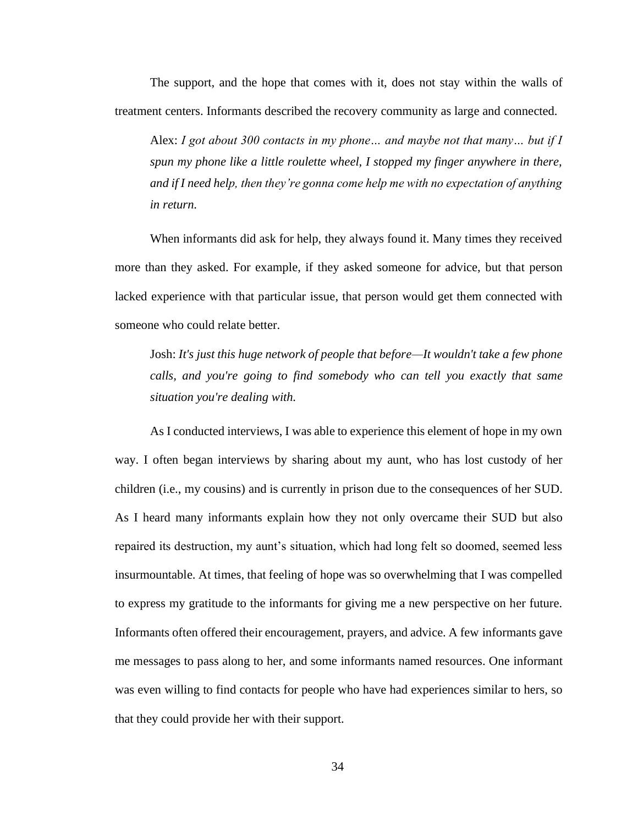The support, and the hope that comes with it, does not stay within the walls of treatment centers. Informants described the recovery community as large and connected.

Alex: *I got about 300 contacts in my phone… and maybe not that many… but if I spun my phone like a little roulette wheel, I stopped my finger anywhere in there, and if I need help, then they're gonna come help me with no expectation of anything in return.*

When informants did ask for help, they always found it. Many times they received more than they asked. For example, if they asked someone for advice, but that person lacked experience with that particular issue, that person would get them connected with someone who could relate better.

Josh: *It's just this huge network of people that before—It wouldn't take a few phone calls, and you're going to find somebody who can tell you exactly that same situation you're dealing with.*

As I conducted interviews, I was able to experience this element of hope in my own way. I often began interviews by sharing about my aunt, who has lost custody of her children (i.e., my cousins) and is currently in prison due to the consequences of her SUD. As I heard many informants explain how they not only overcame their SUD but also repaired its destruction, my aunt's situation, which had long felt so doomed, seemed less insurmountable. At times, that feeling of hope was so overwhelming that I was compelled to express my gratitude to the informants for giving me a new perspective on her future. Informants often offered their encouragement, prayers, and advice. A few informants gave me messages to pass along to her, and some informants named resources. One informant was even willing to find contacts for people who have had experiences similar to hers, so that they could provide her with their support.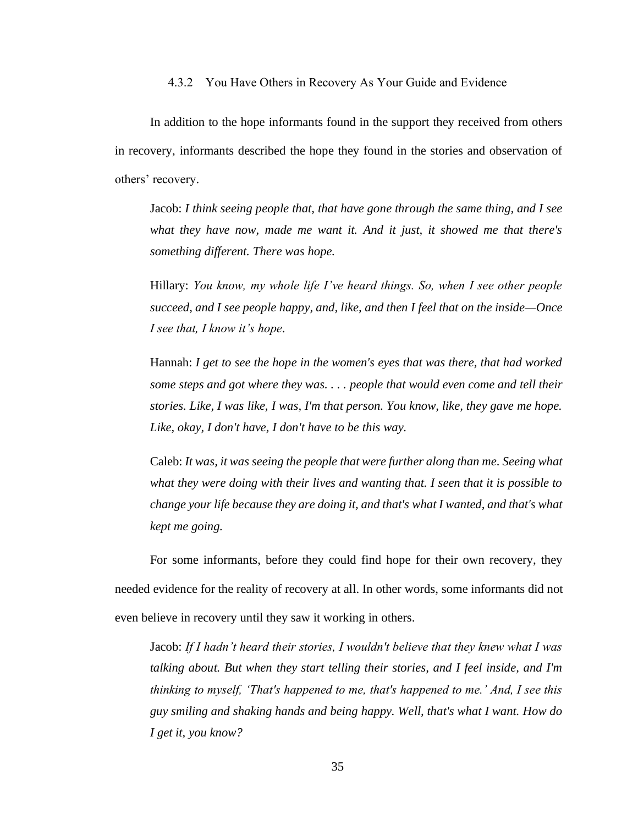#### 4.3.2 You Have Others in Recovery As Your Guide and Evidence

In addition to the hope informants found in the support they received from others in recovery, informants described the hope they found in the stories and observation of others' recovery.

Jacob: *I think seeing people that, that have gone through the same thing, and I see what they have now, made me want it. And it just, it showed me that there's something different. There was hope.*

Hillary: *You know, my whole life I've heard things. So, when I see other people succeed, and I see people happy, and, like, and then I feel that on the inside—Once I see that, I know it's hope*.

Hannah: *I get to see the hope in the women's eyes that was there, that had worked some steps and got where they was. . . . people that would even come and tell their stories. Like, I was like, I was, I'm that person. You know, like, they gave me hope. Like, okay, I don't have, I don't have to be this way.*

Caleb: *It was, it was seeing the people that were further along than me. Seeing what what they were doing with their lives and wanting that. I seen that it is possible to change your life because they are doing it, and that's what I wanted, and that's what kept me going.*

For some informants, before they could find hope for their own recovery, they needed evidence for the reality of recovery at all. In other words, some informants did not even believe in recovery until they saw it working in others.

Jacob: *If I hadn't heard their stories, I wouldn't believe that they knew what I was talking about. But when they start telling their stories, and I feel inside, and I'm thinking to myself, 'That's happened to me, that's happened to me.' And, I see this guy smiling and shaking hands and being happy. Well, that's what I want. How do I get it, you know?*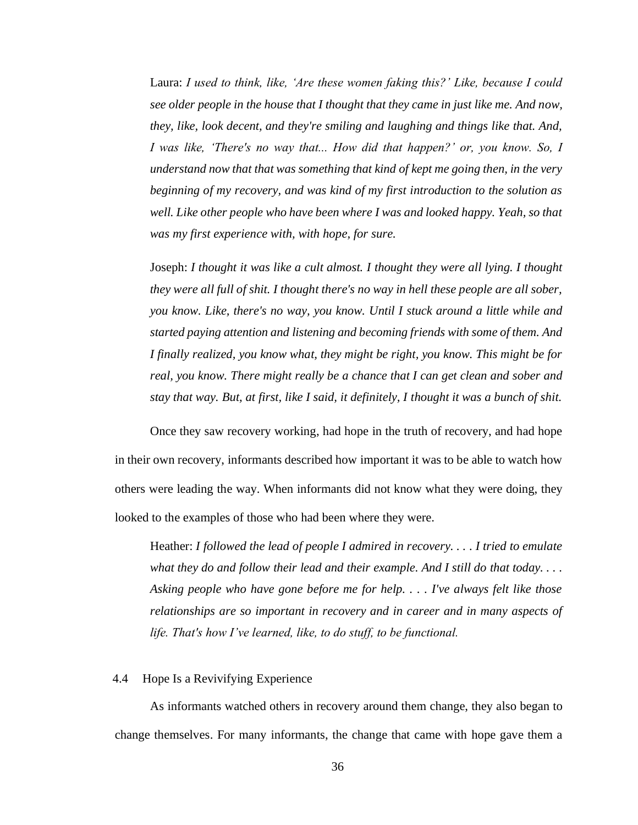Laura: *I used to think, like, 'Are these women faking this?' Like, because I could see older people in the house that I thought that they came in just like me. And now, they, like, look decent, and they're smiling and laughing and things like that. And, I was like, 'There's no way that... How did that happen?' or, you know. So, I understand now that that was something that kind of kept me going then, in the very beginning of my recovery, and was kind of my first introduction to the solution as well. Like other people who have been where I was and looked happy. Yeah, so that was my first experience with, with hope, for sure.*

Joseph: *I thought it was like a cult almost. I thought they were all lying. I thought they were all full of shit. I thought there's no way in hell these people are all sober, you know. Like, there's no way, you know. Until I stuck around a little while and started paying attention and listening and becoming friends with some of them. And I finally realized, you know what, they might be right, you know. This might be for real, you know. There might really be a chance that I can get clean and sober and stay that way. But, at first, like I said, it definitely, I thought it was a bunch of shit.*

Once they saw recovery working, had hope in the truth of recovery, and had hope in their own recovery, informants described how important it was to be able to watch how others were leading the way. When informants did not know what they were doing, they looked to the examples of those who had been where they were.

Heather: *I followed the lead of people I admired in recovery. . . . I tried to emulate what they do and follow their lead and their example. And I still do that today. . . . Asking people who have gone before me for help. . . . I've always felt like those relationships are so important in recovery and in career and in many aspects of life. That's how I've learned, like, to do stuff, to be functional.*

### 4.4 Hope Is a Revivifying Experience

As informants watched others in recovery around them change, they also began to change themselves. For many informants, the change that came with hope gave them a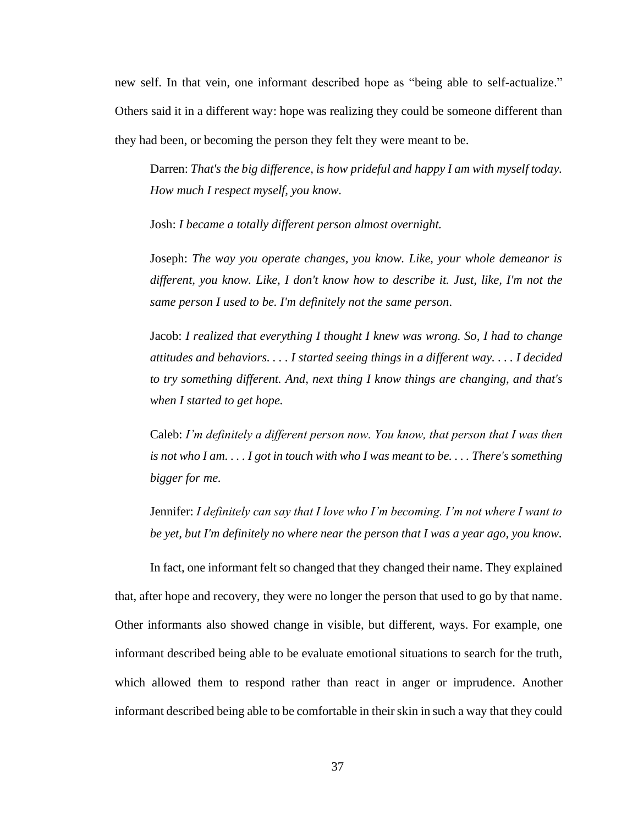new self. In that vein, one informant described hope as "being able to self-actualize." Others said it in a different way: hope was realizing they could be someone different than they had been, or becoming the person they felt they were meant to be.

Darren: *That's the big difference, is how prideful and happy I am with myself today. How much I respect myself, you know.*

Josh: *I became a totally different person almost overnight.*

Joseph: *The way you operate changes, you know. Like, your whole demeanor is different, you know. Like, I don't know how to describe it. Just, like, I'm not the same person I used to be. I'm definitely not the same person.*

Jacob: *I realized that everything I thought I knew was wrong. So, I had to change attitudes and behaviors. . . . I started seeing things in a different way. . . . I decided to try something different. And, next thing I know things are changing, and that's when I started to get hope.*

Caleb: *I'm definitely a different person now. You know, that person that I was then is not who I am. . . . I got in touch with who I was meant to be. . . . There's something bigger for me.*

Jennifer: *I definitely can say that I love who I'm becoming. I'm not where I want to be yet, but I'm definitely no where near the person that I was a year ago, you know.*

In fact, one informant felt so changed that they changed their name. They explained that, after hope and recovery, they were no longer the person that used to go by that name. Other informants also showed change in visible, but different, ways. For example, one informant described being able to be evaluate emotional situations to search for the truth, which allowed them to respond rather than react in anger or imprudence. Another informant described being able to be comfortable in their skin in such a way that they could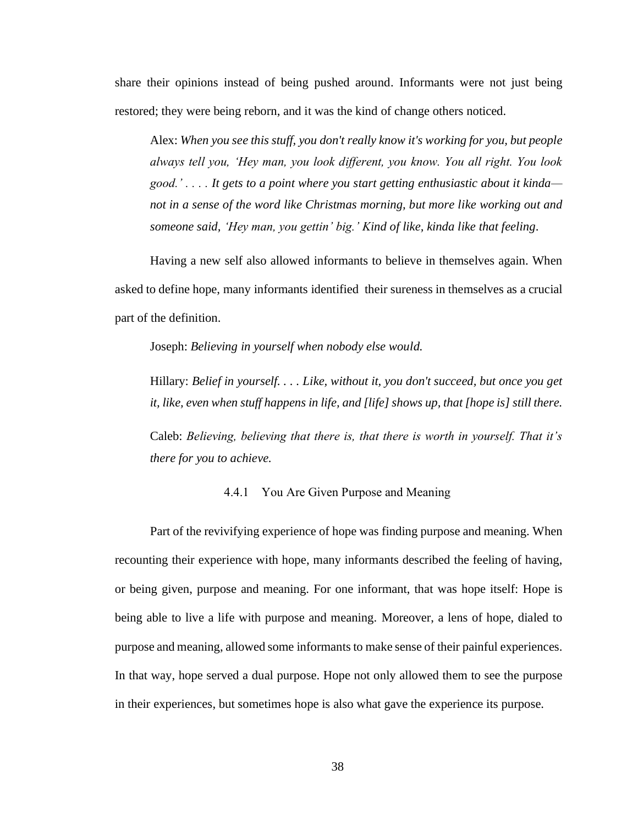share their opinions instead of being pushed around. Informants were not just being restored; they were being reborn, and it was the kind of change others noticed.

Alex: *When you see this stuff, you don't really know it's working for you, but people always tell you, 'Hey man, you look different, you know. You all right. You look good.' . . . . It gets to a point where you start getting enthusiastic about it kinda not in a sense of the word like Christmas morning, but more like working out and someone said, 'Hey man, you gettin' big.' Kind of like, kinda like that feeling*.

Having a new self also allowed informants to believe in themselves again. When asked to define hope, many informants identified their sureness in themselves as a crucial part of the definition.

Joseph: *Believing in yourself when nobody else would.*

Hillary: *Belief in yourself. . . . Like, without it, you don't succeed, but once you get it, like, even when stuff happens in life, and [life] shows up, that [hope is] still there.*

Caleb: *Believing, believing that there is, that there is worth in yourself. That it's there for you to achieve.*

### 4.4.1 You Are Given Purpose and Meaning

Part of the revivifying experience of hope was finding purpose and meaning. When recounting their experience with hope, many informants described the feeling of having, or being given, purpose and meaning. For one informant, that was hope itself: Hope is being able to live a life with purpose and meaning. Moreover, a lens of hope, dialed to purpose and meaning, allowed some informants to make sense of their painful experiences. In that way, hope served a dual purpose. Hope not only allowed them to see the purpose in their experiences, but sometimes hope is also what gave the experience its purpose.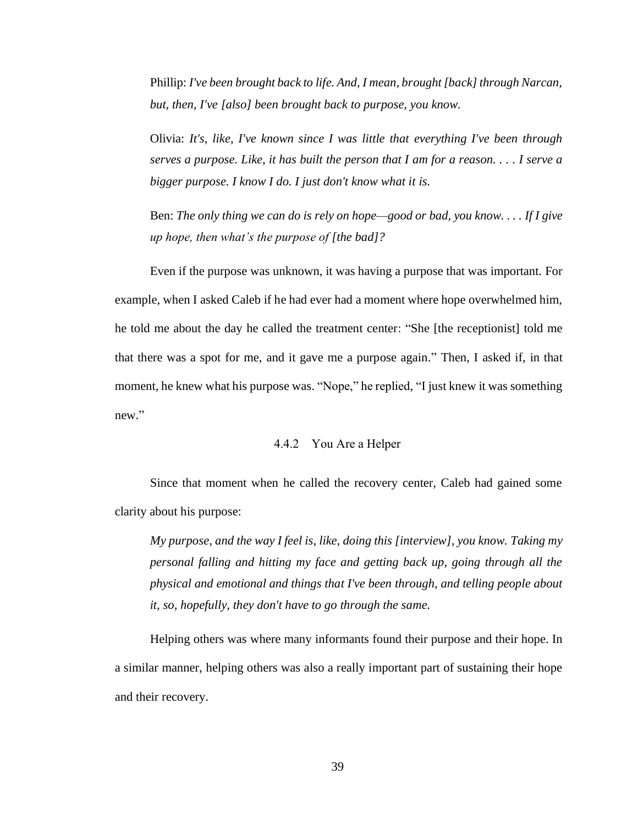Phillip: *I've been brought back to life. And, I mean, brought [back] through Narcan, but, then, I've [also] been brought back to purpose, you know.*

Olivia: *It's, like, I've known since I was little that everything I've been through serves a purpose. Like, it has built the person that I am for a reason. . . . I serve a bigger purpose. I know I do. I just don't know what it is.*

Ben: *The only thing we can do is rely on hope—good or bad, you know. . . . If I give up hope, then what's the purpose of [the bad]?*

Even if the purpose was unknown, it was having a purpose that was important. For example, when I asked Caleb if he had ever had a moment where hope overwhelmed him, he told me about the day he called the treatment center: "She [the receptionist] told me that there was a spot for me, and it gave me a purpose again*.*" Then, I asked if, in that moment, he knew what his purpose was. "Nope," he replied, "I just knew it was something new."

4.4.2 You Are a Helper

Since that moment when he called the recovery center, Caleb had gained some clarity about his purpose:

*My purpose, and the way I feel is, like, doing this [interview], you know. Taking my personal falling and hitting my face and getting back up, going through all the physical and emotional and things that I've been through, and telling people about it, so, hopefully, they don't have to go through the same.*

Helping others was where many informants found their purpose and their hope. In a similar manner, helping others was also a really important part of sustaining their hope and their recovery.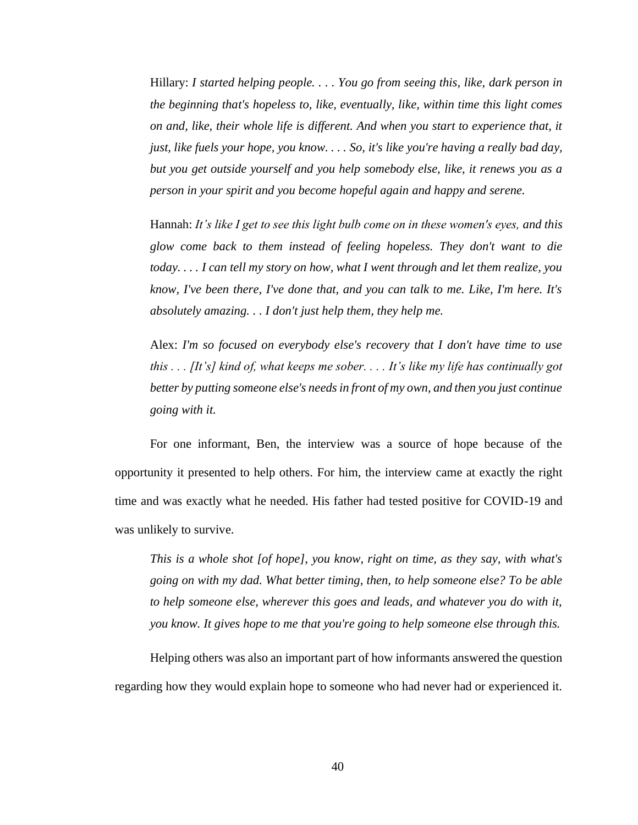Hillary: *I started helping people. . . . You go from seeing this, like, dark person in the beginning that's hopeless to, like, eventually, like, within time this light comes on and, like, their whole life is different. And when you start to experience that, it just, like fuels your hope, you know. . . . So, it's like you're having a really bad day, but you get outside yourself and you help somebody else, like, it renews you as a person in your spirit and you become hopeful again and happy and serene.*

Hannah: *It's like I get to see this light bulb come on in these women's eyes, and this glow come back to them instead of feeling hopeless. They don't want to die today. . . . I can tell my story on how, what I went through and let them realize, you know, I've been there, I've done that, and you can talk to me. Like, I'm here. It's absolutely amazing. . . I don't just help them, they help me.*

Alex: *I'm so focused on everybody else's recovery that I don't have time to use this . . . [It's] kind of, what keeps me sober. . . . It's like my life has continually got better by putting someone else's needs in front of my own, and then you just continue going with it.*

For one informant, Ben, the interview was a source of hope because of the opportunity it presented to help others. For him, the interview came at exactly the right time and was exactly what he needed. His father had tested positive for COVID-19 and was unlikely to survive.

*This is a whole shot [of hope], you know, right on time, as they say, with what's going on with my dad. What better timing, then, to help someone else? To be able to help someone else, wherever this goes and leads, and whatever you do with it, you know. It gives hope to me that you're going to help someone else through this.*

Helping others was also an important part of how informants answered the question regarding how they would explain hope to someone who had never had or experienced it.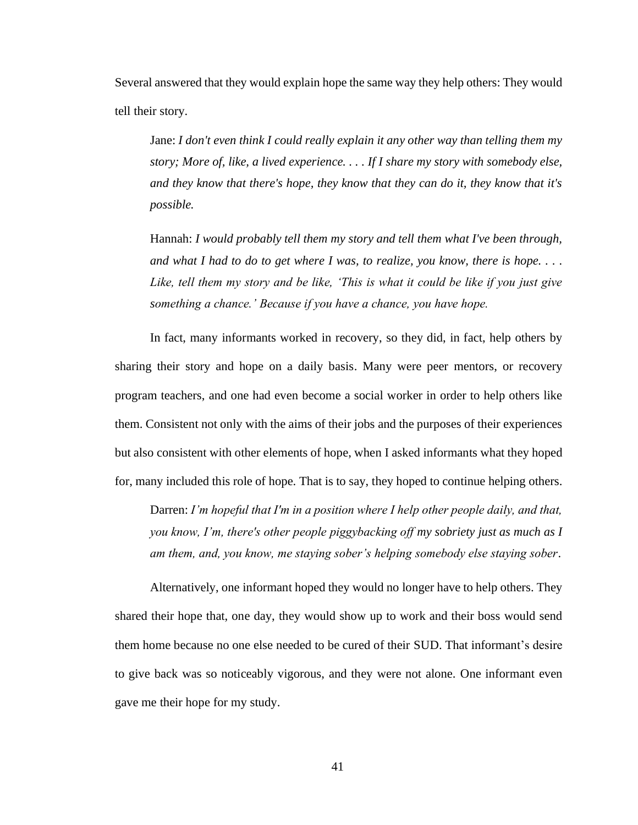Several answered that they would explain hope the same way they help others: They would tell their story.

Jane: *I don't even think I could really explain it any other way than telling them my story; More of, like, a lived experience. . . . If I share my story with somebody else, and they know that there's hope, they know that they can do it, they know that it's possible.*

Hannah: *I would probably tell them my story and tell them what I've been through, and what I had to do to get where I was, to realize, you know, there is hope. . . . Like, tell them my story and be like, 'This is what it could be like if you just give something a chance.' Because if you have a chance, you have hope.*

In fact, many informants worked in recovery, so they did, in fact, help others by sharing their story and hope on a daily basis. Many were peer mentors, or recovery program teachers, and one had even become a social worker in order to help others like them. Consistent not only with the aims of their jobs and the purposes of their experiences but also consistent with other elements of hope, when I asked informants what they hoped for, many included this role of hope. That is to say, they hoped to continue helping others.

Darren: *I'm hopeful that I'm in a position where I help other people daily, and that, you know, I'm, there's other people piggybacking off my sobriety just as much as I am them, and, you know, me staying sober's helping somebody else staying sober*.

Alternatively, one informant hoped they would no longer have to help others. They shared their hope that, one day, they would show up to work and their boss would send them home because no one else needed to be cured of their SUD. That informant's desire to give back was so noticeably vigorous, and they were not alone. One informant even gave me their hope for my study.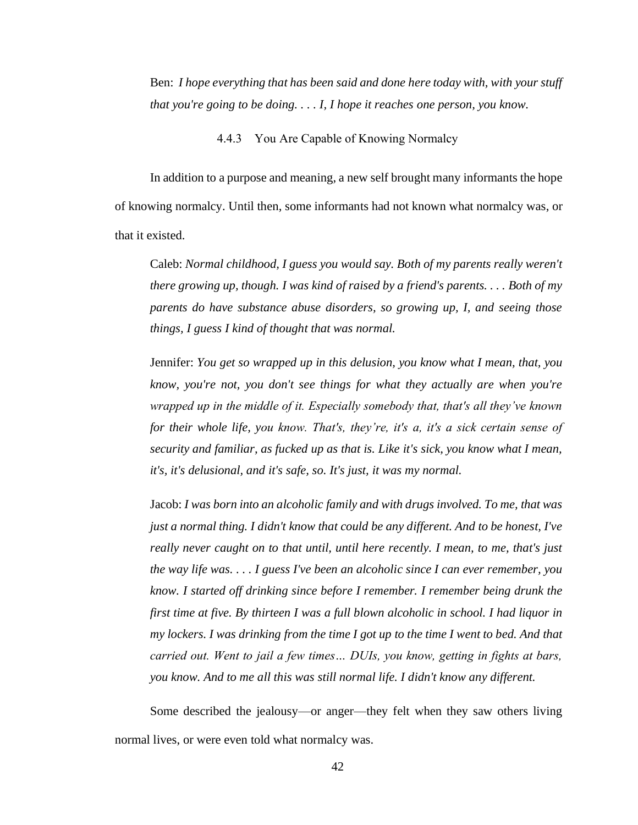Ben: *I hope everything that has been said and done here today with, with your stuff that you're going to be doing. . . . I, I hope it reaches one person, you know.*

4.4.3 You Are Capable of Knowing Normalcy

In addition to a purpose and meaning, a new self brought many informants the hope of knowing normalcy. Until then, some informants had not known what normalcy was, or that it existed.

Caleb: *Normal childhood, I guess you would say. Both of my parents really weren't there growing up, though. I was kind of raised by a friend's parents. . . . Both of my parents do have substance abuse disorders, so growing up, I, and seeing those things, I guess I kind of thought that was normal.*

Jennifer: *You get so wrapped up in this delusion, you know what I mean, that, you know, you're not, you don't see things for what they actually are when you're wrapped up in the middle of it. Especially somebody that, that's all they've known for their whole life, you know. That's, they're, it's a, it's a sick certain sense of security and familiar, as fucked up as that is. Like it's sick, you know what I mean, it's, it's delusional, and it's safe, so. It's just, it was my normal.*

Jacob: *I was born into an alcoholic family and with drugs involved. To me, that was just a normal thing. I didn't know that could be any different. And to be honest, I've really never caught on to that until, until here recently. I mean, to me, that's just the way life was. . . . I guess I've been an alcoholic since I can ever remember, you know. I started off drinking since before I remember. I remember being drunk the first time at five. By thirteen I was a full blown alcoholic in school. I had liquor in my lockers. I was drinking from the time I got up to the time I went to bed. And that carried out. Went to jail a few times… DUIs, you know, getting in fights at bars, you know. And to me all this was still normal life. I didn't know any different.*

Some described the jealousy—or anger—they felt when they saw others living normal lives, or were even told what normalcy was.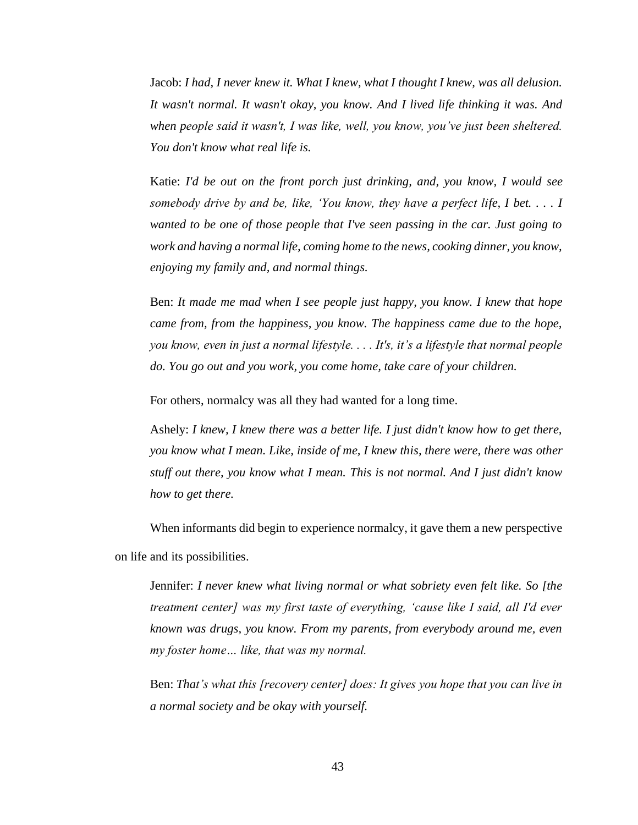Jacob: *I had, I never knew it. What I knew, what I thought I knew, was all delusion. It wasn't normal. It wasn't okay, you know. And I lived life thinking it was. And when people said it wasn't, I was like, well, you know, you've just been sheltered. You don't know what real life is.*

Katie: *I'd be out on the front porch just drinking, and, you know, I would see somebody drive by and be, like, 'You know, they have a perfect life, I bet. . . . I wanted to be one of those people that I've seen passing in the car. Just going to work and having a normal life, coming home to the news, cooking dinner, you know, enjoying my family and, and normal things.*

Ben: *It made me mad when I see people just happy, you know. I knew that hope came from, from the happiness, you know. The happiness came due to the hope, you know, even in just a normal lifestyle. . . . It's, it's a lifestyle that normal people do. You go out and you work, you come home, take care of your children.* 

For others, normalcy was all they had wanted for a long time.

Ashely: *I knew, I knew there was a better life. I just didn't know how to get there, you know what I mean. Like, inside of me, I knew this, there were, there was other stuff out there, you know what I mean. This is not normal. And I just didn't know how to get there.*

When informants did begin to experience normalcy, it gave them a new perspective

on life and its possibilities.

Jennifer: *I never knew what living normal or what sobriety even felt like. So [the treatment center] was my first taste of everything, 'cause like I said, all I'd ever known was drugs, you know. From my parents, from everybody around me, even my foster home… like, that was my normal.*

Ben: *That's what this [recovery center] does: It gives you hope that you can live in a normal society and be okay with yourself.*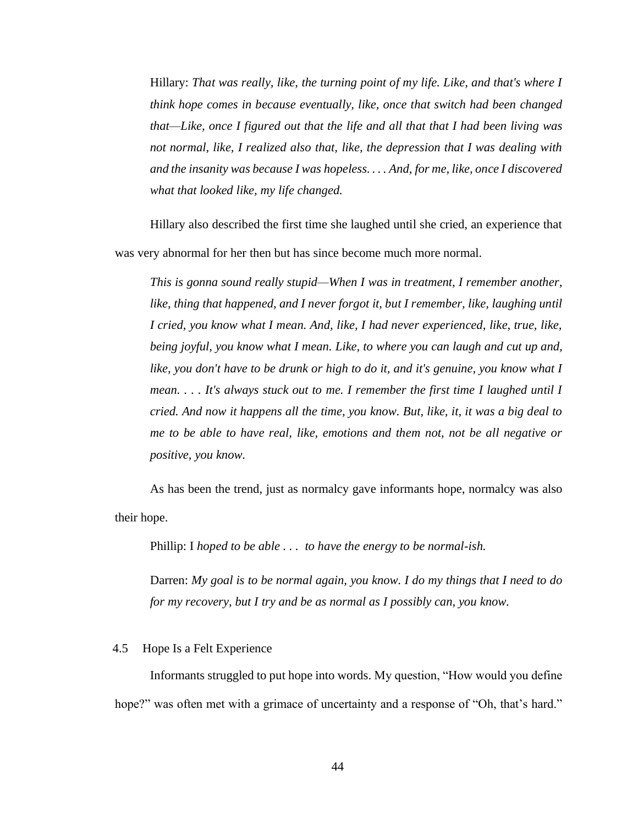Hillary: *That was really, like, the turning point of my life. Like, and that's where I think hope comes in because eventually, like, once that switch had been changed that—Like, once I figured out that the life and all that that I had been living was not normal, like, I realized also that, like, the depression that I was dealing with and the insanity was because I was hopeless. . . . And, for me, like, once I discovered what that looked like, my life changed.*

Hillary also described the first time she laughed until she cried, an experience that was very abnormal for her then but has since become much more normal.

*This is gonna sound really stupid—When I was in treatment, I remember another, like, thing that happened, and I never forgot it, but I remember, like, laughing until I cried, you know what I mean. And, like, I had never experienced, like, true, like, being joyful, you know what I mean. Like, to where you can laugh and cut up and, like, you don't have to be drunk or high to do it, and it's genuine, you know what I mean. . . . It's always stuck out to me. I remember the first time I laughed until I cried. And now it happens all the time, you know. But, like, it, it was a big deal to me to be able to have real, like, emotions and them not, not be all negative or positive, you know.*

As has been the trend, just as normalcy gave informants hope, normalcy was also their hope.

Phillip: I *hoped to be able . . . to have the energy to be normal-ish.*

Darren: *My goal is to be normal again, you know. I do my things that I need to do for my recovery, but I try and be as normal as I possibly can, you know.*

### 4.5 Hope Is a Felt Experience

Informants struggled to put hope into words. My question, "How would you define hope?" was often met with a grimace of uncertainty and a response of "Oh, that's hard."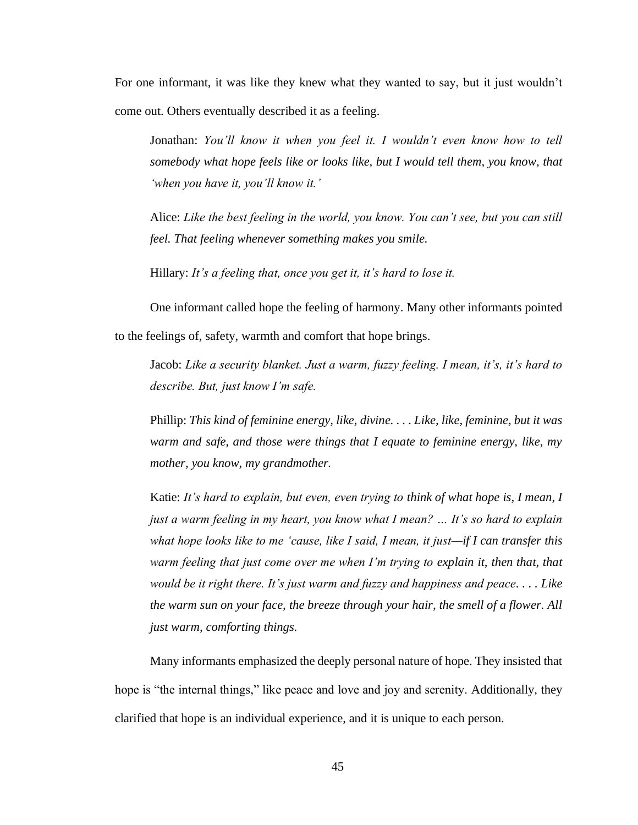For one informant, it was like they knew what they wanted to say, but it just wouldn't come out. Others eventually described it as a feeling.

Jonathan: *You'll know it when you feel it. I wouldn't even know how to tell somebody what hope feels like or looks like, but I would tell them, you know, that 'when you have it, you'll know it.'*

Alice: *Like the best feeling in the world, you know. You can't see, but you can still feel. That feeling whenever something makes you smile.*

Hillary: *It's a feeling that, once you get it, it's hard to lose it.*

One informant called hope the feeling of harmony. Many other informants pointed to the feelings of, safety, warmth and comfort that hope brings.

Jacob: *Like a security blanket. Just a warm, fuzzy feeling. I mean, it's, it's hard to describe. But, just know I'm safe.*

Phillip: *This kind of feminine energy, like, divine. . . . Like, like, feminine, but it was warm and safe, and those were things that I equate to feminine energy, like, my mother, you know, my grandmother.*

Katie: *It's hard to explain, but even, even trying to think of what hope is, I mean, I just a warm feeling in my heart, you know what I mean? … It's so hard to explain what hope looks like to me 'cause, like I said, I mean, it just—if I can transfer this warm feeling that just come over me when I'm trying to explain it, then that, that would be it right there. It's just warm and fuzzy and happiness and peace. . . . Like the warm sun on your face, the breeze through your hair, the smell of a flower. All just warm, comforting things.*

Many informants emphasized the deeply personal nature of hope. They insisted that hope is "the internal things," like peace and love and joy and serenity. Additionally, they clarified that hope is an individual experience, and it is unique to each person.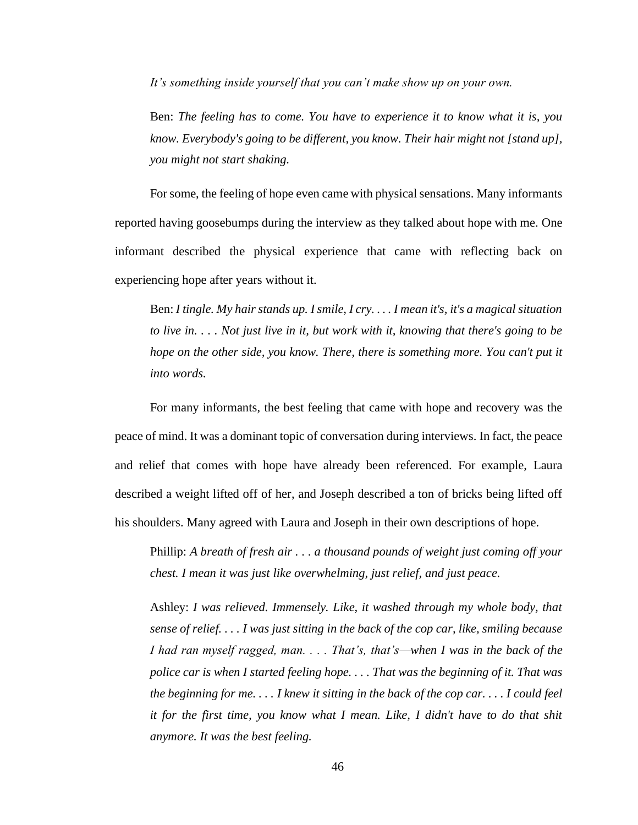*It's something inside yourself that you can't make show up on your own.*

Ben: *The feeling has to come. You have to experience it to know what it is, you know. Everybody's going to be different, you know. Their hair might not [stand up], you might not start shaking.* 

For some, the feeling of hope even came with physical sensations. Many informants reported having goosebumps during the interview as they talked about hope with me. One informant described the physical experience that came with reflecting back on experiencing hope after years without it.

Ben: *I tingle. My hair stands up. I smile, I cry. . . . I mean it's, it's a magical situation to live in. . . . Not just live in it, but work with it, knowing that there's going to be hope on the other side, you know. There, there is something more. You can't put it into words.*

For many informants, the best feeling that came with hope and recovery was the peace of mind. It was a dominant topic of conversation during interviews. In fact, the peace and relief that comes with hope have already been referenced. For example, Laura described a weight lifted off of her, and Joseph described a ton of bricks being lifted off his shoulders. Many agreed with Laura and Joseph in their own descriptions of hope.

Phillip: *A breath of fresh air . . . a thousand pounds of weight just coming off your chest. I mean it was just like overwhelming, just relief, and just peace.*

Ashley: *I was relieved. Immensely. Like, it washed through my whole body, that sense of relief. . . . I was just sitting in the back of the cop car, like, smiling because I had ran myself ragged, man. . . . That's, that's—when I was in the back of the police car is when I started feeling hope. . . . That was the beginning of it. That was the beginning for me. . . . I knew it sitting in the back of the cop car. . . . I could feel it for the first time, you know what I mean. Like, I didn't have to do that shit anymore. It was the best feeling.*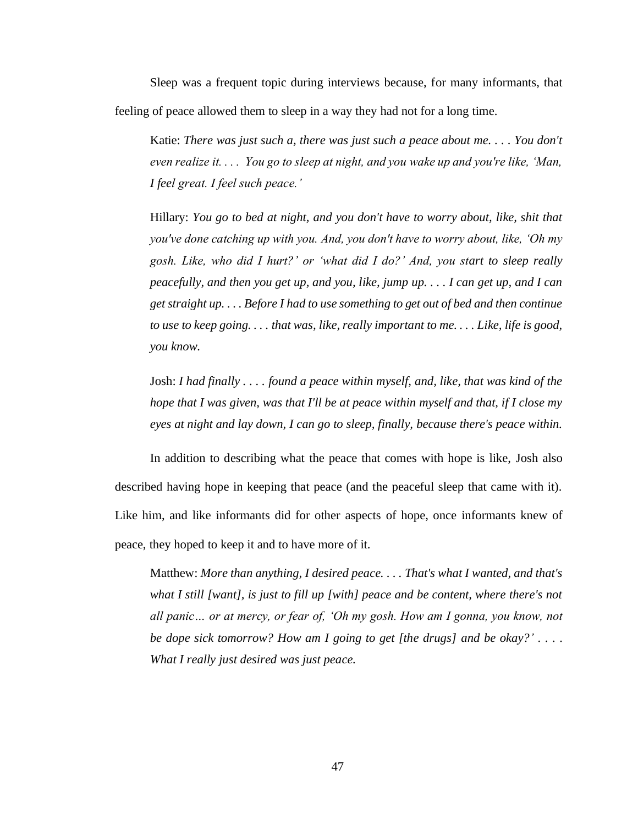Sleep was a frequent topic during interviews because, for many informants, that feeling of peace allowed them to sleep in a way they had not for a long time.

Katie: *There was just such a, there was just such a peace about me. . . . You don't even realize it. . . . You go to sleep at night, and you wake up and you're like, 'Man, I feel great. I feel such peace.'*

Hillary: *You go to bed at night, and you don't have to worry about, like, shit that you've done catching up with you. And, you don't have to worry about, like, 'Oh my gosh. Like, who did I hurt?' or 'what did I do?' And, you start to sleep really peacefully, and then you get up, and you, like, jump up. . . . I can get up, and I can get straight up. . . . Before I had to use something to get out of bed and then continue to use to keep going. . . . that was, like, really important to me. . . . Like, life is good, you know.*

Josh: *I had finally . . . . found a peace within myself, and, like, that was kind of the hope that I was given, was that I'll be at peace within myself and that, if I close my eyes at night and lay down, I can go to sleep, finally, because there's peace within.*

In addition to describing what the peace that comes with hope is like, Josh also described having hope in keeping that peace (and the peaceful sleep that came with it). Like him, and like informants did for other aspects of hope, once informants knew of peace, they hoped to keep it and to have more of it.

Matthew: *More than anything, I desired peace. . . . That's what I wanted, and that's what I still [want], is just to fill up [with] peace and be content, where there's not all panic… or at mercy, or fear of, 'Oh my gosh. How am I gonna, you know, not be dope sick tomorrow? How am I going to get [the drugs] and be okay?' . . . . What I really just desired was just peace.*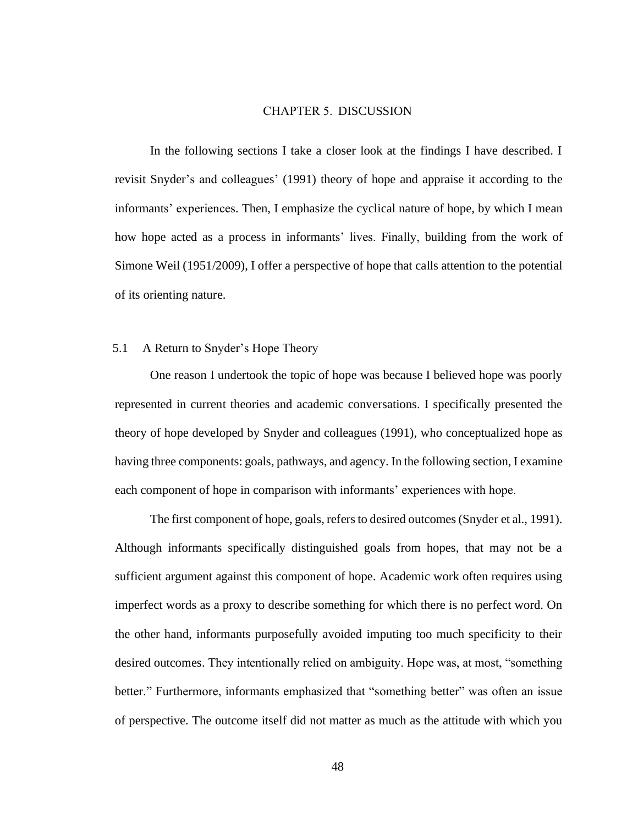### CHAPTER 5. DISCUSSION

In the following sections I take a closer look at the findings I have described. I revisit Snyder's and colleagues' (1991) theory of hope and appraise it according to the informants' experiences. Then, I emphasize the cyclical nature of hope, by which I mean how hope acted as a process in informants' lives. Finally, building from the work of Simone Weil (1951/2009), I offer a perspective of hope that calls attention to the potential of its orienting nature.

### 5.1 A Return to Snyder's Hope Theory

One reason I undertook the topic of hope was because I believed hope was poorly represented in current theories and academic conversations. I specifically presented the theory of hope developed by Snyder and colleagues (1991), who conceptualized hope as having three components: goals, pathways, and agency. In the following section, I examine each component of hope in comparison with informants' experiences with hope.

The first component of hope, goals, refers to desired outcomes (Snyder et al., 1991). Although informants specifically distinguished goals from hopes, that may not be a sufficient argument against this component of hope. Academic work often requires using imperfect words as a proxy to describe something for which there is no perfect word. On the other hand, informants purposefully avoided imputing too much specificity to their desired outcomes. They intentionally relied on ambiguity. Hope was, at most, "something better." Furthermore, informants emphasized that "something better" was often an issue of perspective. The outcome itself did not matter as much as the attitude with which you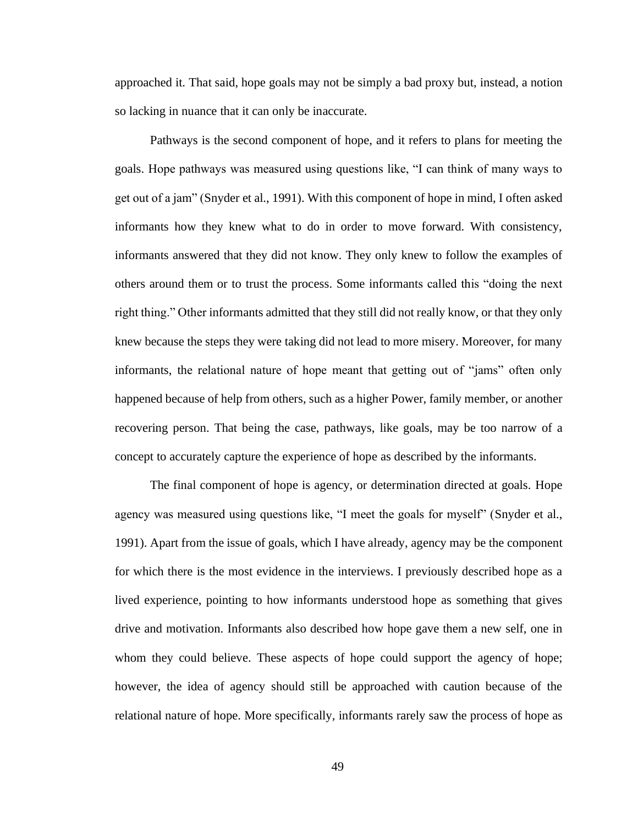approached it. That said, hope goals may not be simply a bad proxy but, instead, a notion so lacking in nuance that it can only be inaccurate.

Pathways is the second component of hope, and it refers to plans for meeting the goals. Hope pathways was measured using questions like, "I can think of many ways to get out of a jam" (Snyder et al., 1991). With this component of hope in mind, I often asked informants how they knew what to do in order to move forward. With consistency, informants answered that they did not know. They only knew to follow the examples of others around them or to trust the process. Some informants called this "doing the next right thing." Other informants admitted that they still did not really know, or that they only knew because the steps they were taking did not lead to more misery. Moreover, for many informants, the relational nature of hope meant that getting out of "jams" often only happened because of help from others, such as a higher Power, family member, or another recovering person. That being the case, pathways, like goals, may be too narrow of a concept to accurately capture the experience of hope as described by the informants.

The final component of hope is agency, or determination directed at goals. Hope agency was measured using questions like, "I meet the goals for myself" (Snyder et al., 1991). Apart from the issue of goals, which I have already, agency may be the component for which there is the most evidence in the interviews. I previously described hope as a lived experience, pointing to how informants understood hope as something that gives drive and motivation. Informants also described how hope gave them a new self, one in whom they could believe. These aspects of hope could support the agency of hope; however, the idea of agency should still be approached with caution because of the relational nature of hope. More specifically, informants rarely saw the process of hope as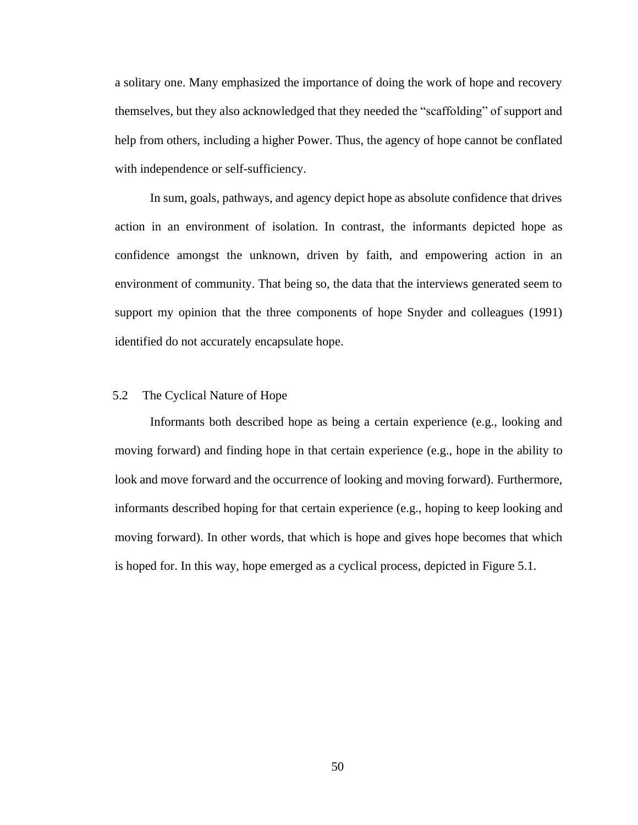a solitary one. Many emphasized the importance of doing the work of hope and recovery themselves, but they also acknowledged that they needed the "scaffolding" of support and help from others, including a higher Power. Thus, the agency of hope cannot be conflated with independence or self-sufficiency.

In sum, goals, pathways, and agency depict hope as absolute confidence that drives action in an environment of isolation. In contrast, the informants depicted hope as confidence amongst the unknown, driven by faith, and empowering action in an environment of community. That being so, the data that the interviews generated seem to support my opinion that the three components of hope Snyder and colleagues (1991) identified do not accurately encapsulate hope.

### 5.2 The Cyclical Nature of Hope

Informants both described hope as being a certain experience (e.g., looking and moving forward) and finding hope in that certain experience (e.g., hope in the ability to look and move forward and the occurrence of looking and moving forward). Furthermore, informants described hoping for that certain experience (e.g., hoping to keep looking and moving forward). In other words, that which is hope and gives hope becomes that which is hoped for. In this way, hope emerged as a cyclical process, depicted in Figure 5.1.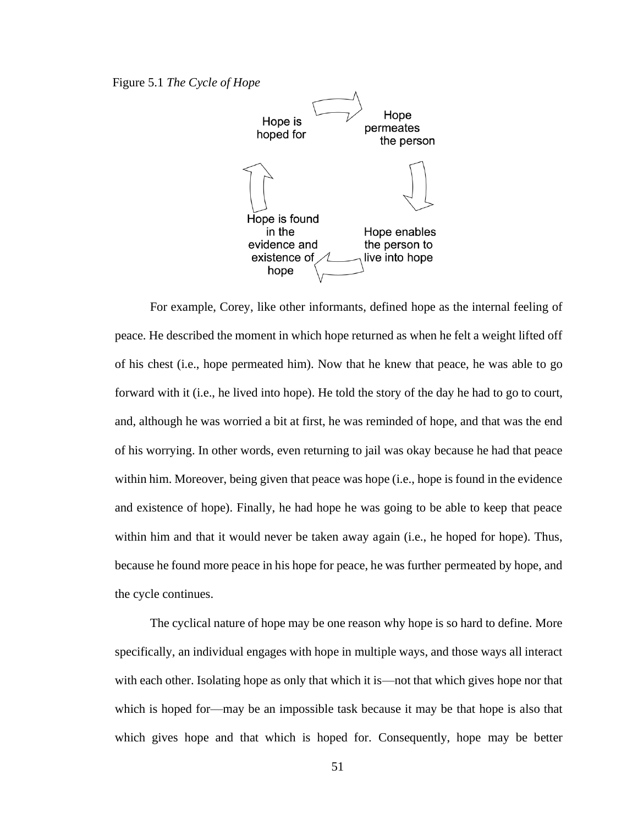Figure 5.1 *The Cycle of Hope*



For example, Corey, like other informants, defined hope as the internal feeling of peace. He described the moment in which hope returned as when he felt a weight lifted off of his chest (i.e., hope permeated him). Now that he knew that peace, he was able to go forward with it (i.e., he lived into hope). He told the story of the day he had to go to court, and, although he was worried a bit at first, he was reminded of hope, and that was the end of his worrying. In other words, even returning to jail was okay because he had that peace within him. Moreover, being given that peace was hope (i.e., hope is found in the evidence and existence of hope). Finally, he had hope he was going to be able to keep that peace within him and that it would never be taken away again (i.e., he hoped for hope). Thus, because he found more peace in his hope for peace, he was further permeated by hope, and the cycle continues.

The cyclical nature of hope may be one reason why hope is so hard to define. More specifically, an individual engages with hope in multiple ways, and those ways all interact with each other. Isolating hope as only that which it is—not that which gives hope nor that which is hoped for—may be an impossible task because it may be that hope is also that which gives hope and that which is hoped for. Consequently, hope may be better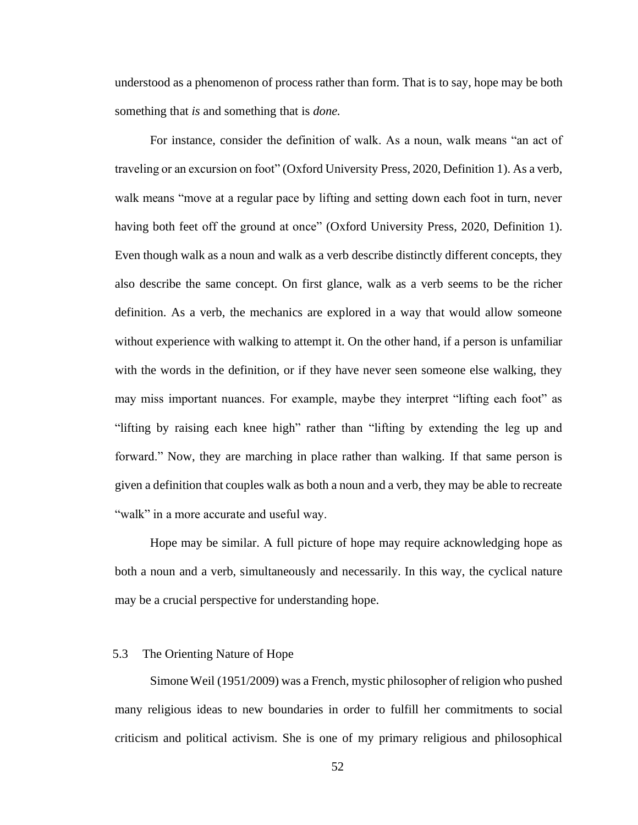understood as a phenomenon of process rather than form. That is to say, hope may be both something that *is* and something that is *done.* 

For instance, consider the definition of walk. As a noun, walk means "an act of traveling or an excursion on foot" (Oxford University Press, 2020, Definition 1). As a verb, walk means "move at a regular pace by lifting and setting down each foot in turn, never having both feet off the ground at once" (Oxford University Press, 2020, Definition 1). Even though walk as a noun and walk as a verb describe distinctly different concepts, they also describe the same concept. On first glance, walk as a verb seems to be the richer definition. As a verb, the mechanics are explored in a way that would allow someone without experience with walking to attempt it. On the other hand, if a person is unfamiliar with the words in the definition, or if they have never seen someone else walking, they may miss important nuances. For example, maybe they interpret "lifting each foot" as "lifting by raising each knee high" rather than "lifting by extending the leg up and forward." Now, they are marching in place rather than walking. If that same person is given a definition that couples walk as both a noun and a verb, they may be able to recreate "walk" in a more accurate and useful way.

Hope may be similar. A full picture of hope may require acknowledging hope as both a noun and a verb, simultaneously and necessarily. In this way, the cyclical nature may be a crucial perspective for understanding hope.

### 5.3 The Orienting Nature of Hope

Simone Weil (1951/2009) was a French, mystic philosopher of religion who pushed many religious ideas to new boundaries in order to fulfill her commitments to social criticism and political activism. She is one of my primary religious and philosophical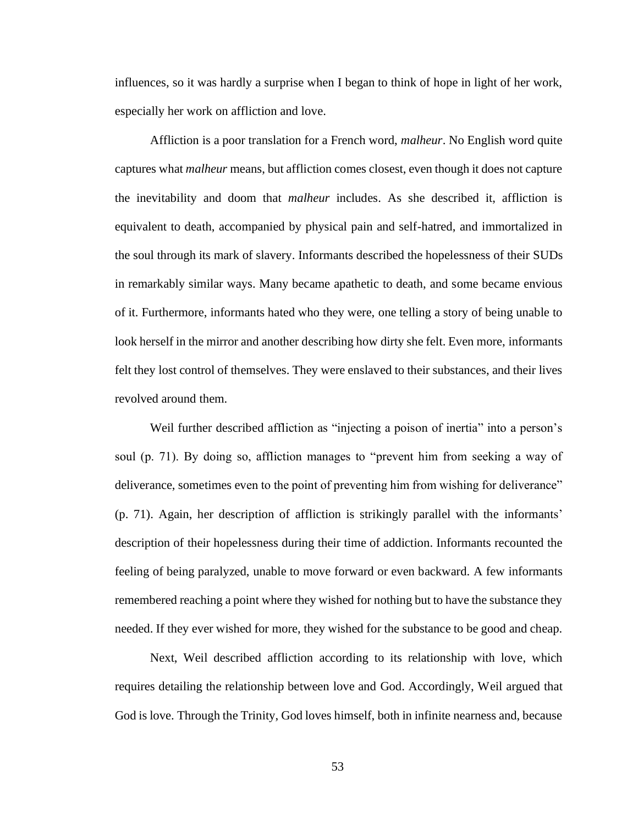influences, so it was hardly a surprise when I began to think of hope in light of her work, especially her work on affliction and love.

Affliction is a poor translation for a French word, *malheur*. No English word quite captures what *malheur* means, but affliction comes closest, even though it does not capture the inevitability and doom that *malheur* includes. As she described it, affliction is equivalent to death, accompanied by physical pain and self-hatred, and immortalized in the soul through its mark of slavery. Informants described the hopelessness of their SUDs in remarkably similar ways. Many became apathetic to death, and some became envious of it. Furthermore, informants hated who they were, one telling a story of being unable to look herself in the mirror and another describing how dirty she felt. Even more, informants felt they lost control of themselves. They were enslaved to their substances, and their lives revolved around them.

Weil further described affliction as "injecting a poison of inertia" into a person's soul (p. 71). By doing so, affliction manages to "prevent him from seeking a way of deliverance, sometimes even to the point of preventing him from wishing for deliverance" (p. 71). Again, her description of affliction is strikingly parallel with the informants' description of their hopelessness during their time of addiction. Informants recounted the feeling of being paralyzed, unable to move forward or even backward. A few informants remembered reaching a point where they wished for nothing but to have the substance they needed. If they ever wished for more, they wished for the substance to be good and cheap.

Next, Weil described affliction according to its relationship with love, which requires detailing the relationship between love and God. Accordingly, Weil argued that God is love. Through the Trinity, God loves himself, both in infinite nearness and, because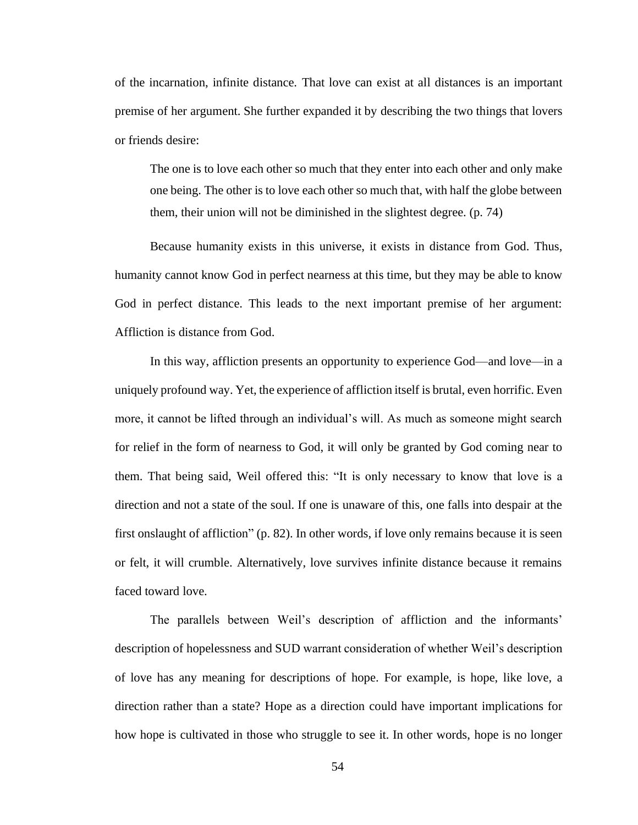of the incarnation, infinite distance. That love can exist at all distances is an important premise of her argument. She further expanded it by describing the two things that lovers or friends desire:

The one is to love each other so much that they enter into each other and only make one being. The other is to love each other so much that, with half the globe between them, their union will not be diminished in the slightest degree. (p. 74)

Because humanity exists in this universe, it exists in distance from God. Thus, humanity cannot know God in perfect nearness at this time, but they may be able to know God in perfect distance. This leads to the next important premise of her argument: Affliction is distance from God.

In this way, affliction presents an opportunity to experience God—and love—in a uniquely profound way. Yet, the experience of affliction itself is brutal, even horrific. Even more, it cannot be lifted through an individual's will. As much as someone might search for relief in the form of nearness to God, it will only be granted by God coming near to them. That being said, Weil offered this: "It is only necessary to know that love is a direction and not a state of the soul. If one is unaware of this, one falls into despair at the first onslaught of affliction" (p. 82). In other words, if love only remains because it is seen or felt, it will crumble. Alternatively, love survives infinite distance because it remains faced toward love.

The parallels between Weil's description of affliction and the informants' description of hopelessness and SUD warrant consideration of whether Weil's description of love has any meaning for descriptions of hope. For example, is hope, like love, a direction rather than a state? Hope as a direction could have important implications for how hope is cultivated in those who struggle to see it. In other words, hope is no longer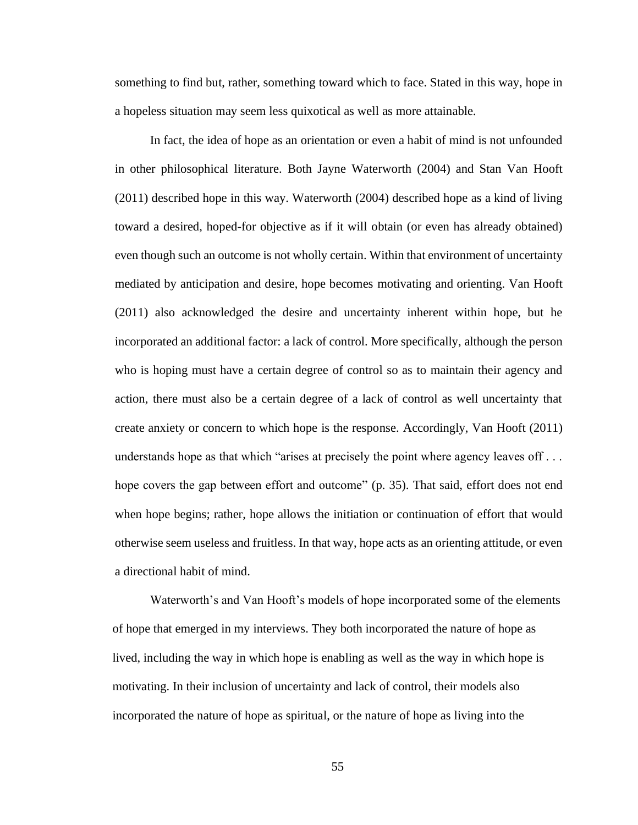something to find but, rather, something toward which to face. Stated in this way, hope in a hopeless situation may seem less quixotical as well as more attainable.

In fact, the idea of hope as an orientation or even a habit of mind is not unfounded in other philosophical literature. Both Jayne Waterworth (2004) and Stan Van Hooft (2011) described hope in this way. Waterworth (2004) described hope as a kind of living toward a desired, hoped-for objective as if it will obtain (or even has already obtained) even though such an outcome is not wholly certain. Within that environment of uncertainty mediated by anticipation and desire, hope becomes motivating and orienting. Van Hooft (2011) also acknowledged the desire and uncertainty inherent within hope, but he incorporated an additional factor: a lack of control. More specifically, although the person who is hoping must have a certain degree of control so as to maintain their agency and action, there must also be a certain degree of a lack of control as well uncertainty that create anxiety or concern to which hope is the response. Accordingly, Van Hooft (2011) understands hope as that which "arises at precisely the point where agency leaves off . . . hope covers the gap between effort and outcome" (p. 35). That said, effort does not end when hope begins; rather, hope allows the initiation or continuation of effort that would otherwise seem useless and fruitless. In that way, hope acts as an orienting attitude, or even a directional habit of mind.

Waterworth's and Van Hooft's models of hope incorporated some of the elements of hope that emerged in my interviews. They both incorporated the nature of hope as lived, including the way in which hope is enabling as well as the way in which hope is motivating. In their inclusion of uncertainty and lack of control, their models also incorporated the nature of hope as spiritual, or the nature of hope as living into the

55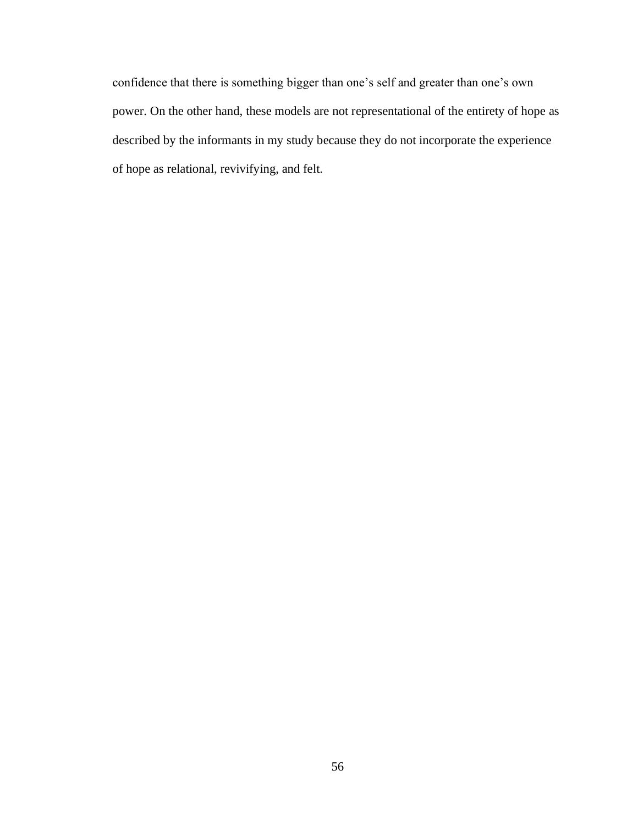confidence that there is something bigger than one's self and greater than one's own power. On the other hand, these models are not representational of the entirety of hope as described by the informants in my study because they do not incorporate the experience of hope as relational, revivifying, and felt.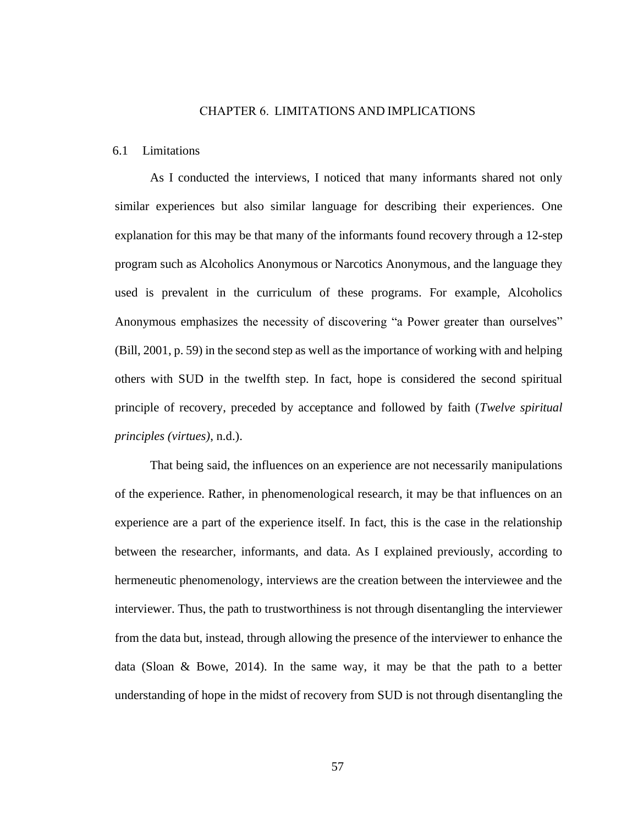### CHAPTER 6. LIMITATIONS AND IMPLICATIONS

#### 6.1 Limitations

As I conducted the interviews, I noticed that many informants shared not only similar experiences but also similar language for describing their experiences. One explanation for this may be that many of the informants found recovery through a 12-step program such as Alcoholics Anonymous or Narcotics Anonymous, and the language they used is prevalent in the curriculum of these programs. For example, Alcoholics Anonymous emphasizes the necessity of discovering "a Power greater than ourselves" (Bill, 2001, p. 59) in the second step as well as the importance of working with and helping others with SUD in the twelfth step. In fact, hope is considered the second spiritual principle of recovery, preceded by acceptance and followed by faith (*Twelve spiritual principles (virtues)*, n.d.).

That being said, the influences on an experience are not necessarily manipulations of the experience. Rather, in phenomenological research, it may be that influences on an experience are a part of the experience itself. In fact, this is the case in the relationship between the researcher, informants, and data. As I explained previously, according to hermeneutic phenomenology, interviews are the creation between the interviewee and the interviewer. Thus, the path to trustworthiness is not through disentangling the interviewer from the data but, instead, through allowing the presence of the interviewer to enhance the data (Sloan & Bowe, 2014). In the same way, it may be that the path to a better understanding of hope in the midst of recovery from SUD is not through disentangling the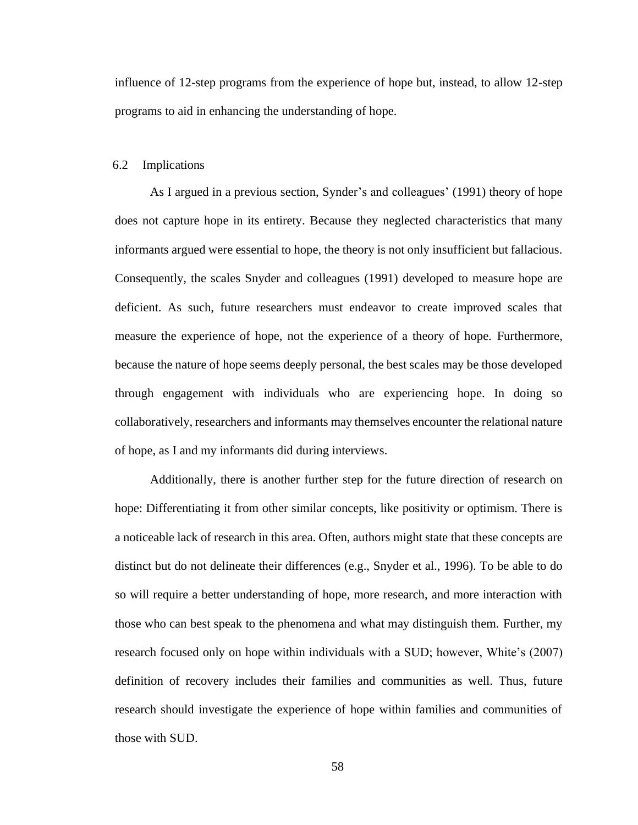influence of 12-step programs from the experience of hope but, instead, to allow 12-step programs to aid in enhancing the understanding of hope.

#### 6.2 Implications

As I argued in a previous section, Synder's and colleagues' (1991) theory of hope does not capture hope in its entirety. Because they neglected characteristics that many informants argued were essential to hope, the theory is not only insufficient but fallacious. Consequently, the scales Snyder and colleagues (1991) developed to measure hope are deficient. As such, future researchers must endeavor to create improved scales that measure the experience of hope, not the experience of a theory of hope. Furthermore, because the nature of hope seems deeply personal, the best scales may be those developed through engagement with individuals who are experiencing hope. In doing so collaboratively, researchers and informants may themselves encounter the relational nature of hope, as I and my informants did during interviews.

Additionally, there is another further step for the future direction of research on hope: Differentiating it from other similar concepts, like positivity or optimism. There is a noticeable lack of research in this area. Often, authors might state that these concepts are distinct but do not delineate their differences (e.g., Snyder et al., 1996). To be able to do so will require a better understanding of hope, more research, and more interaction with those who can best speak to the phenomena and what may distinguish them. Further, my research focused only on hope within individuals with a SUD; however, White's (2007) definition of recovery includes their families and communities as well. Thus, future research should investigate the experience of hope within families and communities of those with SUD.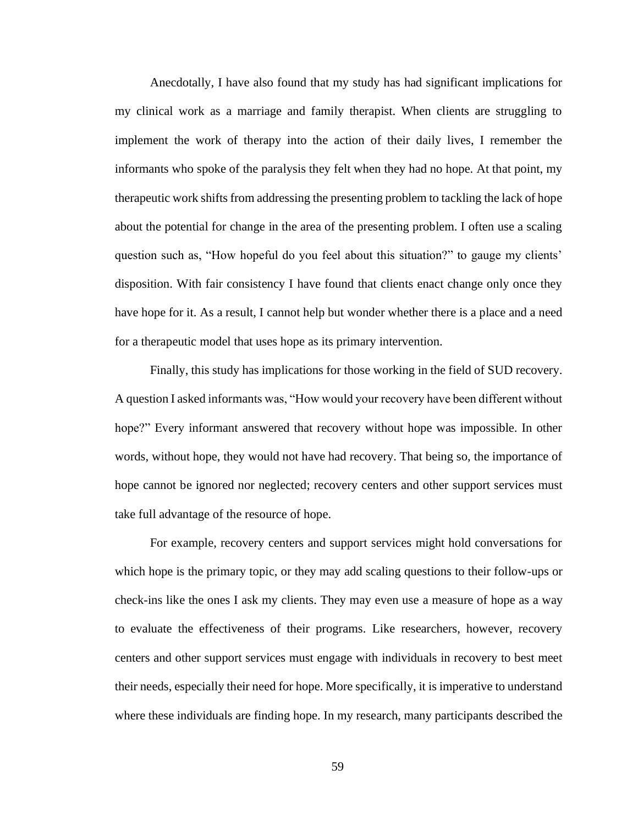Anecdotally, I have also found that my study has had significant implications for my clinical work as a marriage and family therapist. When clients are struggling to implement the work of therapy into the action of their daily lives, I remember the informants who spoke of the paralysis they felt when they had no hope. At that point, my therapeutic work shifts from addressing the presenting problem to tackling the lack of hope about the potential for change in the area of the presenting problem. I often use a scaling question such as, "How hopeful do you feel about this situation?" to gauge my clients' disposition. With fair consistency I have found that clients enact change only once they have hope for it. As a result, I cannot help but wonder whether there is a place and a need for a therapeutic model that uses hope as its primary intervention.

Finally, this study has implications for those working in the field of SUD recovery. A question I asked informants was, "How would your recovery have been different without hope?" Every informant answered that recovery without hope was impossible. In other words, without hope, they would not have had recovery. That being so, the importance of hope cannot be ignored nor neglected; recovery centers and other support services must take full advantage of the resource of hope.

For example, recovery centers and support services might hold conversations for which hope is the primary topic, or they may add scaling questions to their follow-ups or check-ins like the ones I ask my clients. They may even use a measure of hope as a way to evaluate the effectiveness of their programs. Like researchers, however, recovery centers and other support services must engage with individuals in recovery to best meet their needs, especially their need for hope. More specifically, it is imperative to understand where these individuals are finding hope. In my research, many participants described the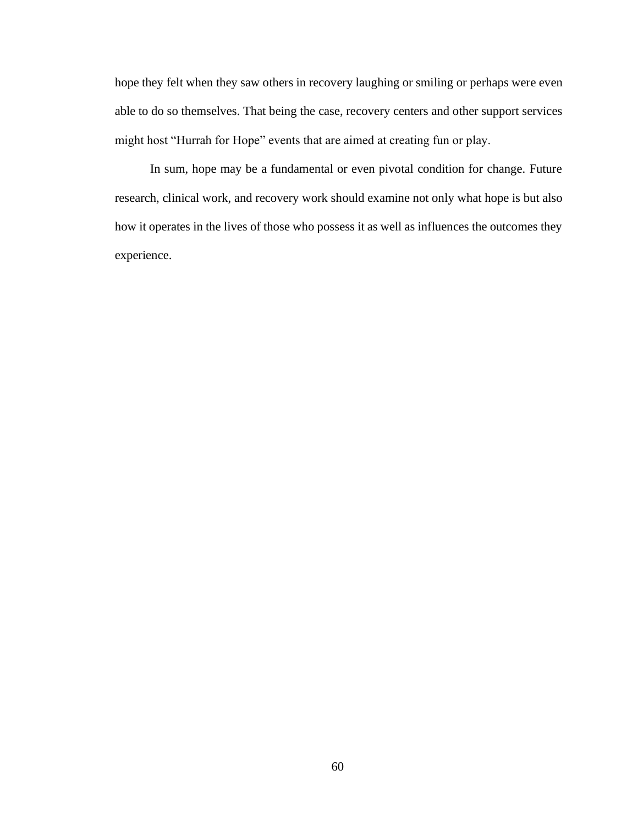hope they felt when they saw others in recovery laughing or smiling or perhaps were even able to do so themselves. That being the case, recovery centers and other support services might host "Hurrah for Hope" events that are aimed at creating fun or play.

In sum, hope may be a fundamental or even pivotal condition for change. Future research, clinical work, and recovery work should examine not only what hope is but also how it operates in the lives of those who possess it as well as influences the outcomes they experience.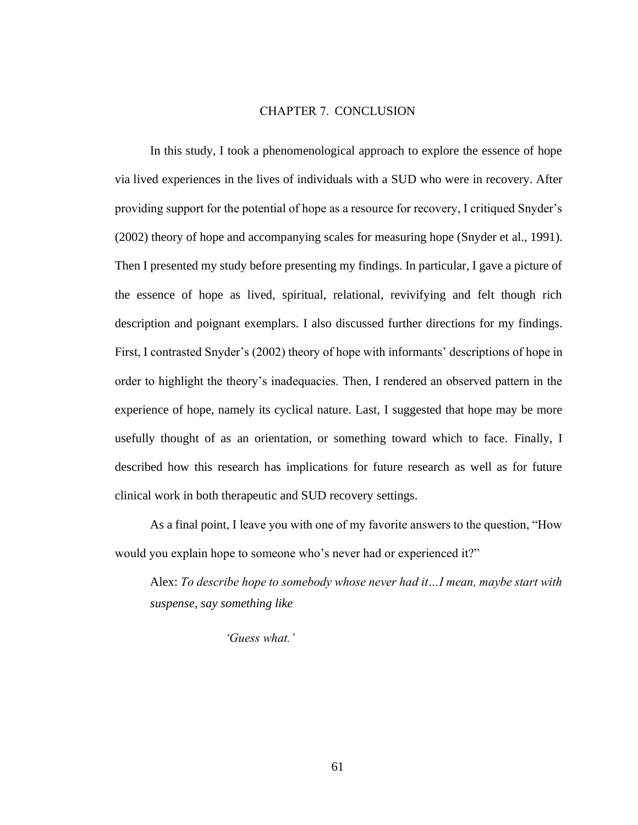### CHAPTER 7. CONCLUSION

In this study, I took a phenomenological approach to explore the essence of hope via lived experiences in the lives of individuals with a SUD who were in recovery. After providing support for the potential of hope as a resource for recovery, I critiqued Snyder's (2002) theory of hope and accompanying scales for measuring hope (Snyder et al., 1991). Then I presented my study before presenting my findings. In particular, I gave a picture of the essence of hope as lived, spiritual, relational, revivifying and felt though rich description and poignant exemplars. I also discussed further directions for my findings. First, I contrasted Snyder's (2002) theory of hope with informants' descriptions of hope in order to highlight the theory's inadequacies. Then, I rendered an observed pattern in the experience of hope, namely its cyclical nature. Last, I suggested that hope may be more usefully thought of as an orientation, or something toward which to face. Finally, I described how this research has implications for future research as well as for future clinical work in both therapeutic and SUD recovery settings.

As a final point, I leave you with one of my favorite answers to the question, "How would you explain hope to someone who's never had or experienced it?"

Alex: *To describe hope to somebody whose never had it…I mean, maybe start with suspense, say something like*

*'Guess what.'*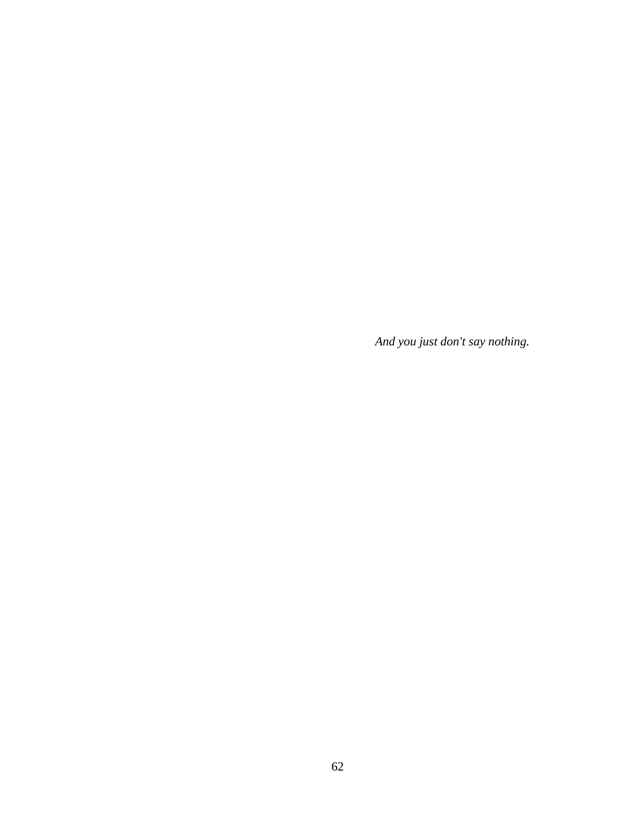*And you just don't say nothing.*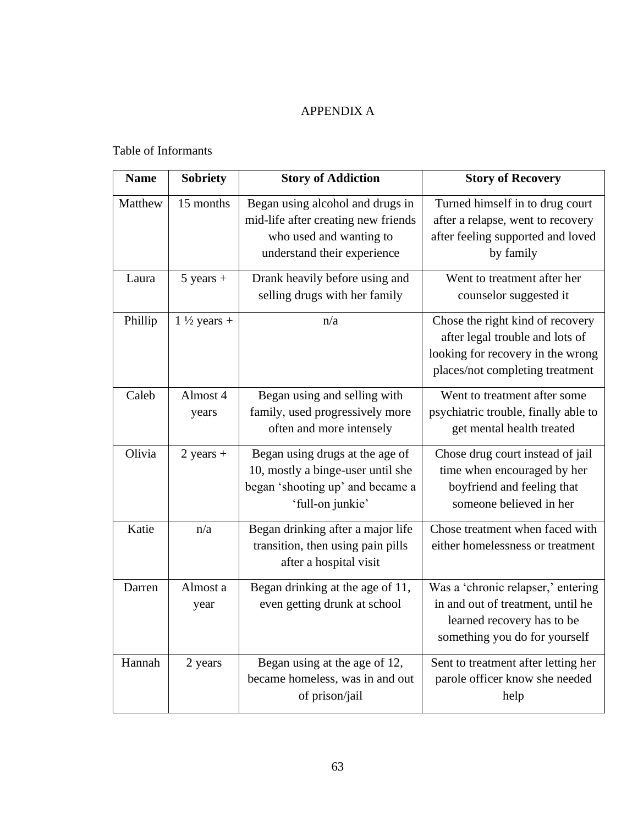# APPENDIX A

## Table of Informants

| <b>Name</b> | <b>Sobriety</b>        | <b>Story of Addiction</b>                                                                                                         | <b>Story of Recovery</b>                                                                                                                    |
|-------------|------------------------|-----------------------------------------------------------------------------------------------------------------------------------|---------------------------------------------------------------------------------------------------------------------------------------------|
| Matthew     | 15 months              | Began using alcohol and drugs in<br>mid-life after creating new friends<br>who used and wanting to<br>understand their experience | Turned himself in to drug court<br>after a relapse, went to recovery<br>after feeling supported and loved<br>by family                      |
| Laura       | $5$ years +            | Drank heavily before using and<br>selling drugs with her family                                                                   | Went to treatment after her<br>counselor suggested it                                                                                       |
| Phillip     | $1\frac{1}{2}$ years + | n/a                                                                                                                               | Chose the right kind of recovery<br>after legal trouble and lots of<br>looking for recovery in the wrong<br>places/not completing treatment |
| Caleb       | Almost 4<br>years      | Began using and selling with<br>family, used progressively more<br>often and more intensely                                       | Went to treatment after some<br>psychiatric trouble, finally able to<br>get mental health treated                                           |
| Olivia      | $2$ years +            | Began using drugs at the age of<br>10, mostly a binge-user until she<br>began 'shooting up' and became a<br>'full-on junkie'      | Chose drug court instead of jail<br>time when encouraged by her<br>boyfriend and feeling that<br>someone believed in her                    |
| Katie       | n/a                    | Began drinking after a major life<br>transition, then using pain pills<br>after a hospital visit                                  | Chose treatment when faced with<br>either homelessness or treatment                                                                         |
| Darren      | Almost a<br>year       | Began drinking at the age of 11,<br>even getting drunk at school                                                                  | Was a 'chronic relapser,' entering<br>in and out of treatment, until he<br>learned recovery has to be<br>something you do for yourself      |
| Hannah      | 2 years                | Began using at the age of 12,<br>became homeless, was in and out<br>of prison/jail                                                | Sent to treatment after letting her<br>parole officer know she needed<br>help                                                               |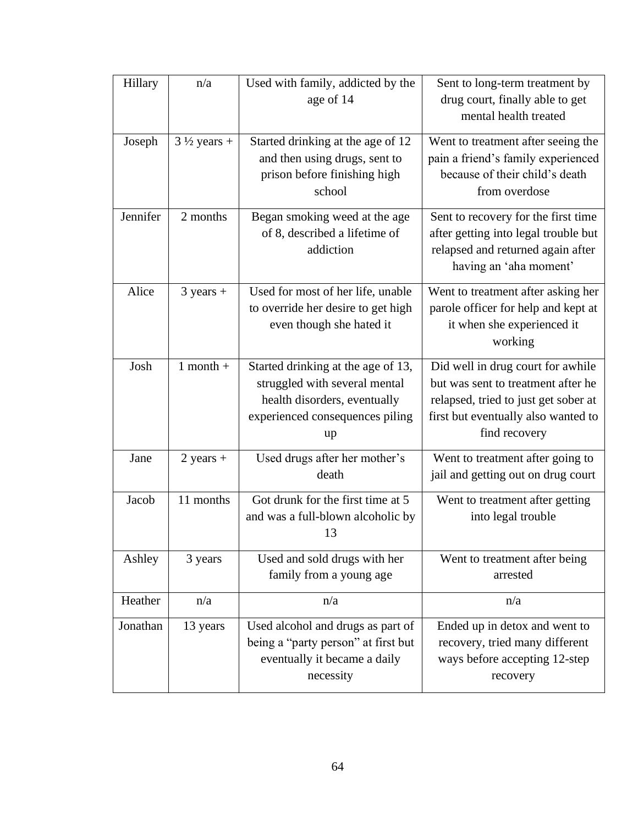| Hillary  | n/a                    | Used with family, addicted by the<br>age of 14                                                                                               | Sent to long-term treatment by<br>drug court, finally able to get<br>mental health treated                                                                              |
|----------|------------------------|----------------------------------------------------------------------------------------------------------------------------------------------|-------------------------------------------------------------------------------------------------------------------------------------------------------------------------|
| Joseph   | $3\frac{1}{2}$ years + | Started drinking at the age of 12<br>and then using drugs, sent to<br>prison before finishing high<br>school                                 | Went to treatment after seeing the<br>pain a friend's family experienced<br>because of their child's death<br>from overdose                                             |
| Jennifer | 2 months               | Began smoking weed at the age<br>of 8, described a lifetime of<br>addiction                                                                  | Sent to recovery for the first time<br>after getting into legal trouble but<br>relapsed and returned again after<br>having an 'aha moment'                              |
| Alice    | $3$ years +            | Used for most of her life, unable<br>to override her desire to get high<br>even though she hated it                                          | Went to treatment after asking her<br>parole officer for help and kept at<br>it when she experienced it<br>working                                                      |
| Josh     | $1$ month $+$          | Started drinking at the age of 13,<br>struggled with several mental<br>health disorders, eventually<br>experienced consequences piling<br>up | Did well in drug court for awhile<br>but was sent to treatment after he<br>relapsed, tried to just get sober at<br>first but eventually also wanted to<br>find recovery |
| Jane     | $2$ years +            | Used drugs after her mother's<br>death                                                                                                       | Went to treatment after going to<br>jail and getting out on drug court                                                                                                  |
| Jacob    | 11 months              | Got drunk for the first time at 5<br>and was a full-blown alcoholic by<br>13                                                                 | Went to treatment after getting<br>into legal trouble                                                                                                                   |
| Ashley   | 3 years                | Used and sold drugs with her<br>family from a young age                                                                                      | Went to treatment after being<br>arrested                                                                                                                               |
| Heather  | n/a                    | n/a                                                                                                                                          | n/a                                                                                                                                                                     |
| Jonathan | 13 years               | Used alcohol and drugs as part of<br>being a "party person" at first but<br>eventually it became a daily<br>necessity                        | Ended up in detox and went to<br>recovery, tried many different<br>ways before accepting 12-step<br>recovery                                                            |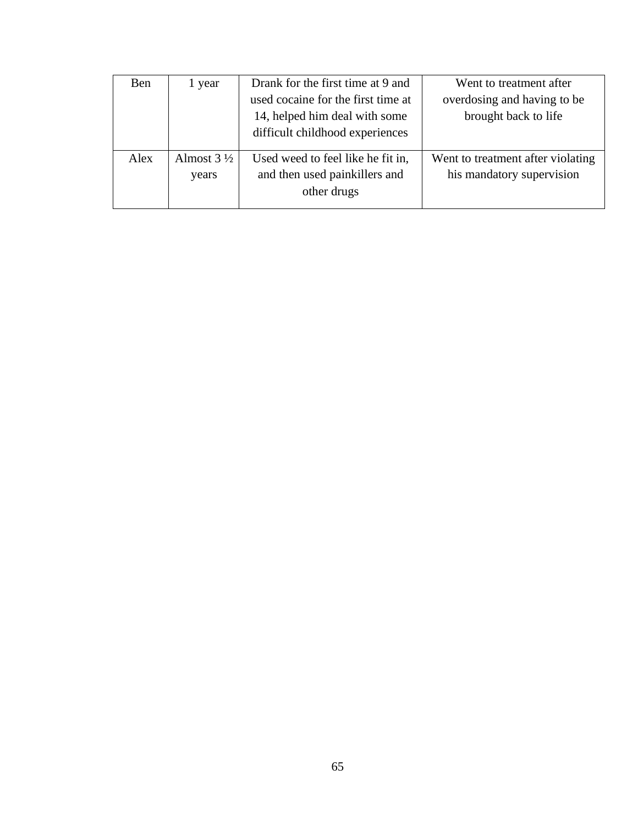| Ben  | year                           | Drank for the first time at 9 and<br>used cocaine for the first time at<br>14, helped him deal with some<br>difficult childhood experiences | Went to treatment after<br>overdosing and having to be<br>brought back to life |
|------|--------------------------------|---------------------------------------------------------------------------------------------------------------------------------------------|--------------------------------------------------------------------------------|
| Alex | Almost $3\frac{1}{2}$<br>years | Used weed to feel like he fit in,<br>and then used painkillers and<br>other drugs                                                           | Went to treatment after violating<br>his mandatory supervision                 |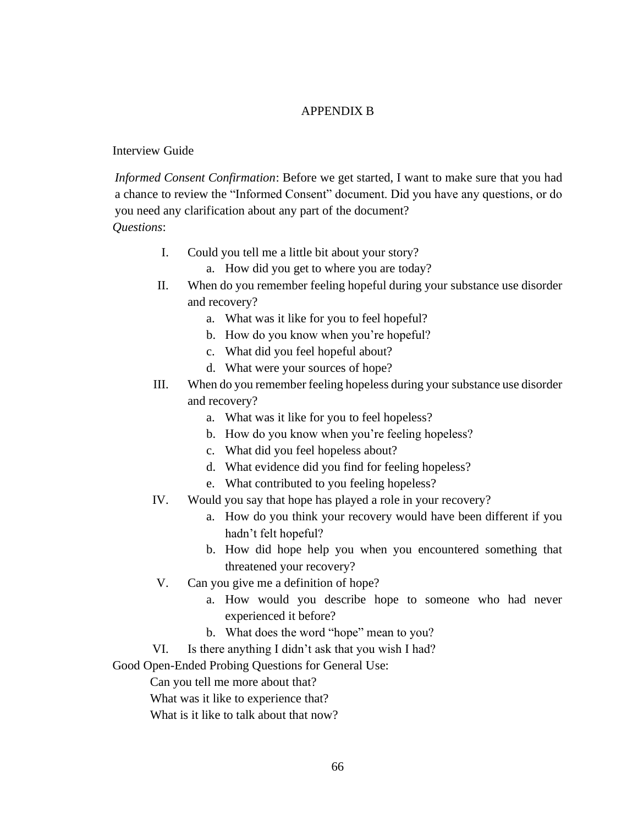### APPENDIX B

### Interview Guide

*Informed Consent Confirmation*: Before we get started, I want to make sure that you had a chance to review the "Informed Consent" document. Did you have any questions, or do you need any clarification about any part of the document? *Questions*:

- I. Could you tell me a little bit about your story?
	- a. How did you get to where you are today?
- II. When do you remember feeling hopeful during your substance use disorder and recovery?
	- a. What was it like for you to feel hopeful?
	- b. How do you know when you're hopeful?
	- c. What did you feel hopeful about?
	- d. What were your sources of hope?
- III. When do you remember feeling hopeless during your substance use disorder and recovery?
	- a. What was it like for you to feel hopeless?
	- b. How do you know when you're feeling hopeless?
	- c. What did you feel hopeless about?
	- d. What evidence did you find for feeling hopeless?
	- e. What contributed to you feeling hopeless?
- IV. Would you say that hope has played a role in your recovery?
	- a. How do you think your recovery would have been different if you hadn't felt hopeful?
	- b. How did hope help you when you encountered something that threatened your recovery?
	- V. Can you give me a definition of hope?
		- a. How would you describe hope to someone who had never experienced it before?
		- b. What does the word "hope" mean to you?
- VI. Is there anything I didn't ask that you wish I had?

Good Open-Ended Probing Questions for General Use:

Can you tell me more about that?

What was it like to experience that?

What is it like to talk about that now?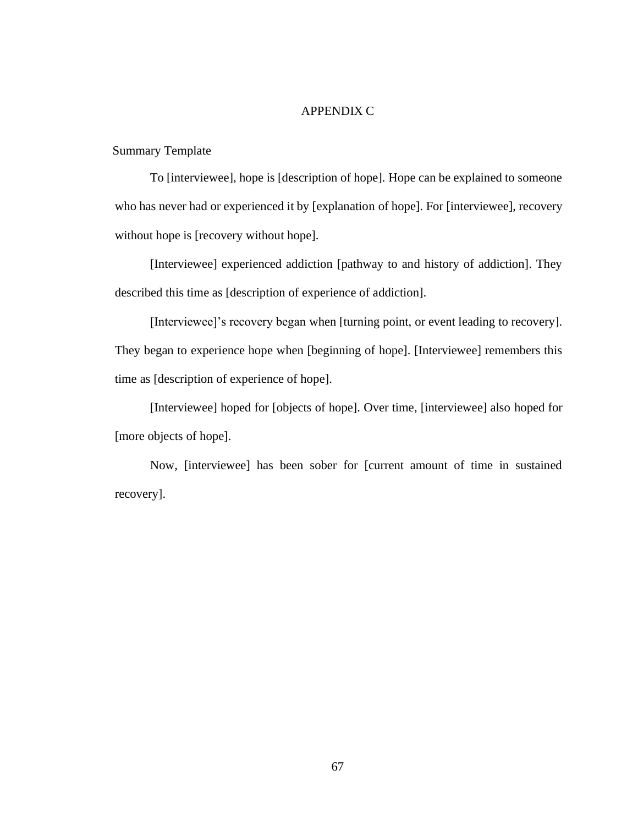### APPENDIX C

### Summary Template

To [interviewee], hope is [description of hope]. Hope can be explained to someone who has never had or experienced it by [explanation of hope]. For [interviewee], recovery without hope is [recovery without hope].

[Interviewee] experienced addiction [pathway to and history of addiction]. They described this time as [description of experience of addiction].

[Interviewee]'s recovery began when [turning point, or event leading to recovery]. They began to experience hope when [beginning of hope]. [Interviewee] remembers this time as [description of experience of hope].

[Interviewee] hoped for [objects of hope]. Over time, [interviewee] also hoped for [more objects of hope].

Now, [interviewee] has been sober for [current amount of time in sustained recovery].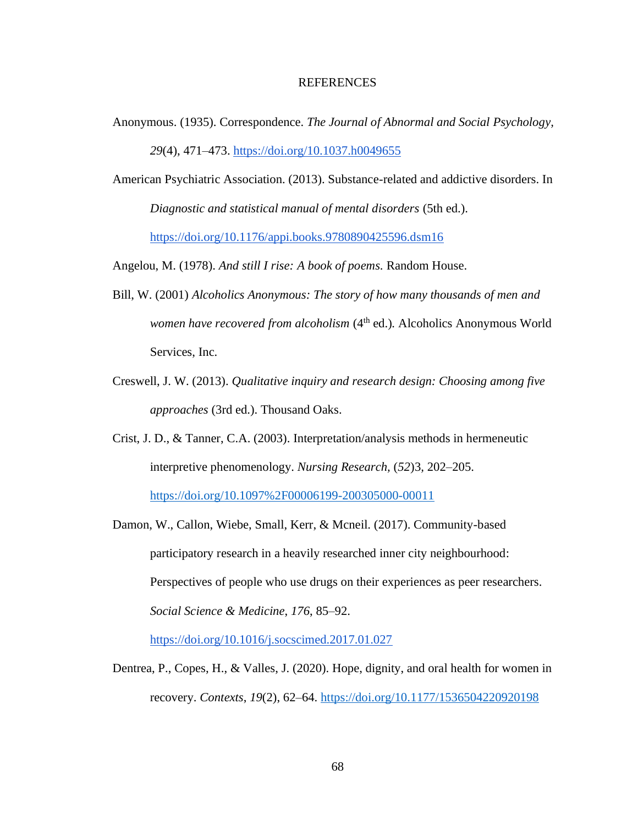#### REFERENCES

- Anonymous. (1935). Correspondence. *The Journal of Abnormal and Social Psychology, 29*(4), 471–473. <https://doi.org/10.1037.h0049655>
- American Psychiatric Association. (2013). Substance-related and addictive disorders. In *Diagnostic and statistical manual of mental disorders* (5th ed.).

<https://doi.org/10.1176/appi.books.9780890425596.dsm16>

Angelou, M. (1978). *And still I rise: A book of poems.* Random House.

- Bill, W. (2001) *Alcoholics Anonymous: The story of how many thousands of men and women have recovered from alcoholism* (4<sup>th</sup> ed.). Alcoholics Anonymous World Services, Inc.
- Creswell, J. W. (2013). *Qualitative inquiry and research design: Choosing among five approaches* (3rd ed.). Thousand Oaks.
- Crist, J. D., & Tanner, C.A. (2003). Interpretation/analysis methods in hermeneutic interpretive phenomenology. *Nursing Research,* (*52*)3*,* 202–205.

<https://doi.org/10.1097%2F00006199-200305000-00011>

Damon, W., Callon, Wiebe, Small, Kerr, & Mcneil. (2017). Community-based participatory research in a heavily researched inner city neighbourhood: Perspectives of people who use drugs on their experiences as peer researchers. *Social Science & Medicine*, *176*, 85–92.

<https://doi.org/10.1016/j.socscimed.2017.01.027>

Dentrea, P., Copes, H., & Valles, J. (2020). Hope, dignity, and oral health for women in recovery. *Contexts*, *19*(2), 62–64.<https://doi.org/10.1177/1536504220920198>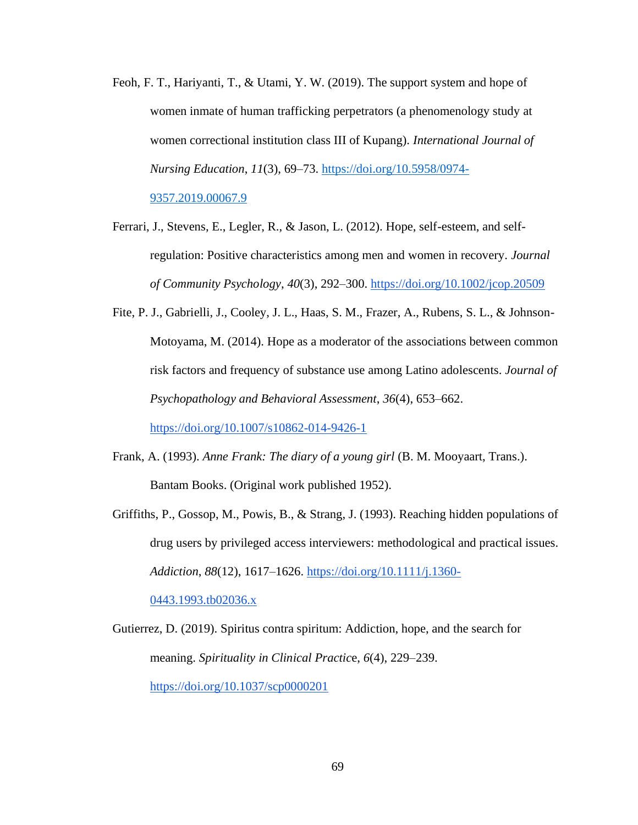- Feoh, F. T., Hariyanti, T., & Utami, Y. W. (2019). The support system and hope of women inmate of human trafficking perpetrators (a phenomenology study at women correctional institution class III of Kupang). *International Journal of Nursing Education*, *11*(3), 69–73. [https://doi.org/10.5958/0974-](https://doi.org/10.5958/0974-9357.2019.00067.9) [9357.2019.00067.9](https://doi.org/10.5958/0974-9357.2019.00067.9)
- Ferrari, J., Stevens, E., Legler, R., & Jason, L. (2012). Hope, self-esteem, and selfregulation: Positive characteristics among men and women in recovery. *Journal of Community Psychology*, *40*(3), 292–300.<https://doi.org/10.1002/jcop.20509>
- Fite, P. J., Gabrielli, J., Cooley, J. L., Haas, S. M., Frazer, A., Rubens, S. L., & Johnson-Motoyama, M. (2014). Hope as a moderator of the associations between common risk factors and frequency of substance use among Latino adolescents. *Journal of Psychopathology and Behavioral Assessment*, *36*(4), 653–662.

<https://doi.org/10.1007/s10862-014-9426-1>

- Frank, A. (1993). *Anne Frank: The diary of a young girl* (B. M. Mooyaart, Trans.). Bantam Books. (Original work published 1952).
- Griffiths, P., Gossop, M., Powis, B., & Strang, J. (1993). Reaching hidden populations of drug users by privileged access interviewers: methodological and practical issues. *Addiction*, *88*(12), 1617–1626. [https://doi.org/10.1111/j.1360-](https://doi.org/10.1111/j.1360-0443.1993.tb02036.x)

[0443.1993.tb02036.x](https://doi.org/10.1111/j.1360-0443.1993.tb02036.x)

Gutierrez, D. (2019). Spiritus contra spiritum: Addiction, hope, and the search for meaning. *Spirituality in Clinical Practic*e, *6*(4), 229–239. <https://doi.org/10.1037/scp0000201>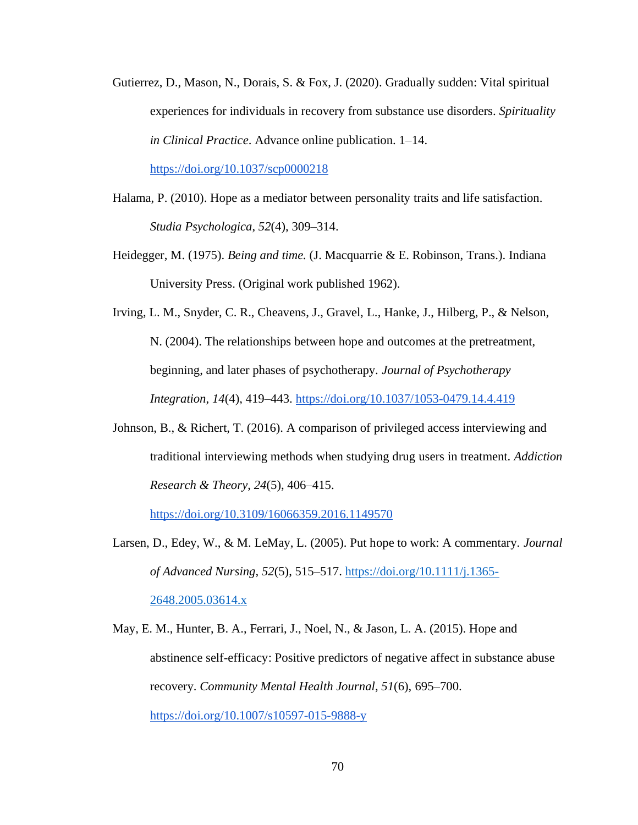Gutierrez, D., Mason, N., Dorais, S. & Fox, J. (2020). Gradually sudden: Vital spiritual experiences for individuals in recovery from substance use disorders. *Spirituality in Clinical Practice*. Advance online publication. 1–14. <https://doi.org/10.1037/scp0000218>

Halama, P. (2010). Hope as a mediator between personality traits and life satisfaction.

*Studia Psychologica*, *52*(4), 309–314.

- Heidegger, M. (1975). *Being and time.* (J. Macquarrie & E. Robinson, Trans.). Indiana University Press. (Original work published 1962).
- Irving, L. M., Snyder, C. R., Cheavens, J., Gravel, L., Hanke, J., Hilberg, P., & Nelson, N. (2004). The relationships between hope and outcomes at the pretreatment, beginning, and later phases of psychotherapy. *Journal of Psychotherapy Integration*, *14*(4), 419–443.<https://doi.org/10.1037/1053-0479.14.4.419>
- Johnson, B., & Richert, T. (2016). A comparison of privileged access interviewing and traditional interviewing methods when studying drug users in treatment. *Addiction Research & Theory*, *24*(5), 406–415.

<https://doi.org/10.3109/16066359.2016.1149570>

- Larsen, D., Edey, W., & M. LeMay, L. (2005). Put hope to work: A commentary. *Journal of Advanced Nursing, 52*(5), 515–517. [https://doi.org/10.1111/j.1365-](https://doi.org/10.1111/j.1365-2648.2005.03614.x) [2648.2005.03614.x](https://doi.org/10.1111/j.1365-2648.2005.03614.x)
- May, E. M., Hunter, B. A., Ferrari, J., Noel, N., & Jason, L. A. (2015). Hope and abstinence self-efficacy: Positive predictors of negative affect in substance abuse recovery. *Community Mental Health Journal*, *51*(6), 695–700. <https://doi.org/10.1007/s10597-015-9888-y>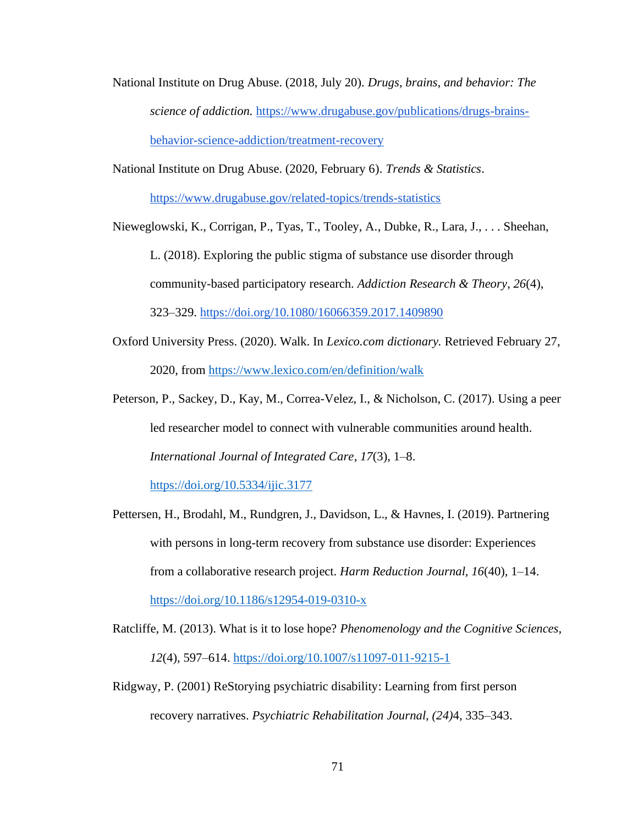- National Institute on Drug Abuse. (2018, July 20). *Drugs, brains, and behavior: The science of addiction.* [https://www.drugabuse.gov/publications/drugs-brains](https://www.drugabuse.gov/publications/drugs-brains-behavior-science-addiction/treatment-recovery)[behavior-science-addiction/treatment-recovery](https://www.drugabuse.gov/publications/drugs-brains-behavior-science-addiction/treatment-recovery)
- National Institute on Drug Abuse. (2020, February 6). *Trends & Statistics*.

<https://www.drugabuse.gov/related-topics/trends-statistics>

Nieweglowski, K., Corrigan, P., Tyas, T., Tooley, A., Dubke, R., Lara, J., . . . Sheehan, L. (2018). Exploring the public stigma of substance use disorder through community-based participatory research. *Addiction Research & Theory*, *26*(4), 323–329. <https://doi.org/10.1080/16066359.2017.1409890>

- Oxford University Press. (2020). Walk. In *Lexico.com dictionary.* Retrieved February 27, 2020, from<https://www.lexico.com/en/definition/walk>
- Peterson, P., Sackey, D., Kay, M., Correa-Velez, I., & Nicholson, C. (2017). Using a peer led researcher model to connect with vulnerable communities around health. *International Journal of Integrated Care*, *17*(3), 1–8. <https://doi.org/10.5334/ijic.3177>

Pettersen, H., Brodahl, M., Rundgren, J., Davidson, L., & Havnes, I. (2019). Partnering with persons in long-term recovery from substance use disorder: Experiences from a collaborative research project. *Harm Reduction Journal*, *16*(40), 1–14. <https://doi.org/10.1186/s12954-019-0310-x>

Ratcliffe, M. (2013). What is it to lose hope? *Phenomenology and the Cognitive Sciences, 12*(4), 597–614.<https://doi.org/10.1007/s11097-011-9215-1>

Ridgway, P. (2001) ReStorying psychiatric disability: Learning from first person recovery narratives. *Psychiatric Rehabilitation Journal, (24)*4, 335–343.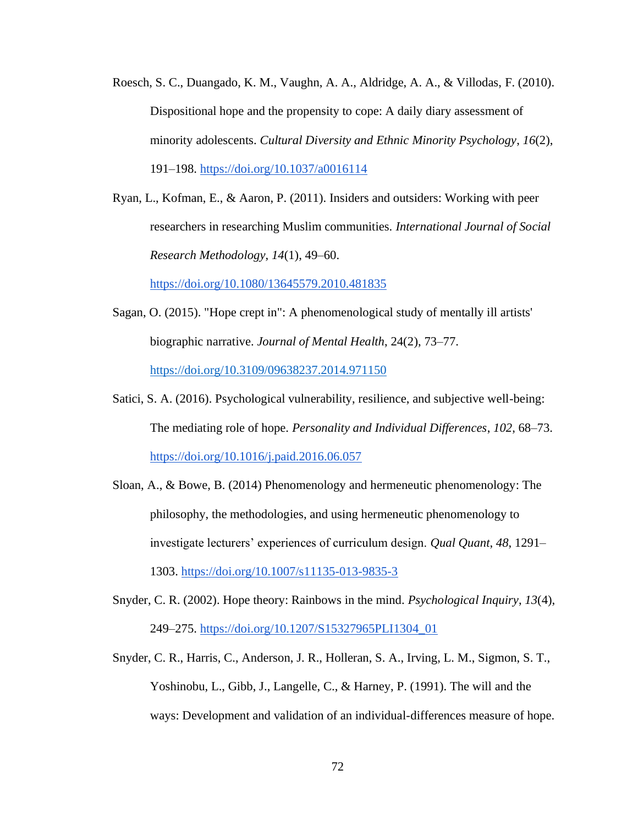- Roesch, S. C., Duangado, K. M., Vaughn, A. A., Aldridge, A. A., & Villodas, F. (2010). Dispositional hope and the propensity to cope: A daily diary assessment of minority adolescents. *Cultural Diversity and Ethnic Minority Psychology*, *16*(2), 191–198.<https://doi.org/10.1037/a0016114>
- Ryan, L., Kofman, E., & Aaron, P. (2011). Insiders and outsiders: Working with peer researchers in researching Muslim communities. *International Journal of Social Research Methodology*, *14*(1), 49–60.

<https://doi.org/10.1080/13645579.2010.481835>

- Sagan, O. (2015). "Hope crept in": A phenomenological study of mentally ill artists' biographic narrative. *Journal of Mental Health*, 24(2), 73–77. <https://doi.org/10.3109/09638237.2014.971150>
- Satici, S. A. (2016). Psychological vulnerability, resilience, and subjective well-being: The mediating role of hope. *Personality and Individual Differences*, *102*, 68–73. <https://doi.org/10.1016/j.paid.2016.06.057>
- Sloan, A., & Bowe, B. (2014) Phenomenology and hermeneutic phenomenology: The philosophy, the methodologies, and using hermeneutic phenomenology to investigate lecturers' experiences of curriculum design. *Qual Quant*, *48*, 1291– 1303.<https://doi.org/10.1007/s11135-013-9835-3>
- Snyder, C. R. (2002). Hope theory: Rainbows in the mind. *Psychological Inquiry*, *13*(4), 249–275. [https://doi.org/10.1207/S15327965PLI1304\\_01](https://doi.org/10.1207/S15327965PLI1304_01)
- Snyder, C. R., Harris, C., Anderson, J. R., Holleran, S. A., Irving, L. M., Sigmon, S. T., Yoshinobu, L., Gibb, J., Langelle, C., & Harney, P. (1991). The will and the ways: Development and validation of an individual-differences measure of hope.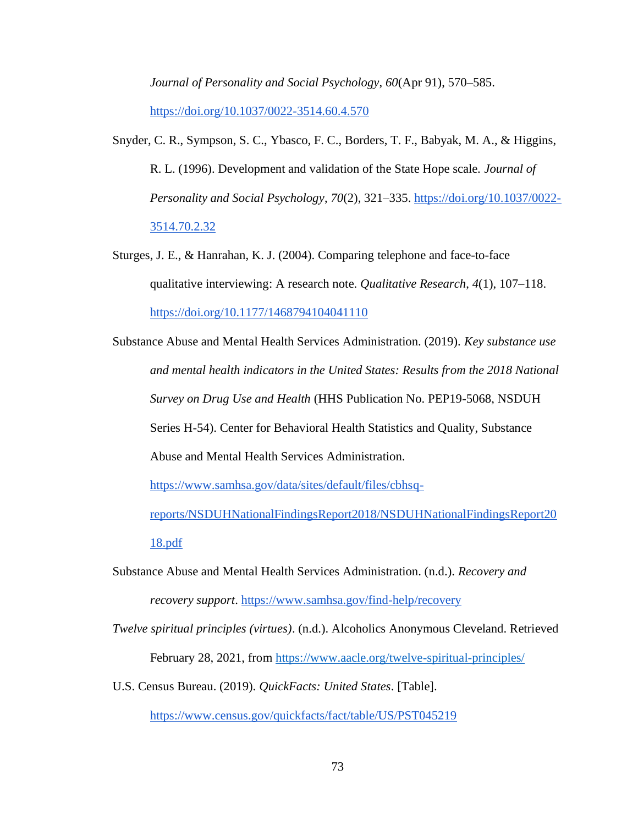*Journal of Personality and Social Psychology*, *60*(Apr 91), 570–585. <https://doi.org/10.1037/0022-3514.60.4.570>

- Snyder, C. R., Sympson, S. C., Ybasco, F. C., Borders, T. F., Babyak, M. A., & Higgins, R. L. (1996). Development and validation of the State Hope scale. *Journal of Personality and Social Psychology*, *70*(2), 321–335. [https://doi.org/10.1037/0022-](https://doi.org/10.1037/0022-3514.70.2.32) [3514.70.2.32](https://doi.org/10.1037/0022-3514.70.2.32)
- Sturges, J. E., & Hanrahan, K. J. (2004). Comparing telephone and face-to-face qualitative interviewing: A research note. *Qualitative Research*, *4*(1), 107–118. <https://doi.org/10.1177/1468794104041110>
- Substance Abuse and Mental Health Services Administration. (2019). *Key substance use and mental health indicators in the United States: Results from the 2018 National Survey on Drug Use and Health* (HHS Publication No. PEP19-5068, NSDUH Series H-54). Center for Behavioral Health Statistics and Quality, Substance Abuse and Mental Health Services Administration. [https://www.samhsa.gov/data/sites/default/files/cbhsq-](https://www.samhsa.gov/data/sites/default/files/cbhsq-reports/NSDUHNationalFindingsReport2018/NSDUHNationalFindingsReport2018.pdf)

[reports/NSDUHNationalFindingsReport2018/NSDUHNationalFindingsReport20](https://www.samhsa.gov/data/sites/default/files/cbhsq-reports/NSDUHNationalFindingsReport2018/NSDUHNationalFindingsReport2018.pdf) [18.pdf](https://www.samhsa.gov/data/sites/default/files/cbhsq-reports/NSDUHNationalFindingsReport2018/NSDUHNationalFindingsReport2018.pdf)

Substance Abuse and Mental Health Services Administration. (n.d.). *Recovery and recovery support*.<https://www.samhsa.gov/find-help/recovery>

*Twelve spiritual principles (virtues)*. (n.d.). Alcoholics Anonymous Cleveland. Retrieved February 28, 2021, from<https://www.aacle.org/twelve-spiritual-principles/>

U.S. Census Bureau. (2019). *QuickFacts: United States*. [Table].

<https://www.census.gov/quickfacts/fact/table/US/PST045219>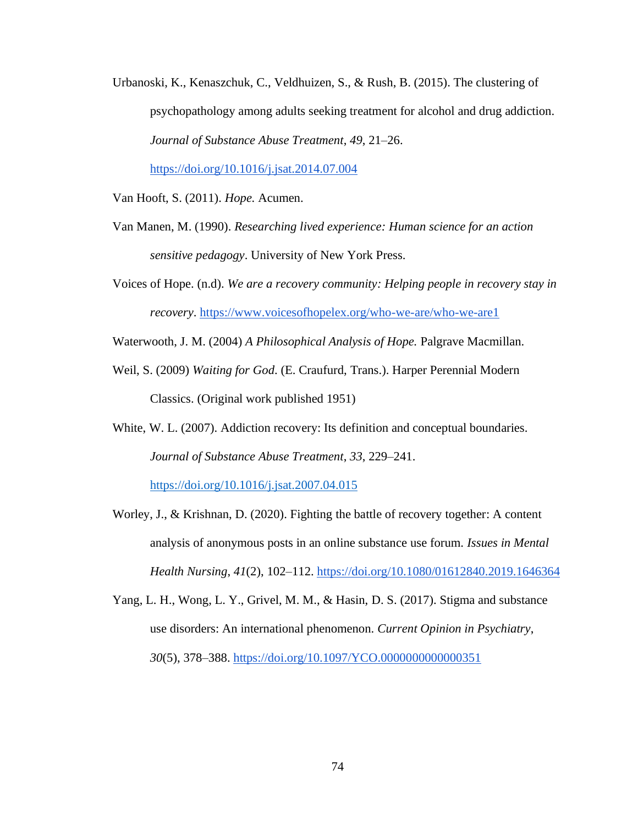Urbanoski, K., Kenaszchuk, C., Veldhuizen, S., & Rush, B. (2015). The clustering of psychopathology among adults seeking treatment for alcohol and drug addiction. *Journal of Substance Abuse Treatment*, *49*, 21–26.

<https://doi.org/10.1016/j.jsat.2014.07.004>

Van Hooft, S. (2011). *Hope.* Acumen.

- Van Manen, M. (1990). *Researching lived experience: Human science for an action sensitive pedagogy*. University of New York Press.
- Voices of Hope. (n.d). *We are a recovery community: Helping people in recovery stay in recovery*.<https://www.voicesofhopelex.org/who-we-are/who-we-are1>

Waterwooth, J. M. (2004) *A Philosophical Analysis of Hope.* Palgrave Macmillan.

- Weil, S. (2009) *Waiting for God*. (E. Craufurd, Trans.). Harper Perennial Modern Classics. (Original work published 1951)
- White, W. L. (2007). Addiction recovery: Its definition and conceptual boundaries. *Journal of Substance Abuse Treatment*, *33*, 229–241. <https://doi.org/10.1016/j.jsat.2007.04.015>
- Worley, J., & Krishnan, D. (2020). Fighting the battle of recovery together: A content analysis of anonymous posts in an online substance use forum. *Issues in Mental Health Nursing*, *41*(2), 102–112.<https://doi.org/10.1080/01612840.2019.1646364>
- Yang, L. H., Wong, L. Y., Grivel, M. M., & Hasin, D. S. (2017). Stigma and substance use disorders: An international phenomenon. *Current Opinion in Psychiatry*, *30*(5), 378–388.<https://doi.org/10.1097/YCO.0000000000000351>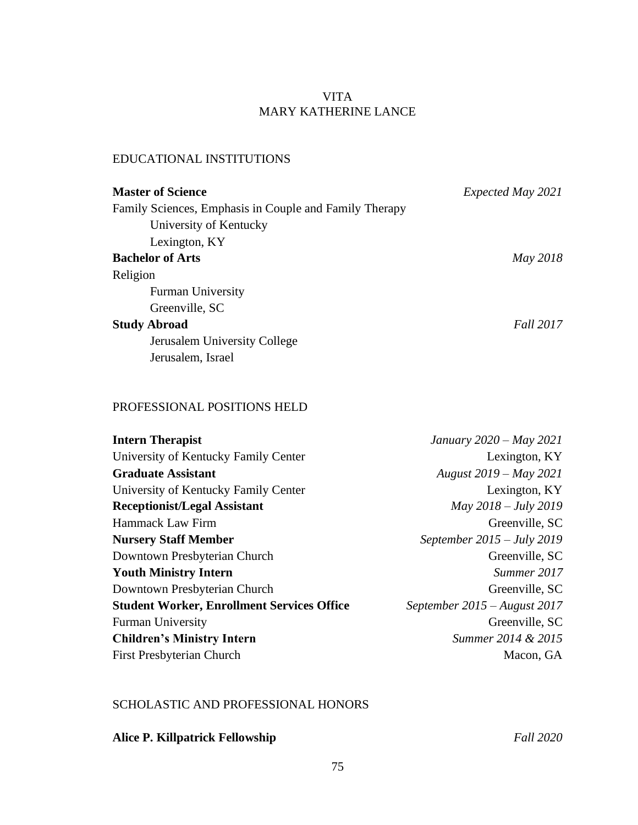# VITA MARY KATHERINE LANCE

# EDUCATIONAL INSTITUTIONS

| <b>Master of Science</b>                               | Expected May 2021 |
|--------------------------------------------------------|-------------------|
| Family Sciences, Emphasis in Couple and Family Therapy |                   |
| University of Kentucky                                 |                   |
| Lexington, KY                                          |                   |
| <b>Bachelor of Arts</b>                                | May 2018          |
| Religion                                               |                   |
| <b>Furman University</b>                               |                   |
| Greenville, SC                                         |                   |
| <b>Study Abroad</b>                                    | <i>Fall</i> 2017  |
| Jerusalem University College                           |                   |
| Jerusalem, Israel                                      |                   |
|                                                        |                   |

## PROFESSIONAL POSITIONS HELD

| <b>Intern Therapist</b>                           | January $2020 - May 2021$      |
|---------------------------------------------------|--------------------------------|
| University of Kentucky Family Center              | Lexington, KY                  |
| <b>Graduate Assistant</b>                         | August 2019 – May 2021         |
| University of Kentucky Family Center              | Lexington, KY                  |
| <b>Receptionist/Legal Assistant</b>               | $May\ 2018 - July\ 2019$       |
| Hammack Law Firm                                  | Greenville, SC                 |
| <b>Nursery Staff Member</b>                       | September $2015 - July 2019$   |
| Downtown Presbyterian Church                      | Greenville, SC                 |
| <b>Youth Ministry Intern</b>                      | Summer 2017                    |
| Downtown Presbyterian Church                      | Greenville, SC                 |
| <b>Student Worker, Enrollment Services Office</b> | September $2015 -$ August 2017 |
| <b>Furman University</b>                          | Greenville, SC                 |
| <b>Children's Ministry Intern</b>                 | Summer 2014 & 2015             |
| First Presbyterian Church                         | Macon, GA                      |

# SCHOLASTIC AND PROFESSIONAL HONORS

**Alice P. Killpatrick Fellowship** *Fall 2020*